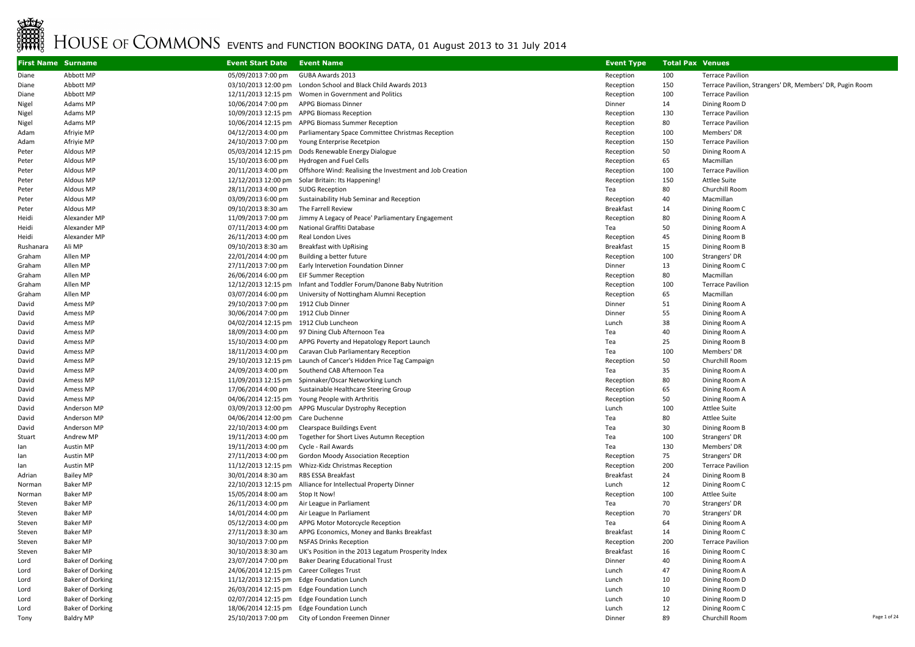## EVERTS<br>EXERCISE OF COMMONS EVENTS and FUNCTION BOOKING DATA, 01 August 2013 to 31 July 2014<br>EXERCISE OF COMMONS EVENTS and FUNCTION BOOKING DATA, 01 August 2013 to 31 July 2014

| <b>First Name Surname</b> |                         | <b>Event Start Date</b>                                      | <b>Event Name</b>                                                | <b>Event Type</b> | <b>Total Pax Venues</b> |                                                          |              |
|---------------------------|-------------------------|--------------------------------------------------------------|------------------------------------------------------------------|-------------------|-------------------------|----------------------------------------------------------|--------------|
| Diane                     | Abbott MP               | 05/09/2013 7:00 pm                                           | GUBA Awards 2013                                                 | Reception         | 100                     | <b>Terrace Pavilion</b>                                  |              |
| Diane                     | Abbott MP               |                                                              | 03/10/2013 12:00 pm London School and Black Child Awards 2013    | Reception         | 150                     | Terrace Pavilion, Strangers' DR, Members' DR, Pugin Room |              |
| Diane                     | Abbott MP               |                                                              | 12/11/2013 12:15 pm Women in Government and Politics             | Reception         | 100                     | <b>Terrace Pavilion</b>                                  |              |
| Nigel                     | Adams MP                | 10/06/2014 7:00 pm APPG Biomass Dinner                       |                                                                  | Dinner            | 14                      | Dining Room D                                            |              |
| Nigel                     | Adams MP                |                                                              | 10/09/2013 12:15 pm APPG Biomass Reception                       | Reception         | 130                     | <b>Terrace Pavilion</b>                                  |              |
| Nigel                     | Adams MP                |                                                              | 10/06/2014 12:15 pm APPG Biomass Summer Reception                | Reception         | 80                      | <b>Terrace Pavilion</b>                                  |              |
| Adam                      | Afriyie MP              | 04/12/2013 4:00 pm                                           | Parliamentary Space Committee Christmas Reception                | Reception         | 100                     | Members' DR                                              |              |
| Adam                      | Afriyie MP              | 24/10/2013 7:00 pm                                           | Young Enterprise Recetpion                                       | Reception         | 150                     | <b>Terrace Pavilion</b>                                  |              |
| Peter                     | Aldous MP               |                                                              | 05/03/2014 12:15 pm Dods Renewable Energy Dialogue               | Reception         | 50                      | Dining Room A                                            |              |
| Peter                     | Aldous MP               | 15/10/2013 6:00 pm                                           | Hydrogen and Fuel Cells                                          | Reception         | 65                      | Macmillan                                                |              |
| Peter                     | Aldous MP               | 20/11/2013 4:00 pm                                           | Offshore Wind: Realising the Investment and Job Creation         | Reception         | 100                     | <b>Terrace Pavilion</b>                                  |              |
| Peter                     | Aldous MP               |                                                              | 12/12/2013 12:00 pm Solar Britain: Its Happening!                | Reception         | 150                     | <b>Attlee Suite</b>                                      |              |
| Peter                     | Aldous MP               | 28/11/2013 4:00 pm                                           | <b>SUDG Reception</b>                                            | Tea               | 80                      | Churchill Room                                           |              |
| Peter                     | Aldous MP               | 03/09/2013 6:00 pm                                           | Sustainability Hub Seminar and Reception                         | Reception         | 40                      | Macmillan                                                |              |
| Peter                     | Aldous MP               | 09/10/2013 8:30 am                                           | The Farrell Review                                               | Breakfast         | 14                      | Dining Room C                                            |              |
| Heidi                     | Alexander MP            | 11/09/2013 7:00 pm                                           | Jimmy A Legacy of Peace' Parliamentary Engagement                | Reception         | 80                      | Dining Room A                                            |              |
| Heidi                     | Alexander MP            | 07/11/2013 4:00 pm                                           | National Graffiti Database                                       | Tea               | 50                      | Dining Room A                                            |              |
| Heidi                     | Alexander MP            | 26/11/2013 4:00 pm                                           | Real London Lives                                                | Reception         | 45                      | Dining Room B                                            |              |
| Rushanara                 | Ali MP                  | 09/10/2013 8:30 am                                           | <b>Breakfast with UpRising</b>                                   | Breakfast         | 15                      | Dining Room B                                            |              |
| Graham                    | Allen MP                | 22/01/2014 4:00 pm                                           | Building a better future                                         | Reception         | 100                     | Strangers' DR                                            |              |
| Graham                    | Allen MP                | 27/11/2013 7:00 pm                                           | Early Intervetion Foundation Dinner                              | Dinner            | 13                      | Dining Room C                                            |              |
| Graham                    | Allen MP                | 26/06/2014 6:00 pm                                           | <b>EIF Summer Reception</b>                                      | Reception         | 80                      | Macmillan                                                |              |
| Graham                    | Allen MP                | 12/12/2013 12:15 pm                                          | Infant and Toddler Forum/Danone Baby Nutrition                   | Reception         | 100                     | <b>Terrace Pavilion</b>                                  |              |
| Graham                    | Allen MP                | 03/07/2014 6:00 pm                                           | University of Nottingham Alumni Reception                        | Reception         | 65                      | Macmillan                                                |              |
| David                     | Amess MP<br>Amess MP    | 29/10/2013 7:00 pm<br>30/06/2014 7:00 pm                     | 1912 Club Dinner<br>1912 Club Dinner                             | Dinner<br>Dinner  | 51<br>55                | Dining Room A<br>Dining Room A                           |              |
| David                     |                         |                                                              |                                                                  | Lunch             | 38                      |                                                          |              |
| David<br>David            | Amess MP<br>Amess MP    | 04/02/2014 12:15 pm 1912 Club Luncheon<br>18/09/2013 4:00 pm | 97 Dining Club Afternoon Tea                                     | Tea               | 40                      | Dining Room A<br>Dining Room A                           |              |
| David                     | Amess MP                | 15/10/2013 4:00 pm                                           | APPG Poverty and Hepatology Report Launch                        | Tea               | 25                      | Dining Room B                                            |              |
| David                     | Amess MP                | 18/11/2013 4:00 pm                                           | Caravan Club Parliamentary Reception                             | Tea               | 100                     | Members' DR                                              |              |
| David                     | Amess MP                |                                                              | 29/10/2013 12:15 pm Launch of Cancer's Hidden Price Tag Campaign | Reception         | 50                      | Churchill Room                                           |              |
| David                     | Amess MP                | 24/09/2013 4:00 pm                                           | Southend CAB Afternoon Tea                                       | Tea               | 35                      | Dining Room A                                            |              |
| David                     | Amess MP                |                                                              | 11/09/2013 12:15 pm Spinnaker/Oscar Networking Lunch             | Reception         | 80                      | Dining Room A                                            |              |
| David                     | Amess MP                | 17/06/2014 4:00 pm                                           | Sustainable Healthcare Steering Group                            | Reception         | 65                      | Dining Room A                                            |              |
| David                     | Amess MP                |                                                              | 04/06/2014 12:15 pm Young People with Arthritis                  | Reception         | 50                      | Dining Room A                                            |              |
| David                     | Anderson MP             |                                                              | 03/09/2013 12:00 pm APPG Muscular Dystrophy Reception            | Lunch             | 100                     | <b>Attlee Suite</b>                                      |              |
| David                     | Anderson MP             | 04/06/2014 12:00 pm Care Duchenne                            |                                                                  | Tea               | 80                      | <b>Attlee Suite</b>                                      |              |
| David                     | Anderson MP             | 22/10/2013 4:00 pm                                           | <b>Clearspace Buildings Event</b>                                | Tea               | 30                      | Dining Room B                                            |              |
| Stuart                    | Andrew MP               | 19/11/2013 4:00 pm                                           | Together for Short Lives Autumn Reception                        | Tea               | 100                     | Strangers' DR                                            |              |
| lan                       | Austin MP               | 19/11/2013 4:00 pm                                           | Cycle - Rail Awards                                              | Tea               | 130                     | Members' DR                                              |              |
| lan                       | <b>Austin MP</b>        | 27/11/2013 4:00 pm                                           | <b>Gordon Moody Association Reception</b>                        | Reception         | 75                      | Strangers' DR                                            |              |
| lan                       | Austin MP               | 11/12/2013 12:15 pm                                          | Whizz-Kidz Christmas Reception                                   | Reception         | 200                     | <b>Terrace Pavilion</b>                                  |              |
| Adrian                    | <b>Bailey MP</b>        | 30/01/2014 8:30 am                                           | RBS ESSA Breakfast                                               | Breakfast         | 24                      | Dining Room B                                            |              |
| Norman                    | <b>Baker MP</b>         |                                                              | 22/10/2013 12:15 pm Alliance for Intellectual Property Dinner    | Lunch             | 12                      | Dining Room C                                            |              |
| Norman                    | <b>Baker MP</b>         | 15/05/2014 8:00 am                                           | Stop It Now!                                                     | Reception         | 100                     | <b>Attlee Suite</b>                                      |              |
| Steven                    | <b>Baker MP</b>         | 26/11/2013 4:00 pm                                           | Air League in Parliament                                         | Tea               | 70                      | Strangers' DR                                            |              |
| Steven                    | <b>Baker MP</b>         | 14/01/2014 4:00 pm                                           | Air League In Parliament                                         | Reception         | 70                      | Strangers' DR                                            |              |
| Steven                    | <b>Baker MP</b>         | 05/12/2013 4:00 pm                                           | APPG Motor Motorcycle Reception                                  | Tea               | 64                      | Dining Room A                                            |              |
| Steven                    | <b>Baker MP</b>         | 27/11/2013 8:30 am                                           | APPG Economics, Money and Banks Breakfast                        | Breakfast         | 14                      | Dining Room C                                            |              |
| Steven                    | <b>Baker MP</b>         | 30/10/2013 7:00 pm                                           | <b>NSFAS Drinks Reception</b>                                    | Reception         | 200                     | <b>Terrace Pavilion</b>                                  |              |
| Steven                    | <b>Baker MP</b>         | 30/10/2013 8:30 am                                           | UK's Position in the 2013 Legatum Prosperity Index               | Breakfast         | 16                      | Dining Room C                                            |              |
| Lord                      | <b>Baker of Dorking</b> | 23/07/2014 7:00 pm                                           | <b>Baker Dearing Educational Trust</b>                           | Dinner            | 40                      | Dining Room A                                            |              |
| Lord                      | <b>Baker of Dorking</b> | 24/06/2014 12:15 pm Career Colleges Trust                    |                                                                  | Lunch             | 47                      | Dining Room A                                            |              |
| Lord                      | <b>Baker of Dorking</b> | 11/12/2013 12:15 pm                                          | <b>Edge Foundation Lunch</b>                                     | Lunch             | 10                      | Dining Room D                                            |              |
| Lord                      | <b>Baker of Dorking</b> | 26/03/2014 12:15 pm                                          | Edge Foundation Lunch                                            | Lunch             | 10                      | Dining Room D                                            |              |
| Lord                      | <b>Baker of Dorking</b> |                                                              | 02/07/2014 12:15 pm Edge Foundation Lunch                        | Lunch             | 10                      | Dining Room D                                            |              |
| Lord                      | <b>Baker of Dorking</b> |                                                              | 18/06/2014 12:15 pm Edge Foundation Lunch                        | Lunch             | 12                      | Dining Room C                                            |              |
| Tony                      | <b>Baldry MP</b>        |                                                              | 25/10/2013 7:00 pm City of London Freemen Dinner                 | Dinner            | 89                      | Churchill Room                                           | Page 1 of 24 |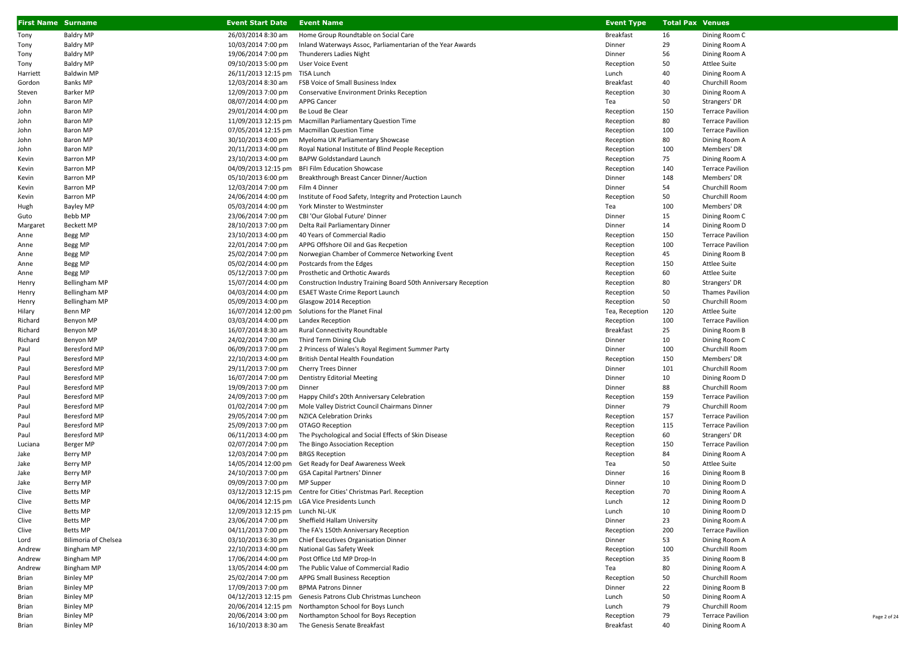| <b>First Name Surname</b> |                                     | <b>Event Start Date</b>                  | <b>Event Name</b>                                                | <b>Event Type</b>   | <b>Total Pax Venues</b> |                                 |
|---------------------------|-------------------------------------|------------------------------------------|------------------------------------------------------------------|---------------------|-------------------------|---------------------------------|
| Tony                      | <b>Baldry MP</b>                    | 26/03/2014 8:30 am                       | Home Group Roundtable on Social Care                             | <b>Breakfast</b>    | 16                      | Dining Room C                   |
| Tony                      | <b>Baldry MP</b>                    | 10/03/2014 7:00 pm                       | Inland Waterways Assoc, Parliamentarian of the Year Awards       | Dinner              | 29                      | Dining Room A                   |
| Tony                      | <b>Baldry MP</b>                    | 19/06/2014 7:00 pm                       | Thunderers Ladies Night                                          | Dinner              | 56                      | Dining Room A                   |
| Tony                      | <b>Baldry MP</b>                    | 09/10/2013 5:00 pm                       | User Voice Event                                                 | Reception           | 50                      | Attlee Suite                    |
| Harriett                  | <b>Baldwin MP</b>                   | 26/11/2013 12:15 pm TISA Lunch           |                                                                  | Lunch               | 40                      | Dining Room A                   |
| Gordon                    | <b>Banks MP</b>                     | 12/03/2014 8:30 am                       | FSB Voice of Small Business Index                                | Breakfast           | 40                      | Churchill Room                  |
| Steven                    | <b>Barker MP</b>                    | 12/09/2013 7:00 pm                       | <b>Conservative Environment Drinks Reception</b>                 | Reception           | 30                      | Dining Room A                   |
| John                      | Baron MP                            | 08/07/2014 4:00 pm                       | <b>APPG Cancer</b>                                               | Tea                 | 50                      | Strangers' DR                   |
| John                      | Baron MP                            | 29/01/2014 4:00 pm                       | Be Loud Be Clear                                                 | Reception           | 150                     | <b>Terrace Pavilion</b>         |
| John                      | <b>Baron MP</b>                     |                                          | 11/09/2013 12:15 pm Macmillan Parliamentary Question Time        | Reception           | 80                      | <b>Terrace Pavilion</b>         |
| John                      | Baron MP                            |                                          | 07/05/2014 12:15 pm Macmillan Question Time                      | Reception           | 100                     | <b>Terrace Pavilion</b>         |
| John                      | Baron MP                            | 30/10/2013 4:00 pm                       | Myeloma UK Parliamentary Showcase                                | Reception           | 80                      | Dining Room A                   |
| John                      | Baron MP                            | 20/11/2013 4:00 pm                       | Royal National Institute of Blind People Reception               | Reception           | 100                     | Members' DR                     |
| Kevin                     | <b>Barron MP</b>                    | 23/10/2013 4:00 pm                       | <b>BAPW Goldstandard Launch</b>                                  | Reception           | 75                      | Dining Room A                   |
| Kevin                     | <b>Barron MP</b>                    | 04/09/2013 12:15 pm                      | <b>BFI Film Education Showcase</b>                               | Reception           | 140                     | <b>Terrace Pavilion</b>         |
| Kevin                     | <b>Barron MP</b>                    | 05/10/2013 6:00 pm                       | Breakthrough Breast Cancer Dinner/Auction                        | Dinner              | 148                     | Members' DR                     |
| Kevin                     | <b>Barron MP</b>                    | 12/03/2014 7:00 pm                       | Film 4 Dinner                                                    | Dinner              | 54                      | Churchill Room                  |
| Kevin                     | <b>Barron MP</b>                    | 24/06/2014 4:00 pm                       | Institute of Food Safety, Integrity and Protection Launch        | Reception           | 50                      | Churchill Room                  |
| Hugh                      | <b>Bayley MP</b>                    | 05/03/2014 4:00 pm                       | York Minster to Westminster                                      | Tea                 | 100                     | Members' DR                     |
| Guto                      | Bebb MP                             | 23/06/2014 7:00 pm                       | CBI 'Our Global Future' Dinner                                   | Dinner              | 15                      | Dining Room C                   |
| Margaret                  | <b>Beckett MP</b>                   | 28/10/2013 7:00 pm                       | Delta Rail Parliamentary Dinner                                  | Dinner              | 14                      | Dining Room D                   |
| Anne                      | Begg MP                             | 23/10/2013 4:00 pm                       | 40 Years of Commercial Radio                                     | Reception           | 150                     | <b>Terrace Pavilion</b>         |
| Anne                      | Begg MP                             | 22/01/2014 7:00 pm                       | APPG Offshore Oil and Gas Recpetion                              | Reception           | 100                     | <b>Terrace Pavilion</b>         |
| Anne                      | Begg MP                             | 25/02/2014 7:00 pm                       | Norwegian Chamber of Commerce Networking Event                   | Reception           | 45                      | Dining Room B                   |
| Anne                      | Begg MP                             | 05/02/2014 4:00 pm                       | Postcards from the Edges                                         | Reception           | 150                     | <b>Attlee Suite</b>             |
| Anne                      | Begg MP                             | 05/12/2013 7:00 pm                       | Prosthetic and Orthotic Awards                                   | Reception           | 60                      | Attlee Suite                    |
| Henry                     | <b>Bellingham MP</b>                | 15/07/2014 4:00 pm                       | Construction Industry Training Board 50th Anniversary Reception  | Reception           | 80                      | Strangers' DR                   |
| Henry                     | <b>Bellingham MP</b>                | 04/03/2014 4:00 pm                       | <b>ESAET Waste Crime Report Launch</b>                           | Reception           | 50                      | <b>Thames Pavilion</b>          |
| Henry                     | <b>Bellingham MP</b>                | 05/09/2013 4:00 pm                       | Glasgow 2014 Reception                                           | Reception           | 50                      | Churchill Room                  |
| Hilary                    | Benn MP                             |                                          | 16/07/2014 12:00 pm Solutions for the Planet Final               | Tea, Reception      | 120                     | <b>Attlee Suite</b>             |
| Richard                   | Benyon MP                           | 03/03/2014 4:00 pm                       | Landex Reception                                                 | Reception           | 100                     | <b>Terrace Pavilion</b>         |
| Richard                   | Benyon MP                           | 16/07/2014 8:30 am                       | <b>Rural Connectivity Roundtable</b>                             | <b>Breakfast</b>    | 25                      | Dining Room B                   |
| Richard                   | Benyon MP                           | 24/02/2014 7:00 pm                       | Third Term Dining Club                                           | Dinner              | 10                      | Dining Room C                   |
| Paul                      | Beresford MP                        | 06/09/2013 7:00 pm                       | 2 Princess of Wales's Royal Regiment Summer Party                | Dinner              | 100                     | Churchill Room                  |
| Paul                      | <b>Beresford MP</b><br>Beresford MP | 22/10/2013 4:00 pm<br>29/11/2013 7:00 pm | <b>British Dental Health Foundation</b><br>Cherry Trees Dinner   | Reception<br>Dinner | 150<br>101              | Members' DR<br>Churchill Room   |
| Paul                      | <b>Beresford MP</b>                 |                                          |                                                                  | Dinner              | 10                      |                                 |
| Paul<br>Paul              | Beresford MP                        | 16/07/2014 7:00 pm<br>19/09/2013 7:00 pm | <b>Dentistry Editorial Meeting</b><br>Dinner                     | Dinner              | 88                      | Dining Room D<br>Churchill Room |
| Paul                      | Beresford MP                        | 24/09/2013 7:00 pm                       | Happy Child's 20th Anniversary Celebration                       | Reception           | 159                     | <b>Terrace Pavilion</b>         |
| Paul                      | Beresford MP                        | 01/02/2014 7:00 pm                       | Mole Valley District Council Chairmans Dinner                    | Dinner              | 79                      | Churchill Room                  |
| Paul                      | Beresford MP                        | 29/05/2014 7:00 pm                       | <b>NZICA Celebration Drinks</b>                                  | Reception           | 157                     | <b>Terrace Pavilion</b>         |
| Paul                      | <b>Beresford MP</b>                 | 25/09/2013 7:00 pm                       | OTAGO Reception                                                  | Reception           | 115                     | <b>Terrace Pavilion</b>         |
| Paul                      | <b>Beresford MP</b>                 | 06/11/2013 4:00 pm                       | The Psychological and Social Effects of Skin Disease             | Reception           | 60                      | Strangers' DR                   |
| Luciana                   | Berger MP                           | 02/07/2014 7:00 pm                       | The Bingo Association Reception                                  | Reception           | 150                     | <b>Terrace Pavilion</b>         |
| Jake                      | Berry MP                            | 12/03/2014 7:00 pm                       | <b>BRGS Reception</b>                                            | Reception           | 84                      | Dining Room A                   |
| Jake                      | Berry MP                            |                                          | 14/05/2014 12:00 pm Get Ready for Deaf Awareness Week            | Tea                 | 50                      | Attlee Suite                    |
| Jake                      | Berry MP                            | 24/10/2013 7:00 pm                       | <b>GSA Capital Partners' Dinner</b>                              | Dinner              | 16                      | Dining Room B                   |
| Jake                      | Berry MP                            | 09/09/2013 7:00 pm                       | MP Supper                                                        | Dinner              | 10                      | Dining Room D                   |
| Clive                     | <b>Betts MP</b>                     |                                          | 03/12/2013 12:15 pm Centre for Cities' Christmas Parl. Reception | Reception           | 70                      | Dining Room A                   |
| Clive                     | <b>Betts MP</b>                     |                                          | 04/06/2014 12:15 pm LGA Vice Presidents Lunch                    | Lunch               | 12                      | Dining Room D                   |
| Clive                     | <b>Betts MP</b>                     | 12/09/2013 12:15 pm Lunch NL-UK          |                                                                  | Lunch               | 10                      | Dining Room D                   |
| Clive                     | Betts MP                            | 23/06/2014 7:00 pm                       | Sheffield Hallam University                                      | Dinner              | 23                      | Dining Room A                   |
| Clive                     | <b>Betts MP</b>                     | 04/11/2013 7:00 pm                       | The FA's 150th Anniversary Reception                             | Reception           | 200                     | <b>Terrace Pavilion</b>         |
| Lord                      | <b>Bilimoria of Chelsea</b>         | 03/10/2013 6:30 pm                       | Chief Executives Organisation Dinner                             | Dinner              | 53                      | Dining Room A                   |
| Andrew                    | <b>Bingham MP</b>                   | 22/10/2013 4:00 pm                       | National Gas Safety Week                                         | Reception           | 100                     | Churchill Room                  |
| Andrew                    | <b>Bingham MP</b>                   | 17/06/2014 4:00 pm                       | Post Office Ltd MP Drop-In                                       | Reception           | 35                      | Dining Room B                   |
| Andrew                    | Bingham MP                          | 13/05/2014 4:00 pm                       | The Public Value of Commercial Radio                             | Tea                 | 80                      | Dining Room A                   |
| Brian                     | <b>Binley MP</b>                    | 25/02/2014 7:00 pm                       | APPG Small Business Reception                                    | Reception           | 50                      | Churchill Room                  |
| Brian                     | <b>Binley MP</b>                    | 17/09/2013 7:00 pm                       | <b>BPMA Patrons Dinner</b>                                       | Dinner              | 22                      | Dining Room B                   |
| Brian                     | <b>Binley MP</b>                    |                                          | 04/12/2013 12:15 pm Genesis Patrons Club Christmas Luncheon      | Lunch               | 50                      | Dining Room A                   |
| Brian                     | <b>Binley MP</b>                    |                                          | 20/06/2014 12:15 pm Northampton School for Boys Lunch            | Lunch               | 79                      | Churchill Room                  |
| Brian                     | <b>Binley MP</b>                    | 20/06/2014 3:00 pm                       | Northampton School for Boys Reception                            | Reception           | 79                      | <b>Terrace Pavilion</b>         |
| Brian                     | <b>Binley MP</b>                    | 16/10/2013 8:30 am                       | The Genesis Senate Breakfast                                     | <b>Breakfast</b>    | 40                      | Dining Room A                   |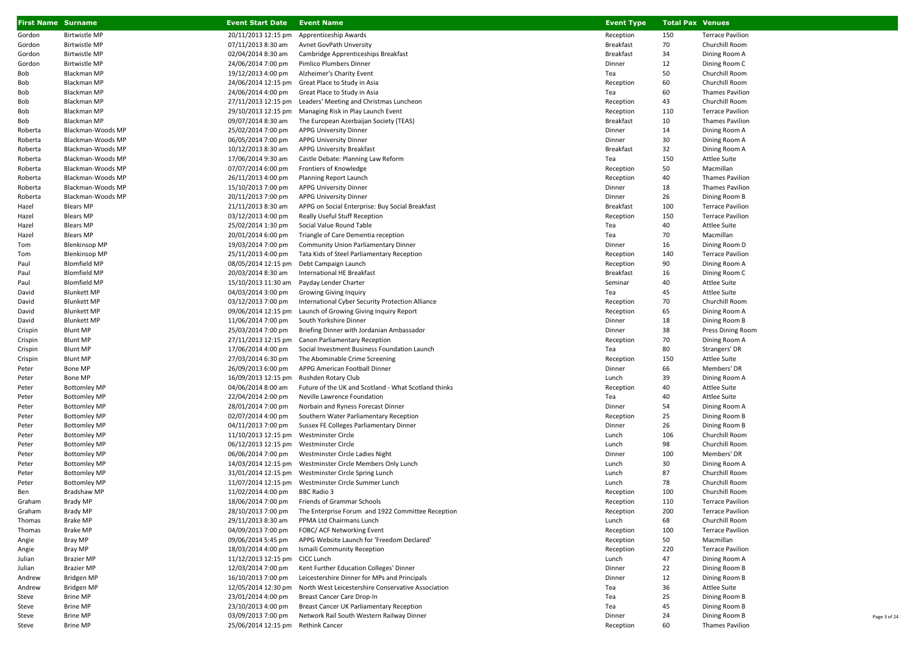| <b>First Name Surname</b> |                                            | <b>Event Start Date</b>                  | <b>Event Name</b>                                                            | <b>Event Type</b>   | <b>Total Pax Venues</b> |                                |
|---------------------------|--------------------------------------------|------------------------------------------|------------------------------------------------------------------------------|---------------------|-------------------------|--------------------------------|
| Gordon                    | <b>Birtwistle MP</b>                       | 20/11/2013 12:15 pm                      | Apprenticeship Awards                                                        | Reception           | 150                     | <b>Terrace Pavilion</b>        |
| Gordon                    | <b>Birtwistle MP</b>                       | 07/11/2013 8:30 am                       | Avnet GovPath Unversity                                                      | <b>Breakfast</b>    | 70                      | Churchill Room                 |
| Gordon                    | <b>Birtwistle MP</b>                       | 02/04/2014 8:30 am                       | Cambridge Apprenticeships Breakfast                                          | <b>Breakfast</b>    | 34                      | Dining Room A                  |
| Gordon                    | <b>Birtwistle MP</b>                       | 24/06/2014 7:00 pm                       | Pimlico Plumbers Dinner                                                      | Dinner              | 12                      | Dining Room C                  |
| Bob                       | Blackman MP                                | 19/12/2013 4:00 pm                       | Alzheimer's Charity Event                                                    | Tea                 | 50                      | Churchill Room                 |
| Bob                       | Blackman MP                                |                                          | 24/06/2014 12:15 pm Great Place to Study in Asia                             | Reception           | 60                      | Churchill Room                 |
| Bob                       | Blackman MP                                | 24/06/2014 4:00 pm                       | Great Place to Study in Asia                                                 | Tea                 | 60                      | <b>Thames Pavilion</b>         |
| Bob                       | Blackman MP                                |                                          | 27/11/2013 12:15 pm Leaders' Meeting and Christmas Luncheon                  | Reception           | 43                      | Churchill Room                 |
| Bob                       | Blackman MP                                |                                          | 29/10/2013 12:15 pm Managing Risk in Play Launch Event                       | Reception           | 110                     | <b>Terrace Pavilion</b>        |
| Bob                       | Blackman MP                                | 09/07/2014 8:30 am                       | The European Azerbaijan Society (TEAS)                                       | <b>Breakfast</b>    | 10                      | <b>Thames Pavilion</b>         |
| Roberta                   | Blackman-Woods MP                          | 25/02/2014 7:00 pm                       | <b>APPG University Dinner</b>                                                | Dinner              | 14                      | Dining Room A                  |
| Roberta                   | Blackman-Woods MP                          | 06/05/2014 7:00 pm                       | <b>APPG University Dinner</b>                                                | Dinner              | 30                      | Dining Room A                  |
| Roberta                   | Blackman-Woods MP                          | 10/12/2013 8:30 am                       | APPG University Breakfast                                                    | <b>Breakfast</b>    | 32                      | Dining Room A                  |
| Roberta                   | Blackman-Woods MP                          | 17/06/2014 9:30 am                       | Castle Debate: Planning Law Reform                                           | Tea                 | 150                     | <b>Attlee Suite</b>            |
| Roberta                   | Blackman-Woods MP                          | 07/07/2014 6:00 pm                       | Frontiers of Knowledge                                                       | Reception           | 50                      | Macmillan                      |
| Roberta                   | Blackman-Woods MP                          | 26/11/2013 4:00 pm                       | Planning Report Launch                                                       | Reception           | 40                      | <b>Thames Pavilion</b>         |
| Roberta                   | Blackman-Woods MP                          | 15/10/2013 7:00 pm                       | <b>APPG University Dinner</b>                                                | Dinner              | 18                      | <b>Thames Pavilion</b>         |
| Roberta                   | Blackman-Woods MP                          | 20/11/2013 7:00 pm                       | <b>APPG University Dinner</b>                                                | Dinner              | 26                      | Dining Room B                  |
| Hazel                     | Blears MP                                  | 21/11/2013 8:30 am                       | APPG on Social Enterprise: Buy Social Breakfast                              | <b>Breakfast</b>    | 100                     | <b>Terrace Pavilion</b>        |
| Hazel                     | <b>Blears MP</b>                           | 03/12/2013 4:00 pm                       | Really Useful Stuff Reception                                                | Reception           | 150                     | <b>Terrace Pavilion</b>        |
| Hazel                     | <b>Blears MP</b>                           | 25/02/2014 1:30 pm                       | Social Value Round Table                                                     | Tea                 | 40                      | <b>Attlee Suite</b>            |
| Hazel                     | <b>Blears MP</b>                           | 20/01/2014 6:00 pm                       | Triangle of Care Dementia reception                                          | Tea                 | 70                      | Macmillan                      |
| Tom                       | <b>Blenkinsop MP</b>                       | 19/03/2014 7:00 pm                       | <b>Community Union Parliamentary Dinner</b>                                  | Dinner              | 16                      | Dining Room D                  |
| Tom                       | <b>Blenkinsop MP</b>                       | 25/11/2013 4:00 pm                       | Tata Kids of Steel Parliamentary Reception                                   | Reception           | 140                     | <b>Terrace Pavilion</b>        |
| Paul                      | <b>Blomfield MP</b>                        | 08/05/2014 12:15 pm                      | Debt Campaign Launch                                                         | Reception           | 90                      | Dining Room A                  |
| Paul                      | <b>Blomfield MP</b>                        | 20/03/2014 8:30 am                       | International HE Breakfast                                                   | <b>Breakfast</b>    | 16                      | Dining Room C                  |
| Paul                      | <b>Blomfield MP</b>                        | 15/10/2013 11:30 am                      | Payday Lender Charter                                                        | Seminar             | 40                      | <b>Attlee Suite</b>            |
| David                     | <b>Blunkett MP</b>                         | 04/03/2014 3:00 pm                       | <b>Growing Giving Inquiry</b>                                                | Tea                 | 45                      | <b>Attlee Suite</b>            |
| David                     | <b>Blunkett MP</b>                         | 03/12/2013 7:00 pm                       | International Cyber Security Protection Alliance                             | Reception           | 70                      | Churchill Room                 |
| David                     | <b>Blunkett MP</b>                         | 09/06/2014 12:15 pm                      | Launch of Growing Giving Inquiry Report                                      | Reception           | 65                      | Dining Room A                  |
| David                     | <b>Blunkett MP</b>                         | 11/06/2014 7:00 pm                       | South Yorkshire Dinner                                                       | Dinner              | 18                      | Dining Room B                  |
| Crispin                   | <b>Blunt MP</b>                            | 25/03/2014 7:00 pm                       | Briefing Dinner with Jordanian Ambassador                                    | Dinner              | 38                      | Press Dining Room              |
| Crispin                   | <b>Blunt MP</b>                            | 27/11/2013 12:15 pm                      | Canon Parliamentary Reception                                                | Reception           | 70                      | Dining Room A                  |
| Crispin                   | <b>Blunt MP</b>                            | 17/06/2014 4:00 pm                       | Social Investment Business Foundation Launch                                 | Tea                 | 80                      | Strangers' DR                  |
| Crispin                   | <b>Blunt MP</b>                            | 27/03/2014 6:30 pm                       | The Abominable Crime Screening                                               | Reception           | 150                     | <b>Attlee Suite</b>            |
| Peter                     | Bone MP                                    | 26/09/2013 6:00 pm                       | APPG American Football Dinner                                                | Dinner              | 66                      | Members' DR                    |
| Peter                     | Bone MP                                    | 16/09/2013 12:15 pm                      | Rushden Rotary Club                                                          | Lunch               | 39                      | Dining Room A                  |
| Peter                     | <b>Bottomley MP</b>                        | 04/06/2014 8:00 am                       | Future of the UK and Scotland - What Scotland thinks                         | Reception           | 40                      | <b>Attlee Suite</b>            |
| Peter                     | <b>Bottomley MP</b>                        | 22/04/2014 2:00 pm                       | Neville Lawrence Foundation                                                  | Tea                 | 40<br>54                | <b>Attlee Suite</b>            |
| Peter<br>Peter            | <b>Bottomley MP</b><br><b>Bottomley MP</b> | 28/01/2014 7:00 pm<br>02/07/2014 4:00 pm | Norbain and Ryness Forecast Dinner<br>Southern Water Parliamentary Reception | Dinner<br>Reception | 25                      | Dining Room A<br>Dining Room B |
| Peter                     | <b>Bottomley MP</b>                        | 04/11/2013 7:00 pm                       | Sussex FE Colleges Parliamentary Dinner                                      | Dinner              | 26                      | Dining Room B                  |
| Peter                     | <b>Bottomley MP</b>                        | 11/10/2013 12:15 pm Westminster Circle   |                                                                              | Lunch               | 106                     | Churchill Room                 |
| Peter                     | <b>Bottomley MP</b>                        | 06/12/2013 12:15 pm Westminster Circle   |                                                                              | Lunch               | 98                      | Churchill Room                 |
| Peter                     | <b>Bottomley MP</b>                        | 06/06/2014 7:00 pm                       | Westminster Circle Ladies Night                                              | Dinner              | 100                     | Members' DR                    |
| Peter                     | <b>Bottomley MP</b>                        |                                          | 14/03/2014 12:15 pm  Westminster Circle Members Only Lunch                   | Lunch               | 30                      | Dining Room A                  |
| Peter                     | <b>Bottomley MP</b>                        |                                          | 31/01/2014 12:15 pm Westminster Circle Spring Lunch                          | Lunch               | 87                      | Churchill Room                 |
| Peter                     | <b>Bottomley MP</b>                        |                                          | 11/07/2014 12:15 pm Westminster Circle Summer Lunch                          | Lunch               | 78                      | Churchill Room                 |
| Ben                       | Bradshaw MP                                | 11/02/2014 4:00 pm BBC Radio 3           |                                                                              | Reception           | 100                     | Churchill Room                 |
| Graham                    | <b>Brady MP</b>                            |                                          | 18/06/2014 7:00 pm Friends of Grammar Schools                                | Reception           | 110                     | <b>Terrace Pavilion</b>        |
| Graham                    | <b>Brady MP</b>                            | 28/10/2013 7:00 pm                       | The Enterprise Forum and 1922 Committee Reception                            | Reception           | 200                     | <b>Terrace Pavilion</b>        |
| Thomas                    | <b>Brake MP</b>                            | 29/11/2013 8:30 am                       | PPMA Ltd Chairmans Lunch                                                     | Lunch               | 68                      | Churchill Room                 |
| Thomas                    | <b>Brake MP</b>                            | 04/09/2013 7:00 pm                       | FOBC/ ACF Networking Event                                                   | Reception           | 100                     | <b>Terrace Pavilion</b>        |
| Angie                     | Bray MP                                    | 09/06/2014 5:45 pm                       | APPG Website Launch for 'Freedom Declared'                                   | Reception           | 50                      | Macmillan                      |
| Angie                     | Bray MP                                    | 18/03/2014 4:00 pm                       | <b>Ismaili Community Reception</b>                                           | Reception           | 220                     | <b>Terrace Pavilion</b>        |
| Julian                    | <b>Brazier MP</b>                          | 11/12/2013 12:15 pm CICC Lunch           |                                                                              | Lunch               | 47                      | Dining Room A                  |
| Julian                    | <b>Brazier MP</b>                          | 12/03/2014 7:00 pm                       | Kent Further Education Colleges' Dinner                                      | Dinner              | 22                      | Dining Room B                  |
| Andrew                    | Bridgen MP                                 | 16/10/2013 7:00 pm                       | Leicestershire Dinner for MPs and Principals                                 | Dinner              | 12                      | Dining Room B                  |
| Andrew                    | Bridgen MP                                 |                                          | 12/05/2014 12:30 pm North West Leicestershire Conservative Association       | Tea                 | 36                      | <b>Attlee Suite</b>            |
| Steve                     | Brine MP                                   | 23/01/2014 4:00 pm                       | Breast Cancer Care Drop-In                                                   | Tea                 | 25                      | Dining Room B                  |
| Steve                     | Brine MP                                   | 23/10/2013 4:00 pm                       | Breast Cancer UK Parliamentary Reception                                     | Tea                 | 45                      | Dining Room B                  |
| Steve                     | Brine MP                                   | 03/09/2013 7:00 pm                       | Network Rail South Western Railway Dinner                                    | Dinner              | 24                      | Dining Room B                  |
| Steve                     | Brine MP                                   | 25/06/2014 12:15 pm Rethink Cancer       |                                                                              | Reception           | 60                      | <b>Thames Pavilion</b>         |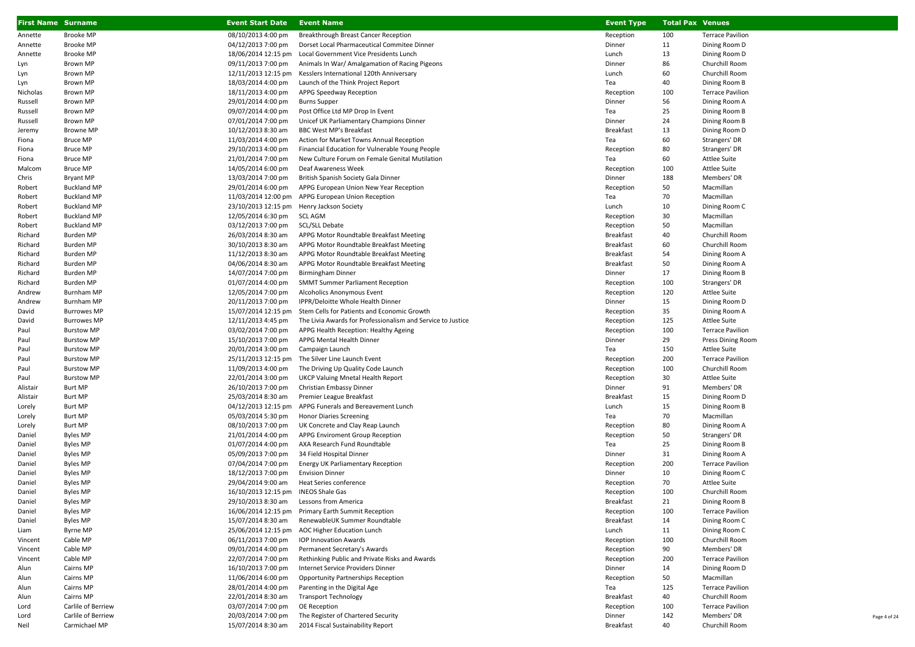| <b>First Name Surname</b> |                    | <b>Event Start Date</b>                   | <b>Event Name</b>                                           | <b>Event Type</b> | <b>Total Pax Venues</b> |                         |
|---------------------------|--------------------|-------------------------------------------|-------------------------------------------------------------|-------------------|-------------------------|-------------------------|
| Annette                   | <b>Brooke MP</b>   | 08/10/2013 4:00 pm                        | Breakthrough Breast Cancer Reception                        | Reception         | 100                     | <b>Terrace Pavilion</b> |
| Annette                   | Brooke MP          | 04/12/2013 7:00 pm                        | Dorset Local Pharmaceutical Commitee Dinner                 | Dinner            | 11                      | Dining Room D           |
| Annette                   | <b>Brooke MP</b>   | 18/06/2014 12:15 pm                       | Local Government Vice Presidents Lunch                      | Lunch             | 13                      | Dining Room D           |
| Lyn                       | Brown MP           | 09/11/2013 7:00 pm                        | Animals In War/ Amalgamation of Racing Pigeons              | Dinner            | 86                      | Churchill Room          |
| Lyn                       | Brown MP           | 12/11/2013 12:15 pm                       | Kesslers International 120th Anniversary                    | Lunch             | 60                      | Churchill Room          |
| Lyn                       | Brown MP           | 18/03/2014 4:00 pm                        | Launch of the Think Project Report                          | Tea               | 40                      | Dining Room B           |
| Nicholas                  | Brown MP           | 18/11/2013 4:00 pm                        | APPG Speedway Reception                                     | Reception         | 100                     | <b>Terrace Pavilion</b> |
| Russell                   | Brown MP           | 29/01/2014 4:00 pm                        | <b>Burns Supper</b>                                         | Dinner            | 56                      | Dining Room A           |
| Russell                   | Brown MP           | 09/07/2014 4:00 pm                        | Post Office Ltd MP Drop In Event                            | Tea               | 25                      | Dining Room B           |
| Russell                   | Brown MP           | 07/01/2014 7:00 pm                        | Unicef UK Parliamentary Champions Dinner                    | Dinner            | 24                      | Dining Room B           |
| Jeremy                    | Browne MP          | 10/12/2013 8:30 am                        | BBC West MP's Breakfast                                     | Breakfast         | 13                      | Dining Room D           |
| Fiona                     | <b>Bruce MP</b>    | 11/03/2014 4:00 pm                        | Action for Market Towns Annual Reception                    | Tea               | 60                      | Strangers' DR           |
| Fiona                     | <b>Bruce MP</b>    | 29/10/2013 4:00 pm                        | Financial Education for Vulnerable Young People             | Reception         | 80                      | Strangers' DR           |
| Fiona                     | <b>Bruce MP</b>    | 21/01/2014 7:00 pm                        | New Culture Forum on Female Genital Mutilation              | Tea               | 60                      | <b>Attlee Suite</b>     |
| Malcom                    | <b>Bruce MP</b>    | 14/05/2014 6:00 pm                        | Deaf Awareness Week                                         | Reception         | 100                     | <b>Attlee Suite</b>     |
| Chris                     | <b>Bryant MP</b>   | 13/03/2014 7:00 pm                        | British Spanish Society Gala Dinner                         | Dinner            | 188                     | Members' DR             |
| Robert                    | <b>Buckland MP</b> | 29/01/2014 6:00 pm                        | APPG European Union New Year Reception                      | Reception         | 50                      | Macmillan               |
| Robert                    | <b>Buckland MP</b> |                                           | 11/03/2014 12:00 pm APPG European Union Reception           | Tea               | 70                      | Macmillan               |
| Robert                    | <b>Buckland MP</b> | 23/10/2013 12:15 pm Henry Jackson Society |                                                             | Lunch             | 10                      | Dining Room C           |
| Robert                    | <b>Buckland MP</b> | 12/05/2014 6:30 pm                        | SCL AGM                                                     | Reception         | 30                      | Macmillan               |
| Robert                    | <b>Buckland MP</b> | 03/12/2013 7:00 pm                        | SCL/SLL Debate                                              | Reception         | 50                      | Macmillan               |
| Richard                   | Burden MP          | 26/03/2014 8:30 am                        | APPG Motor Roundtable Breakfast Meeting                     | Breakfast         | 40                      | Churchill Room          |
| Richard                   | <b>Burden MP</b>   | 30/10/2013 8:30 am                        | APPG Motor Roundtable Breakfast Meeting                     | <b>Breakfast</b>  | 60                      | Churchill Room          |
| Richard                   | Burden MP          | 11/12/2013 8:30 am                        | APPG Motor Roundtable Breakfast Meeting                     | Breakfast         | 54                      | Dining Room A           |
| Richard                   | Burden MP          | 04/06/2014 8:30 am                        | APPG Motor Roundtable Breakfast Meeting                     | Breakfast         | 50                      | Dining Room A           |
| Richard                   | Burden MP          | 14/07/2014 7:00 pm                        | <b>Birmingham Dinner</b>                                    | Dinner            | 17                      | Dining Room B           |
| Richard                   | Burden MP          | 01/07/2014 4:00 pm                        | <b>SMMT Summer Parliament Reception</b>                     | Reception         | 100                     | Strangers' DR           |
| Andrew                    | Burnham MP         | 12/05/2014 7:00 pm                        | Alcoholics Anonymous Event                                  | Reception         | 120                     | <b>Attlee Suite</b>     |
| Andrew                    | Burnham MP         | 20/11/2013 7:00 pm                        | IPPR/Deloitte Whole Health Dinner                           | Dinner            | 15                      | Dining Room D           |
| David                     | <b>Burrowes MP</b> | 15/07/2014 12:15 pm                       | Stem Cells for Patients and Economic Growth                 | Reception         | 35                      | Dining Room A           |
| David                     | <b>Burrowes MP</b> | 12/11/2013 4:45 pm                        | The Livia Awards for Professionalism and Service to Justice | Reception         | 125                     | <b>Attlee Suite</b>     |
| Paul                      | <b>Burstow MP</b>  | 03/02/2014 7:00 pm                        | APPG Health Reception: Healthy Ageing                       | Reception         | 100                     | <b>Terrace Pavilion</b> |
| Paul                      | <b>Burstow MP</b>  | 15/10/2013 7:00 pm                        | APPG Mental Health Dinner                                   | Dinner            | 29                      | Press Dining Room       |
| Paul                      | <b>Burstow MP</b>  | 20/01/2014 3:00 pm                        | Campaign Launch                                             | Tea               | 150                     | <b>Attlee Suite</b>     |
| Paul                      | <b>Burstow MP</b>  |                                           | 25/11/2013 12:15 pm The Silver Line Launch Event            | Reception         | 200                     | <b>Terrace Pavilion</b> |
| Paul                      | <b>Burstow MP</b>  | 11/09/2013 4:00 pm                        | The Driving Up Quality Code Launch                          | Reception         | 100                     | Churchill Room          |
| Paul                      | <b>Burstow MP</b>  | 22/01/2014 3:00 pm                        | <b>UKCP Valuing Mnetal Health Report</b>                    | Reception         | 30                      | <b>Attlee Suite</b>     |
| Alistair                  | Burt MP            | 26/10/2013 7:00 pm                        | Christian Embassy Dinner                                    | Dinner            | 91                      | Members' DR             |
| Alistair                  | Burt MP            | 25/03/2014 8:30 am                        | Premier League Breakfast                                    | Breakfast         | 15                      | Dining Room D           |
| Lorely                    | Burt MP            |                                           | 04/12/2013 12:15 pm APPG Funerals and Bereavement Lunch     | Lunch             | 15                      | Dining Room B           |
| Lorely                    | Burt MP            | 05/03/2014 5:30 pm                        | <b>Honor Diaries Screening</b>                              | Tea               | 70                      | Macmillan               |
| Lorely                    | Burt MP            | 08/10/2013 7:00 pm                        | UK Concrete and Clay Reap Launch                            | Reception         | 80                      | Dining Room A           |
| Daniel                    | <b>Byles MP</b>    | 21/01/2014 4:00 pm                        | APPG Enviroment Group Reception                             | Reception         | 50                      | Strangers' DR           |
| Daniel                    | <b>Byles MP</b>    | 01/07/2014 4:00 pm                        | AXA Research Fund Roundtable                                | Tea               | 25                      | Dining Room B           |
| Daniel                    | Byles MP           | 05/09/2013 7:00 pm                        | 34 Field Hospital Dinner                                    | Dinner            | 31                      | Dining Room A           |
| Daniel                    | Byles MP           | 07/04/2014 7:00 pm                        | Energy UK Parliamentary Reception                           | Reception         | 200                     | <b>Terrace Pavilion</b> |
| Daniel                    | Byles MP           | 18/12/2013 7:00 pm                        | <b>Envision Dinner</b>                                      | Dinner            | 10                      | Dining Room C           |
| Daniel                    | <b>Byles MP</b>    | 29/04/2014 9:00 am                        | Heat Series conference                                      | Reception         | 70                      | <b>Attlee Suite</b>     |
| Daniel                    | <b>Byles MP</b>    | 16/10/2013 12:15 pm INEOS Shale Gas       |                                                             | Reception         | 100                     | Churchill Room          |
| Daniel                    | <b>Byles MP</b>    | 29/10/2013 8:30 am                        | Lessons from America                                        | <b>Breakfast</b>  | 21                      | Dining Room B           |
| Daniel                    | Byles MP           |                                           | 16/06/2014 12:15 pm Primary Earth Summit Reception          | Reception         | 100                     | <b>Terrace Pavilion</b> |
| Daniel                    | Byles MP           | 15/07/2014 8:30 am                        | RenewableUK Summer Roundtable                               | Breakfast         | 14                      | Dining Room C           |
| Liam                      | Byrne MP           | 25/06/2014 12:15 pm                       | <b>AOC Higher Education Lunch</b>                           | Lunch             | 11                      | Dining Room C           |
| Vincent                   | Cable MP           | 06/11/2013 7:00 pm                        | <b>IOP Innovation Awards</b>                                | Reception         | 100                     | Churchill Room          |
| Vincent                   | Cable MP           | 09/01/2014 4:00 pm                        | Permanent Secretary's Awards                                | Reception         | 90                      | Members' DR             |
| Vincent                   | Cable MP           | 22/07/2014 7:00 pm                        | Rethinking Public and Private Risks and Awards              | Reception         | 200                     | <b>Terrace Pavilion</b> |
| Alun                      | Cairns MP          | 16/10/2013 7:00 pm                        | Internet Service Providers Dinner                           | Dinner            | 14                      | Dining Room D           |
| Alun                      | Cairns MP          | 11/06/2014 6:00 pm                        | Opportunity Partnerships Reception                          | Reception         | 50                      | Macmillan               |
| Alun                      | Cairns MP          | 28/01/2014 4:00 pm                        | Parenting in the Digital Age                                | Tea               | 125                     | <b>Terrace Pavilion</b> |
| Alun                      | Cairns MP          | 22/01/2014 8:30 am                        | <b>Transport Technology</b>                                 | Breakfast         | 40                      | Churchill Room          |
| Lord                      | Carlile of Berriew | 03/07/2014 7:00 pm                        | OE Reception                                                | Reception         | 100                     | <b>Terrace Pavilion</b> |
| Lord                      | Carlile of Berriew | 20/03/2014 7:00 pm                        | The Register of Chartered Security                          | Dinner            | 142                     | Members' DR             |
| Neil                      | Carmichael MP      | 15/07/2014 8:30 am                        | 2014 Fiscal Sustainability Report                           | <b>Breakfast</b>  | 40                      | Churchill Room          |

Page 4 of 24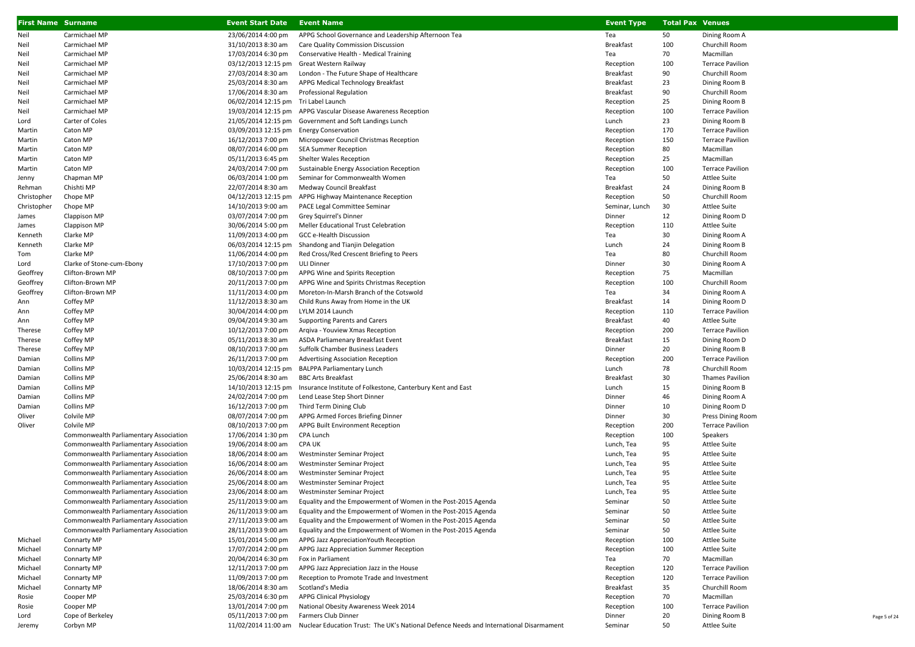| <b>First Name Surname</b> |                                        | <b>Event Start Date</b>                 | <b>Event Name</b>                                                                                          | <b>Event Type</b> | <b>Total Pax Venues</b> |                         |
|---------------------------|----------------------------------------|-----------------------------------------|------------------------------------------------------------------------------------------------------------|-------------------|-------------------------|-------------------------|
| Neil                      | Carmichael MP                          | 23/06/2014 4:00 pm                      | APPG School Governance and Leadership Afternoon Tea                                                        | Tea               | 50                      | Dining Room A           |
| Neil                      | Carmichael MP                          | 31/10/2013 8:30 am                      | Care Quality Commission Discussion                                                                         | Breakfast         | 100                     | Churchill Room          |
| Neil                      | Carmichael MP                          | 17/03/2014 6:30 pm                      | Conservative Health - Medical Training                                                                     | Tea               | 70                      | Macmillan               |
| Neil                      | Carmichael MP                          | 03/12/2013 12:15 pm                     | Great Western Railway                                                                                      | Reception         | 100                     | <b>Terrace Pavilion</b> |
| Neil                      | Carmichael MP                          | 27/03/2014 8:30 am                      | London - The Future Shape of Healthcare                                                                    | Breakfast         | 90                      | Churchill Room          |
| Neil                      | Carmichael MP                          | 25/03/2014 8:30 am                      | APPG Medical Technology Breakfast                                                                          | Breakfast         | 23                      | Dining Room B           |
| Neil                      | Carmichael MP                          | 17/06/2014 8:30 am                      | Professional Regulation                                                                                    | Breakfast         | 90                      | Churchill Room          |
| Neil                      | Carmichael MP                          | 06/02/2014 12:15 pm Tri Label Launch    |                                                                                                            | Reception         | 25                      | Dining Room B           |
| Neil                      | Carmichael MP                          | 19/03/2014 12:15 pm                     | APPG Vascular Disease Awareness Reception                                                                  | Reception         | 100                     | <b>Terrace Pavilion</b> |
| Lord                      | Carter of Coles                        | 21/05/2014 12:15 pm                     | Government and Soft Landings Lunch                                                                         | Lunch             | 23                      | Dining Room B           |
| Martin                    | Caton MP                               | 03/09/2013 12:15 pm Energy Conservation |                                                                                                            | Reception         | 170                     | <b>Terrace Pavilion</b> |
| Martin                    | Caton MP                               | 16/12/2013 7:00 pm                      | Micropower Council Christmas Reception                                                                     | Reception         | 150                     | <b>Terrace Pavilion</b> |
| Martin                    | Caton MP                               | 08/07/2014 6:00 pm                      | <b>SEA Summer Reception</b>                                                                                | Reception         | 80                      | Macmillan               |
| Martin                    | Caton MP                               | 05/11/2013 6:45 pm                      | Shelter Wales Reception                                                                                    | Reception         | 25                      | Macmillan               |
| Martin                    | Caton MP                               | 24/03/2014 7:00 pm                      | Sustainable Energy Association Reception                                                                   | Reception         | 100                     | <b>Terrace Pavilion</b> |
| Jenny                     | Chapman MP                             | 06/03/2014 1:00 pm                      | Seminar for Commonwealth Women                                                                             | Tea               | 50                      | Attlee Suite            |
| Rehman                    | Chishti MP                             | 22/07/2014 8:30 am                      | Medway Council Breakfast                                                                                   | <b>Breakfast</b>  | 24                      | Dining Room B           |
| Christopher               | Chope MP                               | 04/12/2013 12:15 pm                     | APPG Highway Maintenance Reception                                                                         | Reception         | 50                      | Churchill Room          |
| Christopher               | Chope MP                               | 14/10/2013 9:00 am                      | PACE Legal Committee Seminar                                                                               | Seminar, Lunch    | 30                      | Attlee Suite            |
| James                     | Clappison MP                           | 03/07/2014 7:00 pm                      | Grey Squirrel's Dinner                                                                                     | Dinner            | 12                      | Dining Room D           |
| James                     | Clappison MP                           | 30/06/2014 5:00 pm                      | Meller Educational Trust Celebration                                                                       | Reception         | 110                     | Attlee Suite            |
| Kenneth                   | Clarke MP                              | 11/09/2013 4:00 pm                      | GCC e-Health Discussion                                                                                    | Tea               | 30                      | Dining Room A           |
| Kenneth                   | Clarke MP                              | 06/03/2014 12:15 pm                     | Shandong and Tianjin Delegation                                                                            | Lunch             | 24                      | Dining Room B           |
| Tom                       | Clarke MP                              | 11/06/2014 4:00 pm                      | Red Cross/Red Crescent Briefing to Peers                                                                   | Tea               | 80                      | Churchill Room          |
| Lord                      | Clarke of Stone-cum-Ebony              | 17/10/2013 7:00 pm                      | <b>ULI Dinner</b>                                                                                          | Dinner            | 30                      | Dining Room A           |
| Geoffrey                  | Clifton-Brown MP                       | 08/10/2013 7:00 pm                      | APPG Wine and Spirits Reception                                                                            | Reception         | 75                      | Macmillan               |
| Geoffrey                  | Clifton-Brown MP                       | 20/11/2013 7:00 pm                      | APPG Wine and Spirits Christmas Reception                                                                  | Reception         | 100                     | Churchill Room          |
| Geoffrey                  | Clifton-Brown MP                       | 11/11/2013 4:00 pm                      | Moreton-In-Marsh Branch of the Cotswold                                                                    | Tea               | 34                      | Dining Room A           |
| Ann                       | Coffey MP                              | 11/12/2013 8:30 am                      | Child Runs Away from Home in the UK                                                                        | Breakfast         | 14                      | Dining Room D           |
| Ann                       | Coffey MP                              | 30/04/2014 4:00 pm                      | LYLM 2014 Launch                                                                                           | Reception         | 110                     | <b>Terrace Pavilion</b> |
| Ann                       | Coffey MP                              | 09/04/2014 9:30 am                      | Supporting Parents and Carers                                                                              | Breakfast         | 40                      | <b>Attlee Suite</b>     |
| Therese                   | Coffey MP                              | 10/12/2013 7:00 pm                      | Argiva - Youview Xmas Reception                                                                            | Reception         | 200                     | <b>Terrace Pavilion</b> |
| Therese                   | Coffey MP                              | 05/11/2013 8:30 am                      | ASDA Parliamenary Breakfast Event                                                                          | Breakfast         | 15                      | Dining Room D           |
| Therese                   | Coffey MP                              | 08/10/2013 7:00 pm                      | Suffolk Chamber Business Leaders                                                                           | Dinner            | 20                      | Dining Room B           |
| Damian                    | Collins MP                             | 26/11/2013 7:00 pm                      | Advertising Association Reception                                                                          | Reception         | 200                     | <b>Terrace Pavilion</b> |
| Damian                    | Collins MP                             | 10/03/2014 12:15 pm                     | <b>BALPPA Parliamentary Lunch</b>                                                                          | Lunch             | 78                      | Churchill Room          |
| Damian                    | Collins MP                             | 25/06/2014 8:30 am                      | <b>BBC Arts Breakfast</b>                                                                                  | Breakfast         | 30                      | <b>Thames Pavilion</b>  |
| Damian                    | Collins MP                             | 14/10/2013 12:15 pm                     | Insurance Institute of Folkestone, Canterbury Kent and East                                                | Lunch             | 15                      | Dining Room B           |
| Damian                    | Collins MP                             | 24/02/2014 7:00 pm                      | Lend Lease Step Short Dinner                                                                               | Dinner            | 46                      | Dining Room A           |
| Damian                    | <b>Collins MP</b>                      | 16/12/2013 7:00 pm                      | Third Term Dining Club                                                                                     | Dinner            | 10                      | Dining Room D           |
| Oliver                    | Colvile MP                             | 08/07/2014 7:00 pm                      | APPG Armed Forces Briefing Dinner                                                                          | Dinner            | 30                      | Press Dining Room       |
| Oliver                    | Colvile MP                             | 08/10/2013 7:00 pm                      | APPG Built Environment Reception                                                                           | Reception         | 200                     | <b>Terrace Pavilion</b> |
|                           | Commonwealth Parliamentary Association | 17/06/2014 1:30 pm                      | CPA Lunch                                                                                                  | Reception         | 100                     | Speakers                |
|                           | Commonwealth Parliamentary Association | 19/06/2014 8:00 am                      | <b>CPA UK</b>                                                                                              | Lunch, Tea        | 95                      | Attlee Suite            |
|                           | Commonwealth Parliamentary Association | 18/06/2014 8:00 am                      | Westminster Seminar Project                                                                                | Lunch, Tea        | 95                      | <b>Attlee Suite</b>     |
|                           | Commonwealth Parliamentary Association | 16/06/2014 8:00 am                      | Westminster Seminar Project                                                                                | Lunch, Tea        | 95                      | <b>Attlee Suite</b>     |
|                           | Commonwealth Parliamentary Association | 26/06/2014 8:00 am                      | Westminster Seminar Project                                                                                | Lunch, Tea        | 95                      | <b>Attlee Suite</b>     |
|                           | Commonwealth Parliamentary Association | 25/06/2014 8:00 am                      | Westminster Seminar Project                                                                                | Lunch, Tea        | 95                      | <b>Attlee Suite</b>     |
|                           | Commonwealth Parliamentary Association | 23/06/2014 8:00 am                      | Westminster Seminar Project                                                                                | Lunch, Tea        | 95                      | <b>Attlee Suite</b>     |
|                           | Commonwealth Parliamentary Association | 25/11/2013 9:00 am                      | Equality and the Empowerment of Women in the Post-2015 Agenda                                              | Seminar           | 50                      | <b>Attlee Suite</b>     |
|                           | Commonwealth Parliamentary Association | 26/11/2013 9:00 am                      | Equality and the Empowerment of Women in the Post-2015 Agenda                                              | Seminar           | 50                      | Attlee Suite            |
|                           | Commonwealth Parliamentary Association | 27/11/2013 9:00 am                      | Equality and the Empowerment of Women in the Post-2015 Agenda                                              | Seminar           | 50                      | <b>Attlee Suite</b>     |
|                           | Commonwealth Parliamentary Association | 28/11/2013 9:00 am                      | Equality and the Empowerment of Women in the Post-2015 Agenda                                              | Seminar           | 50                      | <b>Attlee Suite</b>     |
| Michael                   | Connarty MP                            | 15/01/2014 5:00 pm                      | APPG Jazz Appreciation Youth Reception                                                                     | Reception         | 100                     | <b>Attlee Suite</b>     |
| Michael                   | Connarty MP                            | 17/07/2014 2:00 pm                      | APPG Jazz Appreciation Summer Reception                                                                    | Reception         | 100                     | Attlee Suite            |
| Michael                   | Connarty MP                            | 20/04/2014 6:30 pm                      | Fox in Parliament                                                                                          | Tea               | 70                      | Macmillan               |
| Michael                   | Connarty MP                            | 12/11/2013 7:00 pm                      | APPG Jazz Appreciation Jazz in the House                                                                   | Reception         | 120                     | <b>Terrace Pavilion</b> |
| Michael                   | Connarty MP                            | 11/09/2013 7:00 pm                      | Reception to Promote Trade and Investment                                                                  | Reception         | 120                     | <b>Terrace Pavilion</b> |
| Michael                   | Connarty MP                            | 18/06/2014 8:30 am                      | Scotland's Media                                                                                           | Breakfast         | 35                      | Churchill Room          |
| Rosie                     | Cooper MP                              | 25/03/2014 6:30 pm                      | <b>APPG Clinical Physiology</b>                                                                            | Reception         | 70                      | Macmillan               |
| Rosie                     | Cooper MP                              | 13/01/2014 7:00 pm                      | National Obesity Awareness Week 2014                                                                       | Reception         | 100                     | <b>Terrace Pavilion</b> |
| Lord                      | Cope of Berkeley                       | 05/11/2013 7:00 pm                      | Farmers Club Dinner                                                                                        | Dinner            | 20                      | Dining Room B           |
| Jeremy                    | Corbyn MP                              |                                         | 11/02/2014 11:00 am Nuclear Education Trust: The UK's National Defence Needs and International Disarmament | Seminar           | 50                      | <b>Attlee Suite</b>     |

Page 5 of 24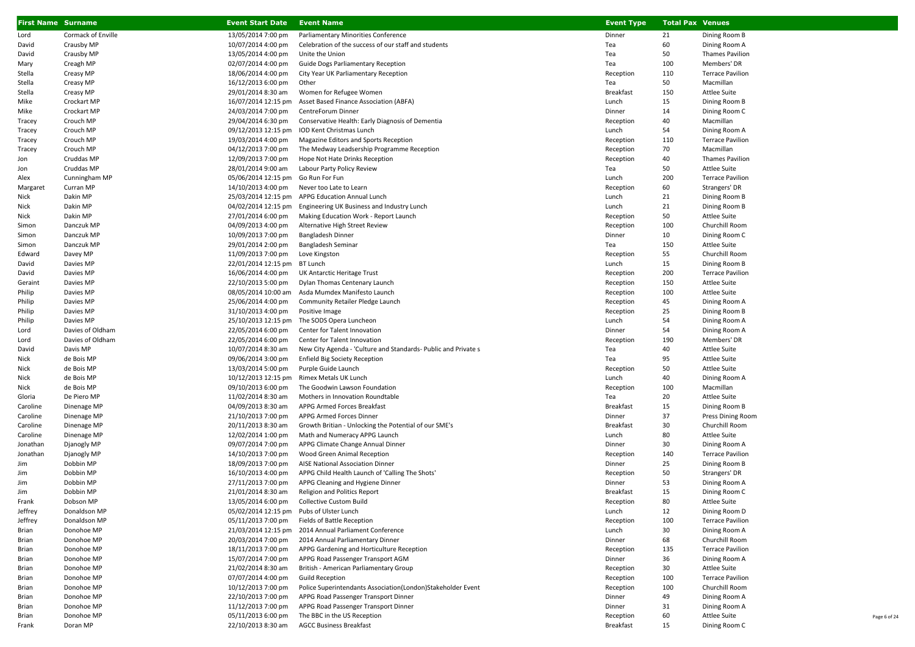| <b>First Name Surname</b> |                           | <b>Event Start Date</b>                   | <b>Event Name</b>                                                                     | <b>Event Type</b>      | <b>Total Pax Venues</b> |                                           |
|---------------------------|---------------------------|-------------------------------------------|---------------------------------------------------------------------------------------|------------------------|-------------------------|-------------------------------------------|
| Lord                      | <b>Cormack of Enville</b> | 13/05/2014 7:00 pm                        | Parliamentary Minorities Conference                                                   | Dinner                 | 21                      | Dining Room B                             |
| David                     | Crausby MP                | 10/07/2014 4:00 pm                        | Celebration of the success of our staff and students                                  | Tea                    | 60                      | Dining Room A                             |
| David                     | Crausby MP                | 13/05/2014 4:00 pm                        | Unite the Union                                                                       | Tea                    | 50                      | <b>Thames Pavilion</b>                    |
| Mary                      | Creagh MP                 | 02/07/2014 4:00 pm                        | Guide Dogs Parliamentary Reception                                                    | Tea                    | 100                     | Members' DR                               |
| Stella                    | Creasy MP                 | 18/06/2014 4:00 pm                        | City Year UK Parliamentary Reception                                                  | Reception              | 110                     | <b>Terrace Pavilion</b>                   |
| Stella                    | Creasy MP                 | 16/12/2013 6:00 pm                        | Other                                                                                 | Tea                    | 50                      | Macmillan                                 |
| Stella                    | Creasy MP                 | 29/01/2014 8:30 am                        | Women for Refugee Women                                                               | Breakfast              | 150                     | Attlee Suite                              |
| Mike                      | Crockart MP               | 16/07/2014 12:15 pm                       | Asset Based Finance Association (ABFA)                                                | Lunch                  | 15                      | Dining Room B                             |
| Mike                      | Crockart MP               | 24/03/2014 7:00 pm                        | CentreForum Dinner                                                                    | Dinner                 | 14                      | Dining Room C                             |
| Tracey                    | Crouch MP                 | 29/04/2014 6:30 pm                        | Conservative Health: Early Diagnosis of Dementia                                      | Reception              | 40                      | Macmillan                                 |
| Tracey                    | Crouch MP                 | 09/12/2013 12:15 pm                       | IOD Kent Christmas Lunch                                                              | Lunch                  | 54                      | Dining Room A                             |
| Tracey                    | Crouch MP                 | 19/03/2014 4:00 pm                        | Magazine Editors and Sports Reception                                                 | Reception              | 110                     | <b>Terrace Pavilion</b>                   |
| Tracey                    | Crouch MP                 | 04/12/2013 7:00 pm                        | The Medway Leadsership Programme Reception                                            | Reception              | 70                      | Macmillan                                 |
| Jon                       | Cruddas MP                | 12/09/2013 7:00 pm                        | Hope Not Hate Drinks Reception                                                        | Reception              | 40                      | <b>Thames Pavilion</b>                    |
| Jon                       | Cruddas MP                | 28/01/2014 9:00 am                        | Labour Party Policy Review                                                            | Tea                    | 50                      | <b>Attlee Suite</b>                       |
| Alex                      | Cunningham MP             | 05/06/2014 12:15 pm Go Run For Fun        |                                                                                       | Lunch                  | 200                     | <b>Terrace Pavilion</b>                   |
| Margaret                  | Curran MP                 | 14/10/2013 4:00 pm                        | Never too Late to Learn                                                               | Reception              | 60                      | Strangers' DR                             |
| Nick                      | Dakin MP                  |                                           | 25/03/2014 12:15 pm APPG Education Annual Lunch                                       | Lunch                  | 21                      | Dining Room B                             |
| Nick                      | Dakin MP                  | 04/02/2014 12:15 pm                       | Engineering UK Business and Industry Lunch                                            | Lunch                  | 21                      | Dining Room B                             |
| Nick                      | Dakin MP                  | 27/01/2014 6:00 pm                        | Making Education Work - Report Launch                                                 | Reception              | 50                      | <b>Attlee Suite</b>                       |
| Simon                     | Danczuk MP                | 04/09/2013 4:00 pm                        | Alternative High Street Review                                                        | Reception              | 100                     | Churchill Room                            |
| Simon                     | Danczuk MP                | 10/09/2013 7:00 pm                        | <b>Bangladesh Dinner</b>                                                              | Dinner                 | 10                      | Dining Room C                             |
| Simon                     | Danczuk MP                | 29/01/2014 2:00 pm                        | Bangladesh Seminar                                                                    | Tea                    | 150                     | <b>Attlee Suite</b>                       |
| Edward                    | Davey MP                  | 11/09/2013 7:00 pm<br>22/01/2014 12:15 pm | Love Kingston                                                                         | Reception              | 55<br>15                | Churchill Room                            |
| David                     | Davies MP                 |                                           | BT Lunch                                                                              | Lunch                  | 200                     | Dining Room B<br><b>Terrace Pavilion</b>  |
| David<br>Geraint          | Davies MP<br>Davies MP    | 16/06/2014 4:00 pm<br>22/10/2013 5:00 pm  | UK Antarctic Heritage Trust<br>Dylan Thomas Centenary Launch                          | Reception<br>Reception | 150                     | <b>Attlee Suite</b>                       |
| Philip                    | Davies MP                 | 08/05/2014 10:00 am                       | Asda Mumdex Manifesto Launch                                                          | Reception              | 100                     | Attlee Suite                              |
| Philip                    | Davies MP                 | 25/06/2014 4:00 pm                        | Community Retailer Pledge Launch                                                      | Reception              | 45                      | Dining Room A                             |
| Philip                    | Davies MP                 | 31/10/2013 4:00 pm                        | Positive Image                                                                        | Reception              | 25                      | Dining Room B                             |
| Philip                    | Davies MP                 | 25/10/2013 12:15 pm                       | The SODS Opera Luncheon                                                               | Lunch                  | 54                      | Dining Room A                             |
| Lord                      | Davies of Oldham          | 22/05/2014 6:00 pm                        | Center for Talent Innovation                                                          | Dinner                 | 54                      | Dining Room A                             |
| Lord                      | Davies of Oldham          | 22/05/2014 6:00 pm                        | Center for Talent Innovation                                                          | Reception              | 190                     | Members' DR                               |
| David                     | Davis MP                  | 10/07/2014 8:30 am                        | New City Agenda - 'Culture and Standards- Public and Private s                        | Tea                    | 40                      | <b>Attlee Suite</b>                       |
| Nick                      | de Bois MP                | 09/06/2014 3:00 pm                        | <b>Enfield Big Society Reception</b>                                                  | Tea                    | 95                      | <b>Attlee Suite</b>                       |
| Nick                      | de Bois MP                | 13/03/2014 5:00 pm                        | Purple Guide Launch                                                                   | Reception              | 50                      | <b>Attlee Suite</b>                       |
| Nick                      | de Bois MP                | 10/12/2013 12:15 pm                       | Rimex Metals UK Lunch                                                                 | Lunch                  | 40                      | Dining Room A                             |
| Nick                      | de Bois MP                | 09/10/2013 6:00 pm                        | The Goodwin Lawson Foundation                                                         | Reception              | 100                     | Macmillan                                 |
| Gloria                    | De Piero MP               | 11/02/2014 8:30 am                        | Mothers in Innovation Roundtable                                                      | Tea                    | 20                      | Attlee Suite                              |
| Caroline                  | Dinenage MP               | 04/09/2013 8:30 am                        | APPG Armed Forces Breakfast                                                           | <b>Breakfast</b>       | 15                      | Dining Room B                             |
| Caroline                  | Dinenage MP               | 21/10/2013 7:00 pm                        | APPG Armed Forces Dinner                                                              | Dinner                 | 37                      | Press Dining Room                         |
| Caroline                  | Dinenage MP               | 20/11/2013 8:30 am                        | Growth Britian - Unlocking the Potential of our SME's                                 | <b>Breakfast</b>       | 30                      | Churchill Room                            |
| Caroline                  | Dinenage MP               | 12/02/2014 1:00 pm                        | Math and Numeracy APPG Launch                                                         | Lunch                  | 80                      | Attlee Suite                              |
| Jonathan                  | Djanogly MP               | 09/07/2014 7:00 pm                        | APPG Climate Change Annual Dinner                                                     | Dinner                 | 30                      | Dining Room A                             |
| Jonathan                  | Djanogly MP               | 14/10/2013 7:00 pm                        | Wood Green Animal Reception                                                           | Reception              | 140                     | <b>Terrace Pavilion</b>                   |
| Jim                       | Dobbin MP                 | 18/09/2013 7:00 pm                        | AISE National Association Dinner                                                      | Dinner                 | 25                      | Dining Room B                             |
| Jim                       | Dobbin MP                 | 16/10/2013 4:00 pm                        | APPG Child Health Launch of 'Calling The Shots'                                       | Reception              | 50                      | Strangers' DR                             |
| Jim                       | Dobbin MP                 | 27/11/2013 7:00 pm                        | APPG Cleaning and Hygiene Dinner                                                      | Dinner                 | 53                      | Dining Room A                             |
| Jim                       | Dobbin MP                 | 21/01/2014 8:30 am                        | <b>Religion and Politics Report</b>                                                   | <b>Breakfast</b>       | 15                      | Dining Room C                             |
| Frank                     | Dobson MP                 | 13/05/2014 6:00 pm                        | <b>Collective Custom Build</b>                                                        | Reception              | 80                      | <b>Attlee Suite</b>                       |
| Jeffrey                   | Donaldson MP              | 05/02/2014 12:15 pm Pubs of Ulster Lunch  |                                                                                       | Lunch                  | 12                      | Dining Room D                             |
| Jeffrey                   | Donaldson MP              | 05/11/2013 7:00 pm                        | Fields of Battle Reception                                                            | Reception              | 100                     | <b>Terrace Pavilion</b>                   |
| Brian                     | Donohoe MP                | 21/03/2014 12:15 pm                       | 2014 Annual Parliament Conference                                                     | Lunch                  | 30                      | Dining Room A                             |
| Brian                     | Donohoe MP                | 20/03/2014 7:00 pm                        | 2014 Annual Parliamentary Dinner                                                      | Dinner                 | 68                      | Churchill Room                            |
| Brian                     | Donohoe MP                | 18/11/2013 7:00 pm                        | APPG Gardening and Horticulture Reception                                             | Reception              | 135                     | <b>Terrace Pavilion</b>                   |
| Brian                     | Donohoe MP                | 15/07/2014 7:00 pm                        | APPG Road Passenger Transport AGM                                                     | Dinner                 | 36                      | Dining Room A<br>Attlee Suite             |
| Brian                     | Donohoe MP                | 21/02/2014 8:30 am                        | British - American Parliamentary Group                                                | Reception              | 30                      |                                           |
| Brian<br>Brian            | Donohoe MP<br>Donohoe MP  | 07/07/2014 4:00 pm<br>10/12/2013 7:00 pm  | <b>Guild Reception</b><br>Police Superintendants Association(London)Stakeholder Event | Reception<br>Reception | 100<br>100              | <b>Terrace Pavilion</b><br>Churchill Room |
| Brian                     | Donohoe MP                | 22/10/2013 7:00 pm                        | APPG Road Passenger Transport Dinner                                                  | Dinner                 | 49                      | Dining Room A                             |
| Brian                     | Donohoe MP                | 11/12/2013 7:00 pm                        | APPG Road Passenger Transport Dinner                                                  | Dinner                 | 31                      | Dining Room A                             |
| Brian                     | Donohoe MP                | 05/11/2013 6:00 pm                        | The BBC in the US Reception                                                           | Reception              | 60                      | Attlee Suite                              |
| Frank                     | Doran MP                  | 22/10/2013 8:30 am                        | <b>AGCC Business Breakfast</b>                                                        | <b>Breakfast</b>       | 15                      | Dining Room C                             |
|                           |                           |                                           |                                                                                       |                        |                         |                                           |

Page 6 of 24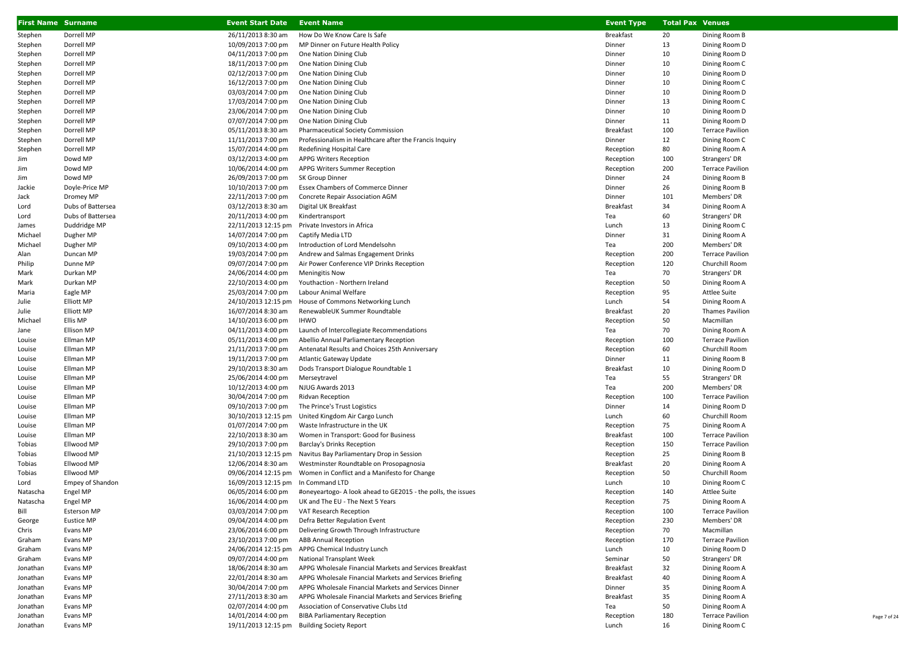| <b>First Name Surname</b> |                         | <b>Event Start Date</b>            | <b>Event Name</b>                                                              | <b>Event Type</b> | <b>Total Pax Venues</b> |                         |
|---------------------------|-------------------------|------------------------------------|--------------------------------------------------------------------------------|-------------------|-------------------------|-------------------------|
| Stephen                   | Dorrell MP              | 26/11/2013 8:30 am                 | How Do We Know Care Is Safe                                                    | <b>Breakfast</b>  | 20                      | Dining Room B           |
| Stephen                   | Dorrell MP              | 10/09/2013 7:00 pm                 | MP Dinner on Future Health Policy                                              | Dinner            | 13                      | Dining Room D           |
| Stephen                   | Dorrell MP              | 04/11/2013 7:00 pm                 | One Nation Dining Club                                                         | Dinner            | 10                      | Dining Room D           |
| Stephen                   | Dorrell MP              | 18/11/2013 7:00 pm                 | One Nation Dining Club                                                         | Dinner            | 10                      | Dining Room C           |
| Stephen                   | Dorrell MP              | 02/12/2013 7:00 pm                 | One Nation Dining Club                                                         | Dinner            | 10                      | Dining Room D           |
| Stephen                   | Dorrell MP              | 16/12/2013 7:00 pm                 | One Nation Dining Club                                                         | Dinner            | 10                      | Dining Room C           |
| Stephen                   | Dorrell MP              | 03/03/2014 7:00 pm                 | One Nation Dining Club                                                         | Dinner            | 10                      | Dining Room D           |
| Stephen                   | Dorrell MP              | 17/03/2014 7:00 pm                 | One Nation Dining Club                                                         | Dinner            | 13                      | Dining Room C           |
| Stephen                   | Dorrell MP              | 23/06/2014 7:00 pm                 | One Nation Dining Club                                                         | Dinner            | 10                      | Dining Room D           |
| Stephen                   | Dorrell MP              | 07/07/2014 7:00 pm                 | One Nation Dining Club                                                         | Dinner            | 11                      | Dining Room D           |
| Stephen                   | Dorrell MP              | 05/11/2013 8:30 am                 | Pharmaceutical Society Commission                                              | <b>Breakfast</b>  | 100                     | <b>Terrace Pavilion</b> |
| Stephen                   | Dorrell MP              | 11/11/2013 7:00 pm                 | Professionalism in Healthcare after the Francis Inquiry                        | Dinner            | 12                      | Dining Room C           |
| Stephen                   | Dorrell MP              | 15/07/2014 4:00 pm                 | Redefining Hospital Care                                                       | Reception         | 80                      | Dining Room A           |
| Jim                       | Dowd MP                 | 03/12/2013 4:00 pm                 | <b>APPG Writers Reception</b>                                                  | Reception         | 100                     | Strangers' DR           |
| Jim                       | Dowd MP                 | 10/06/2014 4:00 pm                 | APPG Writers Summer Reception                                                  | Reception         | 200                     | <b>Terrace Pavilion</b> |
| Jim                       | Dowd MP                 | 26/09/2013 7:00 pm                 | SK Group Dinner                                                                | Dinner            | 24                      | Dining Room B           |
| Jackie                    | Doyle-Price MP          | 10/10/2013 7:00 pm                 | Essex Chambers of Commerce Dinner                                              | Dinner            | 26                      | Dining Room B           |
| Jack                      | Dromey MP               | 22/11/2013 7:00 pm                 | Concrete Repair Association AGM                                                | Dinner            | 101                     | Members' DR             |
| Lord                      | Dubs of Battersea       | 03/12/2013 8:30 am                 | Digital UK Breakfast                                                           | <b>Breakfast</b>  | 34                      | Dining Room A           |
| Lord                      | Dubs of Battersea       | 20/11/2013 4:00 pm                 | Kindertransport                                                                | Tea               | 60                      | Strangers' DR           |
| James                     | Duddridge MP            |                                    | 22/11/2013 12:15 pm Private Investors in Africa                                | Lunch             | 13                      | Dining Room C           |
| Michael                   | Dugher MP               | 14/07/2014 7:00 pm                 | Captify Media LTD                                                              | Dinner            | 31                      | Dining Room A           |
| Michael                   | Dugher MP               | 09/10/2013 4:00 pm                 | Introduction of Lord Mendelsohn                                                | Tea               | 200                     | Members' DR             |
| Alan                      | Duncan MP               | 19/03/2014 7:00 pm                 | Andrew and Salmas Engagement Drinks                                            | Reception         | 200                     | <b>Terrace Pavilion</b> |
| Philip                    | Dunne MP                | 09/07/2014 7:00 pm                 | Air Power Conference VIP Drinks Reception                                      | Reception         | 120                     | Churchill Room          |
| Mark                      | Durkan MP               | 24/06/2014 4:00 pm                 | <b>Meningitis Now</b>                                                          | Tea               | 70                      | Strangers' DR           |
| Mark                      | Durkan MP               | 22/10/2013 4:00 pm                 | Youthaction - Northern Ireland                                                 | Reception         | 50                      | Dining Room A           |
| Maria                     | Eagle MP                | 25/03/2014 7:00 pm                 | Labour Animal Welfare                                                          | Reception         | 95                      | <b>Attlee Suite</b>     |
| Julie                     | Elliott MP              | 24/10/2013 12:15 pm                | House of Commons Networking Lunch                                              | Lunch             | 54                      | Dining Room A           |
| Julie                     | Elliott MP              | 16/07/2014 8:30 am                 | RenewableUK Summer Roundtable                                                  | <b>Breakfast</b>  | 20                      | Thames Pavilion         |
| Michael                   | Ellis MP                | 14/10/2013 6:00 pm                 | <b>IHWO</b>                                                                    | Reception         | 50                      | Macmillan               |
| Jane                      | <b>Ellison MP</b>       | 04/11/2013 4:00 pm                 | Launch of Intercollegiate Recommendations                                      | Tea               | 70                      | Dining Room A           |
| Louise                    | Ellman MP               | 05/11/2013 4:00 pm                 | Abellio Annual Parliamentary Reception                                         | Reception         | 100                     | <b>Terrace Pavilion</b> |
| Louise                    | Ellman MP               | 21/11/2013 7:00 pm                 | Antenatal Results and Choices 25th Anniversary                                 | Reception         | 60                      | Churchill Room          |
| Louise                    | Ellman MP               | 19/11/2013 7:00 pm                 | Atlantic Gateway Update                                                        | Dinner            | 11                      | Dining Room B           |
| Louise                    | Ellman MP               | 29/10/2013 8:30 am                 | Dods Transport Dialogue Roundtable 1                                           | <b>Breakfast</b>  | 10                      | Dining Room D           |
| Louise                    | Ellman MP               | 25/06/2014 4:00 pm                 | Merseytravel                                                                   | Tea               | 55                      | Strangers' DR           |
| Louise                    | Ellman MP               | 10/12/2013 4:00 pm                 | NJUG Awards 2013                                                               | Tea               | 200                     | Members' DR             |
| Louise                    | Ellman MP               | 30/04/2014 7:00 pm                 | Ridvan Reception                                                               | Reception         | 100                     | <b>Terrace Pavilion</b> |
| Louise                    | Ellman MP               | 09/10/2013 7:00 pm                 | The Prince's Trust Logistics                                                   | Dinner            | 14                      | Dining Room D           |
| Louise                    | Ellman MP               | 30/10/2013 12:15 pm                | United Kingdom Air Cargo Lunch                                                 | Lunch             | 60                      | Churchill Room          |
| Louise                    | Ellman MP               | 01/07/2014 7:00 pm                 | Waste Infrastructure in the UK                                                 | Reception         | 75                      | Dining Room A           |
| Louise                    | Ellman MP               | 22/10/2013 8:30 am                 | Women in Transport: Good for Business                                          | <b>Breakfast</b>  | 100                     | <b>Terrace Pavilion</b> |
| Tobias                    | Ellwood MP              | 29/10/2013 7:00 pm                 | <b>Barclay's Drinks Reception</b>                                              | Reception         | 150                     | <b>Terrace Pavilion</b> |
| Tobias                    | Ellwood MP              | 21/10/2013 12:15 pm                | Navitus Bay Parliamentary Drop in Session                                      | Reception         | 25                      | Dining Room B           |
| Tobias                    | Ellwood MP              | 12/06/2014 8:30 am                 | Westminster Roundtable on Prosopagnosia                                        | <b>Breakfast</b>  | 20                      | Dining Room A           |
| Tobias                    | Ellwood MP              |                                    | 09/06/2014 12:15 pm Women in Conflict and a Manifesto for Change               | Reception         | 50                      | Churchill Room          |
| Lord                      | <b>Empey of Shandon</b> | 16/09/2013 12:15 pm In Command LTD |                                                                                | Lunch             | 10                      | Dining Room C           |
| Natascha                  | Engel MP                |                                    | 06/05/2014 6:00 pm #oneyeartogo-A look ahead to GE2015 - the polls, the issues | Reception         | 140                     | <b>Attlee Suite</b>     |
| Natascha                  | Engel MP                |                                    | 16/06/2014 4:00 pm UK and The EU - The Next 5 Years                            | Reception         | 75                      | Dining Room A           |
| Bill                      | Esterson MP             | 03/03/2014 7:00 pm                 | VAT Research Reception                                                         | Reception         | 100                     | <b>Terrace Pavilion</b> |
| George                    | Eustice MP              | 09/04/2014 4:00 pm                 | Defra Better Regulation Event                                                  | Reception         | 230                     | Members' DR             |
| Chris                     | Evans MP                | 23/06/2014 6:00 pm                 | Delivering Growth Through Infrastructure                                       | Reception         | 70                      | Macmillan               |
| Graham                    | Evans MP                | 23/10/2013 7:00 pm                 | <b>ABB Annual Reception</b>                                                    | Reception         | 170                     | <b>Terrace Pavilion</b> |
| Graham                    | Evans MP                |                                    | 24/06/2014 12:15 pm APPG Chemical Industry Lunch                               | Lunch             | 10                      | Dining Room D           |
| Graham                    | Evans MP                | 09/07/2014 4:00 pm                 | National Transplant Week                                                       | Seminar           | 50                      | Strangers' DR           |
| Jonathan                  | Evans MP                | 18/06/2014 8:30 am                 | APPG Wholesale Financial Markets and Services Breakfast                        | <b>Breakfast</b>  | 32                      | Dining Room A           |
| Jonathan                  | Evans MP                | 22/01/2014 8:30 am                 | APPG Wholesale Financial Markets and Services Briefing                         | <b>Breakfast</b>  | 40                      | Dining Room A           |
| Jonathan                  | Evans MP                | 30/04/2014 7:00 pm                 | APPG Wholesale Financial Markets and Services Dinner                           | Dinner            | 35                      | Dining Room A           |
| Jonathan                  | Evans MP                | 27/11/2013 8:30 am                 | APPG Wholesale Financial Markets and Services Briefing                         | <b>Breakfast</b>  | 35                      | Dining Room A           |
| Jonathan                  | Evans MP                | 02/07/2014 4:00 pm                 | Association of Conservative Clubs Ltd                                          | Tea               | 50                      | Dining Room A           |
| Jonathan                  | Evans MP                | 14/01/2014 4:00 pm                 | <b>BIBA Parliamentary Reception</b>                                            | Reception         | 180                     | <b>Terrace Pavilion</b> |
| Jonathan                  | Evans MP                |                                    | 19/11/2013 12:15 pm Building Society Report                                    | Lunch             | 16                      | Dining Room C           |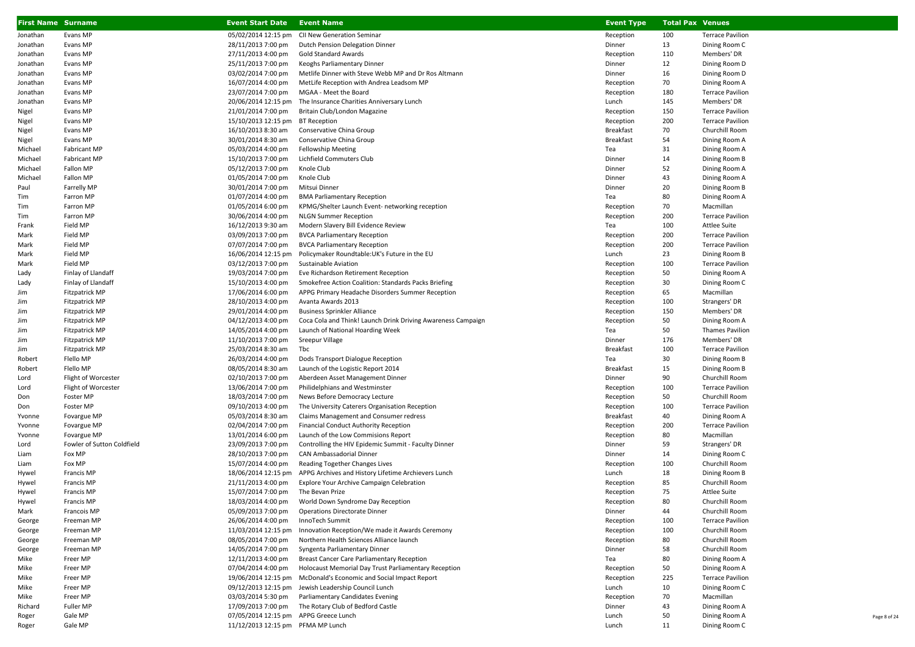| <b>First Name Surname</b> |                                      | <b>Event Start Date Event Name</b>       |                                                                                       | <b>Event Type</b>      | <b>Total Pax Venues</b> |                                 |
|---------------------------|--------------------------------------|------------------------------------------|---------------------------------------------------------------------------------------|------------------------|-------------------------|---------------------------------|
| Jonathan                  | Evans MP                             | 05/02/2014 12:15 pm                      | CII New Generation Seminar                                                            | Reception              | 100                     | <b>Terrace Pavilion</b>         |
| Jonathan                  | Evans MP                             | 28/11/2013 7:00 pm                       | Dutch Pension Delegation Dinner                                                       | Dinner                 | 13                      | Dining Room C                   |
| Jonathan                  | Evans MP                             | 27/11/2013 4:00 pm                       | Gold Standard Awards                                                                  | Reception              | 110                     | Members' DR                     |
| Jonathan                  | Evans MP                             | 25/11/2013 7:00 pm                       | Keoghs Parliamentary Dinner                                                           | Dinner                 | 12                      | Dining Room D                   |
| Jonathan                  | Evans MP                             | 03/02/2014 7:00 pm                       | Metlife Dinner with Steve Webb MP and Dr Ros Altmann                                  | Dinner                 | 16                      | Dining Room D                   |
| Jonathan                  | Evans MP                             | 16/07/2014 4:00 pm                       | MetLife Reception with Andrea Leadsom MP                                              | Reception              | 70                      | Dining Room A                   |
| Jonathan                  | Evans MP                             | 23/07/2014 7:00 pm                       | MGAA - Meet the Board                                                                 | Reception              | 180                     | <b>Terrace Pavilion</b>         |
| Jonathan                  | Evans MP                             |                                          | 20/06/2014 12:15 pm The Insurance Charities Anniversary Lunch                         | Lunch                  | 145                     | Members' DR                     |
| Nigel                     | Evans MP                             | 21/01/2014 7:00 pm                       | Britain Club/London Magazine                                                          | Reception              | 150                     | <b>Terrace Pavilion</b>         |
| Nigel                     | Evans MP                             | 15/10/2013 12:15 pm BT Reception         |                                                                                       | Reception              | 200                     | <b>Terrace Pavilion</b>         |
| Nigel                     | Evans MP                             | 16/10/2013 8:30 am                       | Conservative China Group                                                              | <b>Breakfast</b>       | 70                      | Churchill Room                  |
| Nigel                     | Evans MP                             | 30/01/2014 8:30 am                       | Conservative China Group                                                              | <b>Breakfast</b>       | 54                      | Dining Room A                   |
| Michael                   | Fabricant MP                         | 05/03/2014 4:00 pm                       | <b>Fellowship Meeting</b>                                                             | Tea                    | 31                      | Dining Room A                   |
| Michael                   | <b>Fabricant MP</b>                  | 15/10/2013 7:00 pm                       | Lichfield Commuters Club                                                              | Dinner                 | 14                      | Dining Room B                   |
| Michael                   | Fallon MP                            | 05/12/2013 7:00 pm                       | Knole Club                                                                            | Dinner                 | 52                      | Dining Room A                   |
| Michael                   | Fallon MP                            | 01/05/2014 7:00 pm                       | Knole Club                                                                            | Dinner                 | 43                      | Dining Room A                   |
| Paul                      | Farrelly MP                          | 30/01/2014 7:00 pm                       | Mitsui Dinner                                                                         | Dinner                 | 20                      | Dining Room B                   |
| Tim                       | Farron MP<br>Farron MP               | 01/07/2014 4:00 pm<br>01/05/2014 6:00 pm | <b>BMA Parliamentary Reception</b><br>KPMG/Shelter Launch Event- networking reception | Tea                    | 80<br>70                | Dining Room A<br>Macmillan      |
| Tim<br>Tim                | Farron MP                            | 30/06/2014 4:00 pm                       | <b>NLGN Summer Reception</b>                                                          | Reception<br>Reception | 200                     | <b>Terrace Pavilion</b>         |
| Frank                     | Field MP                             | 16/12/2013 9:30 am                       | Modern Slavery Bill Evidence Review                                                   | Tea                    | 100                     | Attlee Suite                    |
| Mark                      | Field MP                             | 03/09/2013 7:00 pm                       | <b>BVCA Parliamentary Reception</b>                                                   | Reception              | 200                     | <b>Terrace Pavilion</b>         |
| Mark                      | Field MP                             | 07/07/2014 7:00 pm                       | <b>BVCA Parliamentary Reception</b>                                                   | Reception              | 200                     | <b>Terrace Pavilion</b>         |
| Mark                      | Field MP                             | 16/06/2014 12:15 pm                      | Policymaker Roundtable: UK's Future in the EU                                         | Lunch                  | 23                      | Dining Room B                   |
| Mark                      | Field MP                             | 03/12/2013 7:00 pm                       | <b>Sustainable Aviation</b>                                                           | Reception              | 100                     | <b>Terrace Pavilion</b>         |
| Lady                      | Finlay of Llandaff                   | 19/03/2014 7:00 pm                       | Eve Richardson Retirement Reception                                                   | Reception              | 50                      | Dining Room A                   |
| Lady                      | Finlay of Llandaff                   | 15/10/2013 4:00 pm                       | Smokefree Action Coalition: Standards Packs Briefing                                  | Reception              | 30                      | Dining Room C                   |
| Jim                       | Fitzpatrick MP                       | 17/06/2014 6:00 pm                       | APPG Primary Headache Disorders Summer Reception                                      | Reception              | 65                      | Macmillan                       |
| Jim                       | Fitzpatrick MP                       | 28/10/2013 4:00 pm                       | Avanta Awards 2013                                                                    | Reception              | 100                     | Strangers' DR                   |
| Jim                       | Fitzpatrick MP                       | 29/01/2014 4:00 pm                       | <b>Business Sprinkler Alliance</b>                                                    | Reception              | 150                     | Members' DR                     |
| Jim                       | Fitzpatrick MP                       | 04/12/2013 4:00 pm                       | Coca Cola and Think! Launch Drink Driving Awareness Campaign                          | Reception              | 50                      | Dining Room A                   |
| Jim                       | <b>Fitzpatrick MP</b>                | 14/05/2014 4:00 pm                       | Launch of National Hoarding Week                                                      | Tea                    | 50                      | <b>Thames Pavilion</b>          |
| Jim                       | Fitzpatrick MP                       | 11/10/2013 7:00 pm                       | Sreepur Village                                                                       | Dinner                 | 176                     | Members' DR                     |
| Jim                       | Fitzpatrick MP                       | 25/03/2014 8:30 am                       | Tbc                                                                                   | <b>Breakfast</b>       | 100                     | <b>Terrace Pavilion</b>         |
| Robert                    | Flello MP                            | 26/03/2014 4:00 pm                       | Dods Transport Dialogue Reception                                                     | Tea                    | 30                      | Dining Room B                   |
| Robert                    | Flello MP                            | 08/05/2014 8:30 am                       | Launch of the Logistic Report 2014                                                    | <b>Breakfast</b>       | 15                      | Dining Room B                   |
| Lord                      | Flight of Worcester                  | 02/10/2013 7:00 pm                       | Aberdeen Asset Management Dinner                                                      | Dinner                 | 90                      | Churchill Room                  |
| Lord                      | Flight of Worcester                  | 13/06/2014 7:00 pm                       | Philidelphians and Westminster                                                        | Reception              | 100                     | <b>Terrace Pavilion</b>         |
| Don                       | Foster MP                            | 18/03/2014 7:00 pm                       | News Before Democracy Lecture                                                         | Reception              | 50                      | Churchill Room                  |
| Don                       | Foster MP                            | 09/10/2013 4:00 pm                       | The University Caterers Organisation Reception                                        | Reception              | 100                     | <b>Terrace Pavilion</b>         |
| Yvonne                    | Fovargue MP                          | 05/03/2014 8:30 am                       | Claims Management and Consumer redress                                                | <b>Breakfast</b>       | 40                      | Dining Room A                   |
| Yvonne                    | Fovargue MP                          | 02/04/2014 7:00 pm                       | <b>Financial Conduct Authority Reception</b>                                          | Reception              | 200                     | <b>Terrace Pavilion</b>         |
| Yvonne                    | Fovargue MP                          | 13/01/2014 6:00 pm                       | Launch of the Low Commisions Report                                                   | Reception              | 80                      | Macmillan<br>Strangers' DR      |
| Lord                      | Fowler of Sutton Coldfield<br>Fox MP | 23/09/2013 7:00 pm                       | Controlling the HIV Epidemic Summit - Faculty Dinner<br>CAN Ambassadorial Dinner      | Dinner                 | 59<br>14                |                                 |
| Liam<br>Liam              | Fox MP                               | 28/10/2013 7:00 pm<br>15/07/2014 4:00 pm | Reading Together Changes Lives                                                        | Dinner<br>Reception    | 100                     | Dining Room C<br>Churchill Room |
| Hywel                     | Francis MP                           |                                          | 18/06/2014 12:15 pm APPG Archives and History Lifetime Archievers Lunch               | Lunch                  | 18                      | Dining Room B                   |
| Hywel                     | <b>Francis MP</b>                    | 21/11/2013 4:00 pm                       | Explore Your Archive Campaign Celebration                                             | Reception              | 85                      | Churchill Room                  |
| Hywel                     | Francis MP                           | 15/07/2014 7:00 pm                       | The Bevan Prize                                                                       | Reception              | 75                      | Attlee Suite                    |
| Hywel                     | Francis MP                           | 18/03/2014 4:00 pm                       | World Down Syndrome Day Reception                                                     | Reception              | 80                      | Churchill Room                  |
| Mark                      | Francois MP                          | 05/09/2013 7:00 pm                       | Operations Directorate Dinner                                                         | Dinner                 | 44                      | Churchill Room                  |
| George                    | Freeman MP                           | 26/06/2014 4:00 pm                       | InnoTech Summit                                                                       | Reception              | 100                     | <b>Terrace Pavilion</b>         |
| George                    | Freeman MP                           |                                          | 11/03/2014 12:15 pm Innovation Reception/We made it Awards Ceremony                   | Reception              | 100                     | Churchill Room                  |
| George                    | Freeman MP                           | 08/05/2014 7:00 pm                       | Northern Health Sciences Alliance launch                                              | Reception              | 80                      | Churchill Room                  |
| George                    | Freeman MP                           | 14/05/2014 7:00 pm                       | Syngenta Parliamentary Dinner                                                         | Dinner                 | 58                      | Churchill Room                  |
| Mike                      | Freer MP                             | 12/11/2013 4:00 pm                       | <b>Breast Cancer Care Parliamentary Reception</b>                                     | Tea                    | 80                      | Dining Room A                   |
| Mike                      | Freer MP                             | 07/04/2014 4:00 pm                       | Holocaust Memorial Day Trust Parliamentary Reception                                  | Reception              | 50                      | Dining Room A                   |
| Mike                      | Freer MP                             |                                          | 19/06/2014 12:15 pm McDonald's Economic and Social Impact Report                      | Reception              | 225                     | <b>Terrace Pavilion</b>         |
| Mike                      | Freer MP                             |                                          | 09/12/2013 12:15 pm Jewish Leadership Council Lunch                                   | Lunch                  | 10                      | Dining Room C                   |
| Mike                      | Freer MP                             | 03/03/2014 5:30 pm                       | Parliamentary Candidates Evening                                                      | Reception              | 70                      | Macmillan                       |
| Richard                   | Fuller MP                            |                                          | 17/09/2013 7:00 pm The Rotary Club of Bedford Castle                                  | Dinner                 | 43                      | Dining Room A                   |
| Roger                     | Gale MP                              | 07/05/2014 12:15 pm APPG Greece Lunch    |                                                                                       | Lunch                  | 50                      | Dining Room A                   |
| Roger                     | Gale MP                              | 11/12/2013 12:15 pm PFMA MP Lunch        |                                                                                       | Lunch                  | 11                      | Dining Room C                   |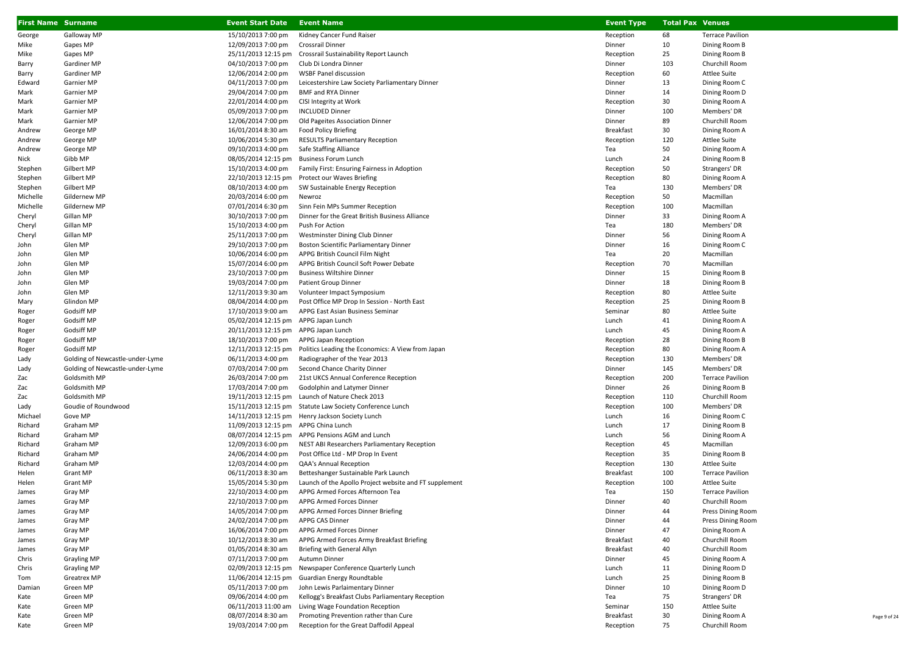| <b>First Name Surname</b> |                                     | <b>Event Start Date</b> Event Name   |                                                                                 | <b>Event Type</b>      | <b>Total Pax Venues</b> |                                        |
|---------------------------|-------------------------------------|--------------------------------------|---------------------------------------------------------------------------------|------------------------|-------------------------|----------------------------------------|
| George                    | Galloway MP                         | 15/10/2013 7:00 pm                   | Kidney Cancer Fund Raiser                                                       | Reception              | 68                      | <b>Terrace Pavilion</b>                |
| Mike                      | Gapes MP                            | 12/09/2013 7:00 pm                   | Crossrail Dinner                                                                | Dinner                 | 10                      | Dining Room B                          |
| Mike                      | Gapes MP                            |                                      | 25/11/2013 12:15 pm Crossrail Sustainability Report Launch                      | Reception              | 25                      | Dining Room B                          |
| Barry                     | Gardiner MP                         | 04/10/2013 7:00 pm                   | Club Di Londra Dinner                                                           | Dinner                 | 103                     | Churchill Room                         |
| Barry                     | Gardiner MP                         | 12/06/2014 2:00 pm                   | <b>WSBF Panel discussion</b>                                                    | Reception              | 60                      | Attlee Suite                           |
| Edward                    | Garnier MP                          | 04/11/2013 7:00 pm                   | Leicestershire Law Society Parliamentary Dinner                                 | Dinner                 | 13                      | Dining Room C                          |
| Mark                      | Garnier MP                          | 29/04/2014 7:00 pm                   | <b>BMF and RYA Dinner</b>                                                       | Dinner                 | 14                      | Dining Room D                          |
| Mark                      | Garnier MP                          | 22/01/2014 4:00 pm                   | CISI Integrity at Work                                                          | Reception              | 30                      | Dining Room A                          |
| Mark                      | Garnier MP                          | 05/09/2013 7:00 pm                   | <b>INCLUDED Dinner</b>                                                          | Dinner                 | 100                     | Members' DR                            |
| Mark                      | Garnier MP                          | 12/06/2014 7:00 pm                   | Old Pageites Association Dinner                                                 | Dinner                 | 89                      | Churchill Room                         |
| Andrew                    | George MP                           | 16/01/2014 8:30 am                   | Food Policy Briefing                                                            | <b>Breakfast</b>       | 30                      | Dining Room A                          |
| Andrew                    | George MP                           | 10/06/2014 5:30 pm                   | <b>RESULTS Parliamentary Reception</b>                                          | Reception              | 120                     | Attlee Suite                           |
| Andrew                    | George MP                           | 09/10/2013 4:00 pm                   | Safe Staffing Alliance                                                          | Tea                    | 50                      | Dining Room A                          |
| Nick                      | Gibb MP                             | 08/05/2014 12:15 pm                  | <b>Business Forum Lunch</b>                                                     | Lunch                  | 24                      | Dining Room B                          |
| Stephen                   | Gilbert MP                          | 15/10/2013 4:00 pm                   | Family First: Ensuring Fairness in Adoption                                     | Reception              | 50                      | Strangers' DR                          |
| Stephen                   | Gilbert MP                          |                                      | 22/10/2013 12:15 pm Protect our Waves Briefing                                  | Reception              | 80                      | Dining Room A                          |
| Stephen                   | Gilbert MP                          | 08/10/2013 4:00 pm                   | SW Sustainable Energy Reception                                                 | Tea                    | 130                     | Members' DR                            |
| Michelle                  | Gildernew MP                        | 20/03/2014 6:00 pm                   | Newroz                                                                          | Reception              | 50                      | Macmillan                              |
| Michelle                  | Gildernew MP                        | 07/01/2014 6:30 pm                   | Sinn Fein MPs Summer Reception                                                  | Reception              | 100                     | Macmillan                              |
| Cheryl                    | Gillan MP                           | 30/10/2013 7:00 pm                   | Dinner for the Great British Business Alliance                                  | Dinner                 | 33                      | Dining Room A                          |
| Cheryl                    | Gillan MP                           | 15/10/2013 4:00 pm                   | Push For Action                                                                 | Tea                    | 180                     | Members' DR                            |
| Cheryl                    | Gillan MP                           | 25/11/2013 7:00 pm                   | Westminster Dining Club Dinner                                                  | Dinner                 | 56                      | Dining Room A                          |
| John                      | Glen MP                             | 29/10/2013 7:00 pm                   | Boston Scientific Parliamentary Dinner                                          | Dinner                 | 16                      | Dining Room C                          |
| John                      | Glen MP                             | 10/06/2014 6:00 pm                   | APPG British Council Film Night                                                 | Tea                    | 20                      | Macmillan                              |
| John                      | Glen MP                             | 15/07/2014 6:00 pm                   | APPG British Council Soft Power Debate                                          | Reception              | 70                      | Macmillan                              |
| John                      | Glen MP                             | 23/10/2013 7:00 pm                   | <b>Business Wiltshire Dinner</b>                                                | Dinner                 | 15                      | Dining Room B                          |
| John                      | Glen MP                             | 19/03/2014 7:00 pm                   | Patient Group Dinner                                                            | Dinner                 | 18                      | Dining Room B                          |
| John                      | Glen MP                             | 12/11/2013 9:30 am                   | Volunteer Impact Symposium                                                      | Reception              | 80                      | Attlee Suite                           |
| Mary                      | Glindon MP                          | 08/04/2014 4:00 pm                   | Post Office MP Drop In Session - North East                                     | Reception              | 25                      | Dining Room B                          |
| Roger                     | Godsiff MP                          | 17/10/2013 9:00 am                   | APPG East Asian Business Seminar                                                | Seminar                | 80                      | Attlee Suite                           |
| Roger                     | Godsiff MP                          | 05/02/2014 12:15 pm APPG Japan Lunch |                                                                                 | Lunch                  | 41                      | Dining Room A                          |
| Roger                     | Godsiff MP                          | 20/11/2013 12:15 pm APPG Japan Lunch |                                                                                 | Lunch                  | 45                      | Dining Room A                          |
| Roger                     | Godsiff MP                          | 18/10/2013 7:00 pm                   | APPG Japan Reception                                                            | Reception              | 28                      | Dining Room B                          |
| Roger                     | Godsiff MP                          |                                      | 12/11/2013 12:15 pm Politics Leading the Economics: A View from Japan           | Reception              | 80                      | Dining Room A                          |
| Lady                      | Golding of Newcastle-under-Lyme     | 06/11/2013 4:00 pm                   | Radiographer of the Year 2013                                                   | Reception              | 130                     | Members' DR                            |
| Lady                      | Golding of Newcastle-under-Lyme     | 07/03/2014 7:00 pm                   | Second Chance Charity Dinner                                                    | Dinner                 | 145                     | Members' DR<br><b>Terrace Pavilion</b> |
| Zac                       | Goldsmith MP<br>Goldsmith MP        | 26/03/2014 7:00 pm                   | 21st UKCS Annual Conference Reception                                           | Reception              | 200<br>26               |                                        |
| Zac                       |                                     | 17/03/2014 7:00 pm                   | Godolphin and Latymer Dinner<br>19/11/2013 12:15 pm Launch of Nature Check 2013 | Dinner                 | 110                     | Dining Room B                          |
| Zac                       | Goldsmith MP<br>Goudie of Roundwood | 15/11/2013 12:15 pm                  | Statute Law Society Conference Lunch                                            | Reception<br>Reception | 100                     | Churchill Room<br>Members' DR          |
| Lady<br>Michael           | Gove MP                             |                                      | 14/11/2013 12:15 pm Henry Jackson Society Lunch                                 | Lunch                  | 16                      | Dining Room C                          |
| Richard                   | Graham MP                           | 11/09/2013 12:15 pm APPG China Lunch |                                                                                 | Lunch                  | 17                      | Dining Room B                          |
| Richard                   | Graham MP                           |                                      | 08/07/2014 12:15 pm APPG Pensions AGM and Lunch                                 | Lunch                  | 56                      | Dining Room A                          |
| Richard                   | Graham MP                           | 12/09/2013 6:00 pm                   | NEST ABI Researchers Parliamentary Reception                                    | Reception              | 45                      | Macmillan                              |
| Richard                   | Graham MP                           | 24/06/2014 4:00 pm                   | Post Office Ltd - MP Drop In Event                                              | Reception              | 35                      | Dining Room B                          |
| Richard                   | Graham MP                           | 12/03/2014 4:00 pm                   | <b>QAA's Annual Reception</b>                                                   | Reception              | 130                     | Attlee Suite                           |
| Helen                     | Grant MP                            | 06/11/2013 8:30 am                   | Betteshanger Sustainable Park Launch                                            | <b>Breakfast</b>       | 100                     | <b>Terrace Pavilion</b>                |
| Helen                     | Grant MP                            | 15/05/2014 5:30 pm                   | Launch of the Apollo Project website and FT supplement                          | Reception              | 100                     | <b>Attlee Suite</b>                    |
| James                     | Gray MP                             | 22/10/2013 4:00 pm                   | APPG Armed Forces Afternoon Tea                                                 | Tea                    | 150                     | <b>Terrace Pavilion</b>                |
| James                     | Gray MP                             | 22/10/2013 7:00 pm                   | APPG Armed Forces Dinner                                                        | Dinner                 | 40                      | Churchill Room                         |
| James                     | Gray MP                             | 14/05/2014 7:00 pm                   | APPG Armed Forces Dinner Briefing                                               | Dinner                 | 44                      | Press Dining Room                      |
| James                     | Gray MP                             | 24/02/2014 7:00 pm                   | APPG CAS Dinner                                                                 | Dinner                 | 44                      | Press Dining Room                      |
| James                     | Gray MP                             | 16/06/2014 7:00 pm                   | APPG Armed Forces Dinner                                                        | Dinner                 | 47                      | Dining Room A                          |
| James                     | Gray MP                             | 10/12/2013 8:30 am                   | APPG Armed Forces Army Breakfast Briefing                                       | <b>Breakfast</b>       | 40                      | Churchill Room                         |
| James                     | Gray MP                             | 01/05/2014 8:30 am                   | Briefing with General Allyn                                                     | <b>Breakfast</b>       | 40                      | Churchill Room                         |
| Chris                     | Grayling MP                         | 07/11/2013 7:00 pm                   | Autumn Dinner                                                                   | Dinner                 | 45                      | Dining Room A                          |
| Chris                     | <b>Grayling MP</b>                  | 02/09/2013 12:15 pm                  | Newspaper Conference Quarterly Lunch                                            | Lunch                  | 11                      | Dining Room D                          |
| Tom                       | Greatrex MP                         | 11/06/2014 12:15 pm                  | Guardian Energy Roundtable                                                      | Lunch                  | 25                      | Dining Room B                          |
| Damian                    | Green MP                            | 05/11/2013 7:00 pm                   | John Lewis Parlaimentary Dinner                                                 | Dinner                 | 10                      | Dining Room D                          |
| Kate                      | Green MP                            | 09/06/2014 4:00 pm                   | Kellogg's Breakfast Clubs Parliamentary Reception                               | Tea                    | 75                      | Strangers' DR                          |
| Kate                      | Green MP                            | 06/11/2013 11:00 am                  | Living Wage Foundation Reception                                                | Seminar                | 150                     | Attlee Suite                           |
| Kate                      | Green MP                            | 08/07/2014 8:30 am                   | Promoting Prevention rather than Cure                                           | <b>Breakfast</b>       | 30                      | Dining Room A                          |
| Kate                      | Green MP                            | 19/03/2014 7:00 pm                   | Reception for the Great Daffodil Appeal                                         | Reception              | 75                      | Churchill Room                         |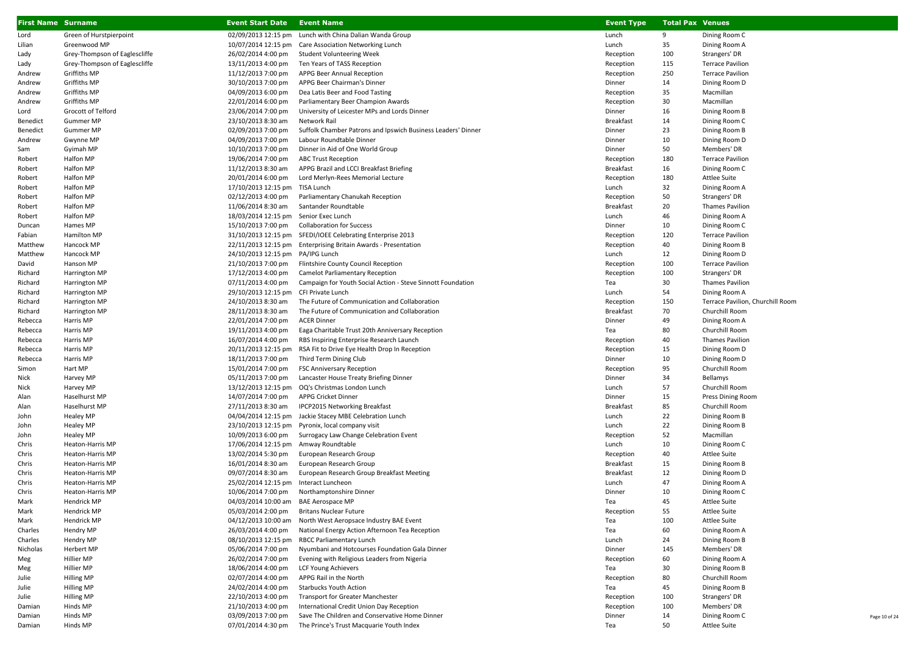| <b>First Name Surname</b> |                               | <b>Event Start Date</b>               | <b>Event Name</b>                                              | <b>Event Type</b> | <b>Total Pax Venues</b> |                                  |
|---------------------------|-------------------------------|---------------------------------------|----------------------------------------------------------------|-------------------|-------------------------|----------------------------------|
| Lord                      | Green of Hurstpierpoint       | 02/09/2013 12:15 pm                   | Lunch with China Dalian Wanda Group                            | Lunch             | 9                       | Dining Room C                    |
| Lilian                    | Greenwood MP                  | 10/07/2014 12:15 pm                   | Care Association Networking Lunch                              | Lunch             | 35                      | Dining Room A                    |
| Lady                      | Grey-Thompson of Eaglescliffe | 26/02/2014 4:00 pm                    | Student Volunteering Week                                      | Reception         | 100                     | Strangers' DR                    |
| Lady                      | Grey-Thompson of Eaglescliffe | 13/11/2013 4:00 pm                    | Ten Years of TASS Reception                                    | Reception         | 115                     | <b>Terrace Pavilion</b>          |
| Andrew                    | Griffiths MP                  | 11/12/2013 7:00 pm                    | APPG Beer Annual Reception                                     | Reception         | 250                     | <b>Terrace Pavilion</b>          |
| Andrew                    | Griffiths MP                  | 30/10/2013 7:00 pm                    | APPG Beer Chairman's Dinner                                    | Dinner            | 14                      | Dining Room D                    |
| Andrew                    | Griffiths MP                  | 04/09/2013 6:00 pm                    | Dea Latis Beer and Food Tasting                                | Reception         | 35                      | Macmillan                        |
| Andrew                    | Griffiths MP                  | 22/01/2014 6:00 pm                    | Parliamentary Beer Champion Awards                             | Reception         | 30                      | Macmillan                        |
| Lord                      | Grocott of Telford            | 23/06/2014 7:00 pm                    | University of Leicester MPs and Lords Dinner                   | Dinner            | 16                      | Dining Room B                    |
| Benedict                  | Gummer MP                     | 23/10/2013 8:30 am                    | Network Rail                                                   | <b>Breakfast</b>  | 14                      | Dining Room C                    |
| Benedict                  | <b>Gummer MP</b>              | 02/09/2013 7:00 pm                    | Suffolk Chamber Patrons and Ipswich Business Leaders' Dinner   | Dinner            | 23                      | Dining Room B                    |
| Andrew                    | Gwynne MP                     | 04/09/2013 7:00 pm                    | Labour Roundtable Dinner                                       | Dinner            | 10                      | Dining Room D                    |
| Sam                       | Gyimah MP                     | 10/10/2013 7:00 pm                    | Dinner in Aid of One World Group                               | Dinner            | 50                      | Members' DR                      |
| Robert                    | Halfon MP                     | 19/06/2014 7:00 pm                    | <b>ABC Trust Reception</b>                                     | Reception         | 180                     | <b>Terrace Pavilion</b>          |
| Robert                    | Halfon MP                     | 11/12/2013 8:30 am                    | APPG Brazil and LCCI Breakfast Briefing                        | Breakfast         | 16                      | Dining Room C                    |
| Robert                    | Halfon MP                     | 20/01/2014 6:00 pm                    | Lord Merlyn-Rees Memorial Lecture                              | Reception         | 180                     | <b>Attlee Suite</b>              |
| Robert                    | Halfon MP                     | 17/10/2013 12:15 pm                   | TISA Lunch                                                     | Lunch             | 32                      | Dining Room A                    |
| Robert                    | Halfon MP                     | 02/12/2013 4:00 pm                    | Parliamentary Chanukah Reception                               | Reception         | 50                      | Strangers' DR                    |
| Robert                    | Halfon MP                     | 11/06/2014 8:30 am                    | Santander Roundtable                                           | <b>Breakfast</b>  | 20                      | <b>Thames Pavilion</b>           |
| Robert                    | Halfon MP                     | 18/03/2014 12:15 pm Senior Exec Lunch |                                                                | Lunch             | 46                      | Dining Room A                    |
| Duncan                    | Hames MP                      | 15/10/2013 7:00 pm                    | <b>Collaboration for Success</b>                               | Dinner            | 10                      | Dining Room C                    |
| Fabian                    | Hamilton MP                   |                                       | 31/10/2013 12:15 pm SFEDI/IOEE Celebrating Enterprise 2013     | Reception         | 120                     | <b>Terrace Pavilion</b>          |
| Matthew                   | Hancock MP                    |                                       | 22/11/2013 12:15 pm Enterprising Britain Awards - Presentation | Reception         | 40                      | Dining Room B                    |
| Matthew                   | Hancock MP                    | 24/10/2013 12:15 pm PA/IPG Lunch      |                                                                | Lunch             | 12                      | Dining Room D                    |
| David                     | Hanson MP                     | 21/10/2013 7:00 pm                    | Flintshire County Council Reception                            | Reception         | 100                     | <b>Terrace Pavilion</b>          |
| Richard                   | Harrington MP                 | 17/12/2013 4:00 pm                    | Camelot Parliamentary Reception                                | Reception         | 100                     | Strangers' DR                    |
| Richard                   | Harrington MP                 | 07/11/2013 4:00 pm                    | Campaign for Youth Social Action - Steve Sinnott Foundation    | Tea               | 30                      | <b>Thames Pavilion</b>           |
| Richard                   | Harrington MP                 | 29/10/2013 12:15 pm CFI Private Lunch |                                                                | Lunch             | 54                      | Dining Room A                    |
| Richard                   | Harrington MP                 | 24/10/2013 8:30 am                    | The Future of Communication and Collaboration                  | Reception         | 150                     | Terrace Pavilion, Churchill Room |
| Richard                   | Harrington MP                 | 28/11/2013 8:30 am                    | The Future of Communication and Collaboration                  | <b>Breakfast</b>  | 70                      | Churchill Room                   |
| Rebecca                   | Harris MP                     | 22/01/2014 7:00 pm                    | <b>ACER Dinner</b>                                             | Dinner            | 49                      | Dining Room A                    |
| Rebecca                   | Harris MP                     | 19/11/2013 4:00 pm                    | Eaga Charitable Trust 20th Anniversary Reception               | Tea               | 80                      | Churchill Room                   |
| Rebecca                   | Harris MP                     | 16/07/2014 4:00 pm                    | RBS Inspiring Enterprise Research Launch                       | Reception         | 40                      | <b>Thames Pavilion</b>           |
| Rebecca                   | Harris MP                     | 20/11/2013 12:15 pm                   | RSA Fit to Drive Eye Health Drop In Reception                  | Reception         | 15                      | Dining Room D                    |
| Rebecca                   | Harris MP                     | 18/11/2013 7:00 pm                    | Third Term Dining Club                                         | Dinner            | 10                      | Dining Room D                    |
| Simon                     | Hart MP                       | 15/01/2014 7:00 pm                    | FSC Anniversary Reception                                      | Reception         | 95                      | Churchill Room                   |
| Nick                      | Harvey MP                     | 05/11/2013 7:00 pm                    | Lancaster House Treaty Briefing Dinner                         | Dinner            | 34                      | Bellamys                         |
| Nick                      | Harvey MP                     | 13/12/2013 12:15 pm                   | OQ's Christmas London Lunch                                    | Lunch             | 57                      | Churchill Room                   |
| Alan                      | Haselhurst MP                 | 14/07/2014 7:00 pm                    | <b>APPG Cricket Dinner</b>                                     | Dinner            | 15                      | Press Dining Room                |
| Alan                      | Haselhurst MP                 | 27/11/2013 8:30 am                    | <b>IPCP2015 Networking Breakfast</b>                           | <b>Breakfast</b>  | 85                      | Churchill Room                   |
| John                      | <b>Healey MP</b>              | 04/04/2014 12:15 pm                   | Jackie Stacey MBE Celebration Lunch                            | Lunch             | 22                      | Dining Room B                    |
| John                      | <b>Healey MP</b>              | 23/10/2013 12:15 pm                   | Pyronix, local company visit                                   | Lunch             | 22                      | Dining Room B                    |
| John                      | <b>Healey MP</b>              | 10/09/2013 6:00 pm                    | Surrogacy Law Change Celebration Event                         | Reception         | 52                      | Macmillan                        |
| Chris                     | <b>Heaton-Harris MP</b>       | 17/06/2014 12:15 pm Amway Roundtable  |                                                                | Lunch             | 10                      | Dining Room C                    |
| Chris                     | Heaton-Harris MP              | 13/02/2014 5:30 pm                    | European Research Group                                        | Reception         | 40                      | <b>Attlee Suite</b>              |
| Chris                     | Heaton-Harris MP              | 16/01/2014 8:30 am                    | European Research Group                                        | <b>Breakfast</b>  | 15                      | Dining Room B                    |
| Chris                     | Heaton-Harris MP              | 09/07/2014 8:30 am                    | European Research Group Breakfast Meeting                      | <b>Breakfast</b>  | 12                      | Dining Room D                    |
| Chris                     | Heaton-Harris MP              | 25/02/2014 12:15 pm                   | Interact Luncheon                                              | Lunch             | 47                      | Dining Room A                    |
| Chris                     | Heaton-Harris MP              | 10/06/2014 7:00 pm                    | Northamptonshire Dinner                                        | Dinner            | 10                      | Dining Room C                    |
| Mark                      | Hendrick MP                   | 04/03/2014 10:00 am BAE Aerospace MP  |                                                                | Tea               | 45                      | Attlee Suite                     |
| Mark                      | Hendrick MP                   | 05/03/2014 2:00 pm                    | <b>Britans Nuclear Future</b>                                  | Reception         | 55                      | Attlee Suite                     |
| Mark                      | Hendrick MP                   | 04/12/2013 10:00 am                   | North West Aeropsace Industry BAE Event                        | Tea               | 100                     | Attlee Suite                     |
| Charles                   | Hendry MP                     | 26/03/2014 4:00 pm                    | National Energy Action Afternoon Tea Reception                 | Tea               | 60                      | Dining Room A                    |
| Charles                   | Hendry MP                     | 08/10/2013 12:15 pm                   | RBCC Parliamentary Lunch                                       | Lunch             | 24                      | Dining Room B                    |
| Nicholas                  | Herbert MP                    | 05/06/2014 7:00 pm                    | Nyumbani and Hotcourses Foundation Gala Dinner                 | Dinner            | 145                     | Members' DR                      |
| Meg                       | Hillier MP                    | 26/02/2014 7:00 pm                    | Evening with Religious Leaders from Nigeria                    | Reception         | 60                      | Dining Room A                    |
| Meg                       | <b>Hillier MP</b>             | 18/06/2014 4:00 pm                    | <b>LCF Young Achievers</b>                                     | Tea               | 30                      | Dining Room B                    |
| Julie                     | Hilling MP                    | 02/07/2014 4:00 pm                    | APPG Rail in the North                                         | Reception         | 80                      | Churchill Room                   |
| Julie                     | Hilling MP                    | 24/02/2014 4:00 pm                    | <b>Starbucks Youth Action</b>                                  | Tea               | 45                      | Dining Room B                    |
| Julie                     | Hilling MP                    | 22/10/2013 4:00 pm                    | Transport for Greater Manchester                               | Reception         | 100                     | Strangers' DR                    |
| Damian                    | Hinds MP                      | 21/10/2013 4:00 pm                    | International Credit Union Day Reception                       | Reception         | 100                     | Members' DR                      |
| Damian                    | Hinds MP                      | 03/09/2013 7:00 pm                    | Save The Children and Conservative Home Dinner                 | Dinner            | 14                      | Dining Room C                    |
| Damian                    | Hinds MP                      | 07/01/2014 4:30 pm                    | The Prince's Trust Macquarie Youth Index                       | Tea               | 50                      | <b>Attlee Suite</b>              |

Page 10 of 24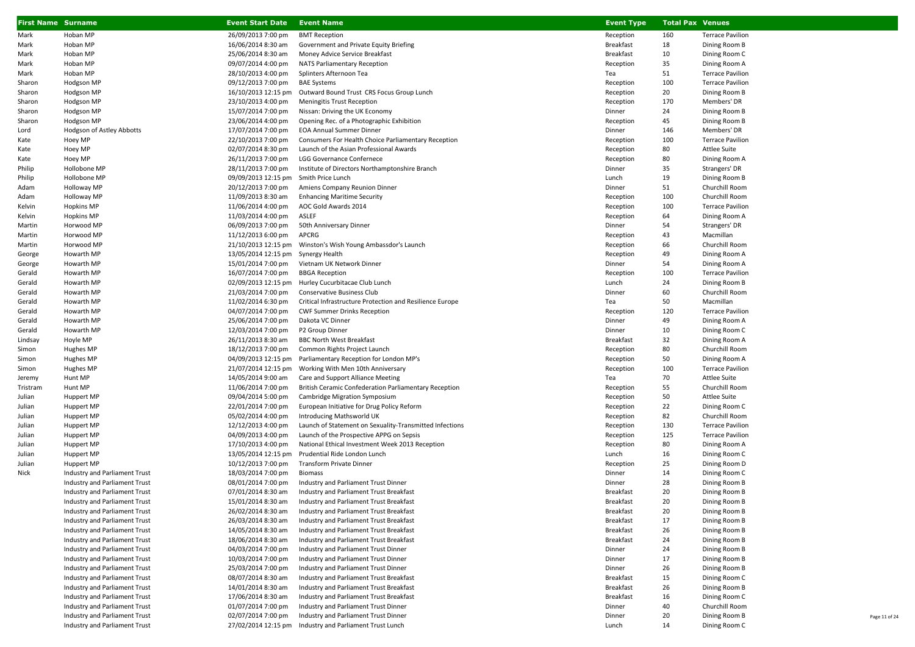| <b>First Name Surname</b> |                               | <b>Event Start Date</b>               | <b>Event Name</b>                                        | <b>Event Type</b> | <b>Total Pax Venues</b> |                         |
|---------------------------|-------------------------------|---------------------------------------|----------------------------------------------------------|-------------------|-------------------------|-------------------------|
| Mark                      | Hoban MP                      | 26/09/2013 7:00 pm                    | <b>BMT Reception</b>                                     | Reception         | 160                     | <b>Terrace Pavilion</b> |
| Mark                      | Hoban MP                      | 16/06/2014 8:30 am                    | Government and Private Equity Briefing                   | <b>Breakfast</b>  | 18                      | Dining Room B           |
| Mark                      | Hoban MP                      | 25/06/2014 8:30 am                    | Money Advice Service Breakfast                           | <b>Breakfast</b>  | 10                      | Dining Room C           |
| Mark                      | Hoban MP                      | 09/07/2014 4:00 pm                    | <b>NATS Parliamentary Reception</b>                      | Reception         | 35                      | Dining Room A           |
| Mark                      | Hoban MP                      | 28/10/2013 4:00 pm                    | Splinters Afternoon Tea                                  | Tea               | 51                      | <b>Terrace Pavilion</b> |
| Sharon                    | Hodgson MP                    | 09/12/2013 7:00 pm                    | <b>BAE Systems</b>                                       | Reception         | 100                     | <b>Terrace Pavilion</b> |
| Sharon                    | Hodgson MP                    | 16/10/2013 12:15 pm                   | Outward Bound Trust CRS Focus Group Lunch                | Reception         | 20                      | Dining Room B           |
| Sharon                    | Hodgson MP                    | 23/10/2013 4:00 pm                    | Meningitis Trust Reception                               | Reception         | 170                     | Members' DR             |
| Sharon                    | Hodgson MP                    | 15/07/2014 7:00 pm                    | Nissan: Driving the UK Economy                           | Dinner            | 24                      | Dining Room B           |
| Sharon                    | Hodgson MP                    | 23/06/2014 4:00 pm                    | Opening Rec. of a Photographic Exhibition                | Reception         | 45                      | Dining Room B           |
| Lord                      | Hodgson of Astley Abbotts     | 17/07/2014 7:00 pm                    | <b>EOA Annual Summer Dinner</b>                          | Dinner            | 146                     | Members' DR             |
| Kate                      | Hoey MP                       | 22/10/2013 7:00 pm                    | Consumers For Health Choice Parliamentary Reception      | Reception         | 100                     | <b>Terrace Pavilion</b> |
| Kate                      | Hoey MP                       | 02/07/2014 8:30 pm                    | Launch of the Asian Professional Awards                  | Reception         | 80                      | Attlee Suite            |
| Kate                      | Hoey MP                       | 26/11/2013 7:00 pm                    | LGG Governance Confernece                                | Reception         | 80                      | Dining Room A           |
| Philip                    | Hollobone MP                  | 28/11/2013 7:00 pm                    | Institute of Directors Northamptonshire Branch           | Dinner            | 35                      | Strangers' DR           |
| Philip                    | Hollobone MP                  | 09/09/2013 12:15 pm Smith Price Lunch |                                                          | Lunch             | 19                      | Dining Room B           |
| Adam                      | Holloway MP                   | 20/12/2013 7:00 pm                    | Amiens Company Reunion Dinner                            | Dinner            | 51                      | Churchill Room          |
| Adam                      | Holloway MP                   | 11/09/2013 8:30 am                    | <b>Enhancing Maritime Security</b>                       | Reception         | 100                     | Churchill Room          |
| Kelvin                    | Hopkins MP                    | 11/06/2014 4:00 pm                    | AOC Gold Awards 2014                                     | Reception         | 100                     | <b>Terrace Pavilion</b> |
| Kelvin                    | Hopkins MP                    | 11/03/2014 4:00 pm                    | ASLEF                                                    | Reception         | 64                      | Dining Room A           |
| Martin                    | Horwood MP                    | 06/09/2013 7:00 pm                    | 50th Anniversary Dinner                                  | Dinner            | 54                      | Strangers' DR           |
| Martin                    | Horwood MP                    | 11/12/2013 6:00 pm                    | APCRG                                                    | Reception         | 43                      | Macmillan               |
| Martin                    | Horwood MP                    |                                       |                                                          | Reception         | 66                      | Churchill Room          |
| George                    | Howarth MP                    | 13/05/2014 12:15 pm Synergy Health    |                                                          | Reception         | 49                      | Dining Room A           |
| George                    | Howarth MP                    | 15/01/2014 7:00 pm                    | Vietnam UK Network Dinner                                | Dinner            | 54                      | Dining Room A           |
| Gerald                    | Howarth MP                    | 16/07/2014 7:00 pm                    | <b>BBGA Reception</b>                                    | Reception         | 100                     | <b>Terrace Pavilion</b> |
| Gerald                    | Howarth MP                    |                                       | 02/09/2013 12:15 pm Hurley Cucurbitacae Club Lunch       | Lunch             | 24                      | Dining Room B           |
| Gerald                    | Howarth MP                    | 21/03/2014 7:00 pm                    | Conservative Business Club                               | Dinner            | 60                      | Churchill Room          |
| Gerald                    | Howarth MP                    | 11/02/2014 6:30 pm                    | Critical Infrastructure Protection and Resilience Europe | Tea               | 50                      | Macmillan               |
| Gerald                    | Howarth MP                    | 04/07/2014 7:00 pm                    | <b>CWF Summer Drinks Reception</b>                       | Reception         | 120                     | <b>Terrace Pavilion</b> |
| Gerald                    | Howarth MP                    | 25/06/2014 7:00 pm                    | Dakota VC Dinner                                         | Dinner            | 49                      | Dining Room A           |
| Gerald                    | Howarth MP                    | 12/03/2014 7:00 pm                    | P2 Group Dinner                                          | Dinner            | 10                      | Dining Room C           |
| Lindsay                   | Hoyle MP                      | 26/11/2013 8:30 am                    | <b>BBC North West Breakfast</b>                          | <b>Breakfast</b>  | 32                      | Dining Room A           |
| Simon                     | Hughes MP                     | 18/12/2013 7:00 pm                    | Common Rights Project Launch                             | Reception         | 80                      | Churchill Room          |
| Simon                     | Hughes MP                     | 04/09/2013 12:15 pm                   | Parliamentary Reception for London MP's                  | Reception         | 50                      | Dining Room A           |
| Simon                     | Hughes MP                     | 21/07/2014 12:15 pm                   | Working With Men 10th Anniversary                        | Reception         | 100                     | <b>Terrace Pavilion</b> |
| Jeremy                    | Hunt MP                       | 14/05/2014 9:00 am                    | Care and Support Alliance Meeting                        | Tea               | 70                      | <b>Attlee Suite</b>     |
| Tristram                  | Hunt MP                       | 11/06/2014 7:00 pm                    | British Ceramic Confederation Parliamentary Reception    | Reception         | 55                      | Churchill Room          |
| Julian                    | Huppert MP                    | 09/04/2014 5:00 pm                    | Cambridge Migration Symposium                            | Reception         | 50                      | <b>Attlee Suite</b>     |
| Julian                    | Huppert MP                    | 22/01/2014 7:00 pm                    | European Initiative for Drug Policy Reform               | Reception         | 22                      | Dining Room C           |
| Julian                    | Huppert MP                    | 05/02/2014 4:00 pm                    | Introducing Mathsworld UK                                | Reception         | 82                      | Churchill Room          |
| Julian                    | Huppert MP                    | 12/12/2013 4:00 pm                    | Launch of Statement on Sexuality-Transmitted Infections  | Reception         | 130                     | <b>Terrace Pavilion</b> |
| Julian                    | Huppert MP                    | 04/09/2013 4:00 pm                    | Launch of the Prospective APPG on Sepsis                 | Reception         | 125                     | <b>Terrace Pavilion</b> |
| Julian                    | Huppert MP                    | 17/10/2013 4:00 pm                    | National Ethical Investment Week 2013 Reception          | Reception         | 80                      | Dining Room A           |
| Julian                    | Huppert MP                    | 13/05/2014 12:15 pm                   | Prudential Ride London Lunch                             | Lunch             | 16                      | Dining Room C           |
| Julian                    | Huppert MP                    | 10/12/2013 7:00 pm                    | Transform Private Dinner                                 | Reception         | 25                      | Dining Room D           |
| Nick                      | Industry and Parliament Trust | 18/03/2014 7:00 pm                    | <b>Biomass</b>                                           | Dinner            | 14                      | Dining Room C           |
|                           | Industry and Parliament Trust | 08/01/2014 7:00 pm                    | Industry and Parliament Trust Dinner                     | Dinner            | 28                      | Dining Room B           |
|                           | Industry and Parliament Trust | 07/01/2014 8:30 am                    | Industry and Parliament Trust Breakfast                  | <b>Breakfast</b>  | 20                      | Dining Room B           |
|                           | Industry and Parliament Trust | 15/01/2014 8:30 am                    | Industry and Parliament Trust Breakfast                  | <b>Breakfast</b>  | 20                      | Dining Room B           |
|                           | Industry and Parliament Trust | 26/02/2014 8:30 am                    | Industry and Parliament Trust Breakfast                  | <b>Breakfast</b>  | 20                      | Dining Room B           |
|                           | Industry and Parliament Trust | 26/03/2014 8:30 am                    | Industry and Parliament Trust Breakfast                  | <b>Breakfast</b>  | 17                      | Dining Room B           |
|                           | Industry and Parliament Trust | 14/05/2014 8:30 am                    | Industry and Parliament Trust Breakfast                  | <b>Breakfast</b>  | 26                      | Dining Room B           |
|                           | Industry and Parliament Trust | 18/06/2014 8:30 am                    | Industry and Parliament Trust Breakfast                  | <b>Breakfast</b>  | 24                      | Dining Room B           |
|                           | Industry and Parliament Trust | 04/03/2014 7:00 pm                    | Industry and Parliament Trust Dinner                     | Dinner            | 24                      | Dining Room B           |
|                           | Industry and Parliament Trust | 10/03/2014 7:00 pm                    | Industry and Parliament Trust Dinner                     | Dinner            | 17                      | Dining Room B           |
|                           | Industry and Parliament Trust | 25/03/2014 7:00 pm                    | Industry and Parliament Trust Dinner                     | Dinner            | 26                      | Dining Room B           |
|                           | Industry and Parliament Trust | 08/07/2014 8:30 am                    | Industry and Parliament Trust Breakfast                  | <b>Breakfast</b>  | 15                      | Dining Room C           |
|                           | Industry and Parliament Trust | 14/01/2014 8:30 am                    | Industry and Parliament Trust Breakfast                  | <b>Breakfast</b>  | 26                      | Dining Room B           |
|                           | Industry and Parliament Trust | 17/06/2014 8:30 am                    | Industry and Parliament Trust Breakfast                  | <b>Breakfast</b>  | 16                      | Dining Room C           |
|                           | Industry and Parliament Trust | 01/07/2014 7:00 pm                    | Industry and Parliament Trust Dinner                     | Dinner            | 40                      | Churchill Room          |
|                           | Industry and Parliament Trust | 02/07/2014 7:00 pm                    | Industry and Parliament Trust Dinner                     | Dinner            | 20                      | Dining Room B           |
|                           | Industry and Parliament Trust |                                       | 27/02/2014 12:15 pm Industry and Parliament Trust Lunch  | Lunch             | 14                      | Dining Room C           |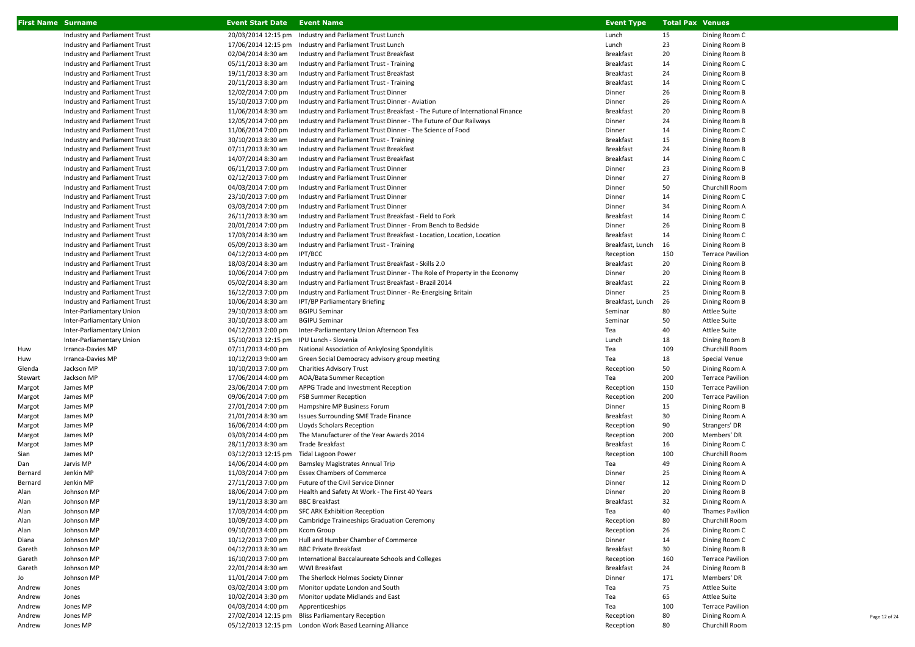| <b>First Name Surname</b> |                               | <b>Event Start Date</b> | <b>Event Name</b>                                                             | <b>Event Type</b> | <b>Total Pax Venues</b> |                         |
|---------------------------|-------------------------------|-------------------------|-------------------------------------------------------------------------------|-------------------|-------------------------|-------------------------|
|                           | Industry and Parliament Trust | 20/03/2014 12:15 pm     | Industry and Parliament Trust Lunch                                           | Lunch             | 15                      | Dining Room C           |
|                           | Industry and Parliament Trust | 17/06/2014 12:15 pm     | Industry and Parliament Trust Lunch                                           | Lunch             | 23                      | Dining Room B           |
|                           | Industry and Parliament Trust | 02/04/2014 8:30 am      | Industry and Parliament Trust Breakfast                                       | <b>Breakfast</b>  | 20                      | Dining Room B           |
|                           | Industry and Parliament Trust | 05/11/2013 8:30 am      | Industry and Parliament Trust - Training                                      | Breakfast         | 14                      | Dining Room C           |
|                           | Industry and Parliament Trust | 19/11/2013 8:30 am      | Industry and Parliament Trust Breakfast                                       | <b>Breakfast</b>  | 24                      | Dining Room B           |
|                           | Industry and Parliament Trust | 20/11/2013 8:30 am      | Industry and Parliament Trust - Training                                      | <b>Breakfast</b>  | 14                      | Dining Room C           |
|                           | Industry and Parliament Trust | 12/02/2014 7:00 pm      | Industry and Parliament Trust Dinner                                          | Dinner            | 26                      | Dining Room B           |
|                           | Industry and Parliament Trust | 15/10/2013 7:00 pm      | Industry and Parliament Trust Dinner - Aviation                               | Dinner            | 26                      | Dining Room A           |
|                           | Industry and Parliament Trust | 11/06/2014 8:30 am      | Industry and Parliament Trust Breakfast - The Future of International Finance | <b>Breakfast</b>  | 20                      | Dining Room B           |
|                           | Industry and Parliament Trust | 12/05/2014 7:00 pm      | Industry and Parliament Trust Dinner - The Future of Our Railways             | Dinner            | 24                      | Dining Room B           |
|                           | Industry and Parliament Trust | 11/06/2014 7:00 pm      | Industry and Parliament Trust Dinner - The Science of Food                    | Dinner            | 14                      | Dining Room C           |
|                           | Industry and Parliament Trust | 30/10/2013 8:30 am      | Industry and Parliament Trust - Training                                      | Breakfast         | 15                      | Dining Room B           |
|                           | Industry and Parliament Trust | 07/11/2013 8:30 am      | Industry and Parliament Trust Breakfast                                       | Breakfast         | 24                      | Dining Room B           |
|                           | Industry and Parliament Trust | 14/07/2014 8:30 am      | Industry and Parliament Trust Breakfast                                       | <b>Breakfast</b>  | 14                      | Dining Room C           |
|                           | Industry and Parliament Trust | 06/11/2013 7:00 pm      | Industry and Parliament Trust Dinner                                          | Dinner            | 23                      | Dining Room B           |
|                           | Industry and Parliament Trust | 02/12/2013 7:00 pm      | Industry and Parliament Trust Dinner                                          | Dinner            | 27                      | Dining Room B           |
|                           | Industry and Parliament Trust | 04/03/2014 7:00 pm      | Industry and Parliament Trust Dinner                                          | Dinner            | 50                      | Churchill Room          |
|                           | Industry and Parliament Trust | 23/10/2013 7:00 pm      | Industry and Parliament Trust Dinner                                          | Dinner            | 14                      | Dining Room C           |
|                           | Industry and Parliament Trust | 03/03/2014 7:00 pm      | Industry and Parliament Trust Dinner                                          | Dinner            | 34                      | Dining Room A           |
|                           | Industry and Parliament Trust | 26/11/2013 8:30 am      | Industry and Parliament Trust Breakfast - Field to Fork                       | Breakfast         | 14                      | Dining Room C           |
|                           | Industry and Parliament Trust | 20/01/2014 7:00 pm      | Industry and Parliament Trust Dinner - From Bench to Bedside                  | Dinner            | 26                      | Dining Room B           |
|                           | Industry and Parliament Trust | 17/03/2014 8:30 am      | Industry and Parliament Trust Breakfast - Location, Location, Location        | Breakfast         | 14                      | Dining Room C           |
|                           | Industry and Parliament Trust | 05/09/2013 8:30 am      | Industry and Parliament Trust - Training                                      | Breakfast, Lunch  | 16                      | Dining Room B           |
|                           | Industry and Parliament Trust | 04/12/2013 4:00 pm      | IPT/BCC                                                                       | Reception         | 150                     | <b>Terrace Pavilion</b> |
|                           | Industry and Parliament Trust | 18/03/2014 8:30 am      | Industry and Parliament Trust Breakfast - Skills 2.0                          | Breakfast         | 20                      | Dining Room B           |
|                           | Industry and Parliament Trust | 10/06/2014 7:00 pm      | Industry and Parliament Trust Dinner - The Role of Property in the Economy    | Dinner            | 20                      | Dining Room B           |
|                           | Industry and Parliament Trust | 05/02/2014 8:30 am      | Industry and Parliament Trust Breakfast - Brazil 2014                         | Breakfast         | 22                      | Dining Room B           |
|                           | Industry and Parliament Trust | 16/12/2013 7:00 pm      | Industry and Parliament Trust Dinner - Re-Energising Britain                  | Dinner            | 25                      | Dining Room B           |
|                           | Industry and Parliament Trust | 10/06/2014 8:30 am      | IPT/BP Parliamentary Briefing                                                 | Breakfast, Lunch  | 26                      | Dining Room B           |
|                           | Inter-Parliamentary Union     | 29/10/2013 8:00 am      | <b>BGIPU Seminar</b>                                                          | Seminar           | 80                      | <b>Attlee Suite</b>     |
|                           | Inter-Parliamentary Union     | 30/10/2013 8:00 am      | <b>BGIPU Seminar</b>                                                          | Seminar           | 50                      | <b>Attlee Suite</b>     |
|                           | Inter-Parliamentary Union     | 04/12/2013 2:00 pm      | Inter-Parliamentary Union Afternoon Tea                                       | Tea               | 40                      | <b>Attlee Suite</b>     |
|                           | Inter-Parliamentary Union     | 15/10/2013 12:15 pm     | IPU Lunch - Slovenia                                                          | Lunch             | 18                      | Dining Room B           |
| Huw                       | Irranca-Davies MP             | 07/11/2013 4:00 pm      | National Association of Ankylosing Spondylitis                                | Tea               | 109                     | Churchill Room          |
| Huw                       | Irranca-Davies MP             | 10/12/2013 9:00 am      | Green Social Democracy advisory group meeting                                 | Tea               | 18                      | Special Venue           |
| Glenda                    | Jackson MP                    | 10/10/2013 7:00 pm      | <b>Charities Advisory Trust</b>                                               | Reception         | 50                      | Dining Room A           |
| Stewart                   | Jackson MP                    | 17/06/2014 4:00 pm      | AOA/Bata Summer Reception                                                     | Tea               | 200                     | <b>Terrace Pavilion</b> |
| Margot                    | James MP                      | 23/06/2014 7:00 pm      | APPG Trade and Investment Reception                                           | Reception         | 150                     | <b>Terrace Pavilion</b> |
| Margot                    | James MP                      | 09/06/2014 7:00 pm      | <b>FSB Summer Reception</b>                                                   | Reception         | 200                     | <b>Terrace Pavilion</b> |
| Margot                    | James MP                      | 27/01/2014 7:00 pm      | Hampshire MP Business Forum                                                   | Dinner            | 15                      | Dining Room B           |
| Margot                    | James MP                      | 21/01/2014 8:30 am      | <b>Issues Surrounding SME Trade Finance</b>                                   | Breakfast         | 30                      | Dining Room A           |
| Margot                    | James MP                      | 16/06/2014 4:00 pm      | Lloyds Scholars Reception                                                     | Reception         | 90                      | Strangers' DR           |
| Margot                    | James MP                      | 03/03/2014 4:00 pm      | The Manufacturer of the Year Awards 2014                                      | Reception         | 200                     | Members' DR             |
| Margot                    | James MP                      | 28/11/2013 8:30 am      | Trade Breakfast                                                               | Breakfast         | 16                      | Dining Room C           |
| Sian                      | James MP                      | 03/12/2013 12:15 pm     | <b>Tidal Lagoon Power</b>                                                     | Reception         | 100                     | Churchill Room          |
| Dan                       | Jarvis MP                     | 14/06/2014 4:00 pm      | Barnsley Magistrates Annual Trip                                              | Tea               | 49                      | Dining Room A           |
| Bernard                   | Jenkin MP                     | 11/03/2014 7:00 pm      | <b>Essex Chambers of Commerce</b>                                             | Dinner            | 25                      | Dining Room A           |
| Bernard                   | Jenkin MP                     | 27/11/2013 7:00 pm      | Future of the Civil Service Dinner                                            | Dinner            | 12                      | Dining Room D           |
| Alan                      | Johnson MP                    | 18/06/2014 7:00 pm      | Health and Safety At Work - The First 40 Years                                | Dinner            | 20                      | Dining Room B           |
| Alan                      | Johnson MP                    | 19/11/2013 8:30 am      | <b>BBC Breakfast</b>                                                          | <b>Breakfast</b>  | 32                      | Dining Room A           |
| Alan                      | Johnson MP                    | 17/03/2014 4:00 pm      | SFC ARK Exhibition Reception                                                  | Tea               | 40                      | <b>Thames Pavilion</b>  |
| Alan                      | Johnson MP                    | 10/09/2013 4:00 pm      | Cambridge Traineeships Graduation Ceremony                                    | Reception         | 80                      | Churchill Room          |
| Alan                      | Johnson MP                    | 09/10/2013 4:00 pm      | <b>Kcom Group</b>                                                             | Reception         | 26                      | Dining Room C           |
| Diana                     | Johnson MP                    | 10/12/2013 7:00 pm      | Hull and Humber Chamber of Commerce                                           | Dinner            | 14                      | Dining Room C           |
| Gareth                    | Johnson MP                    | 04/12/2013 8:30 am      | <b>BBC Private Breakfast</b>                                                  | Breakfast         | 30                      | Dining Room B           |
| Gareth                    | Johnson MP                    | 16/10/2013 7:00 pm      | International Baccalaureate Schools and Colleges                              | Reception         | 160                     | <b>Terrace Pavilion</b> |
| Gareth                    | Johnson MP                    | 22/01/2014 8:30 am      | WWI Breakfast                                                                 | <b>Breakfast</b>  | 24                      | Dining Room B           |
| Jo                        | Johnson MP                    | 11/01/2014 7:00 pm      | The Sherlock Holmes Society Dinner                                            | Dinner            | 171                     | Members' DR             |
| Andrew                    | Jones                         | 03/02/2014 3:00 pm      | Monitor update London and South                                               | Tea               | 75                      | Attlee Suite            |
| Andrew                    | Jones                         | 10/02/2014 3:30 pm      | Monitor update Midlands and East                                              | Tea               | 65                      | <b>Attlee Suite</b>     |
| Andrew                    | Jones MP                      | 04/03/2014 4:00 pm      | Apprenticeships                                                               | Tea               | 100                     | <b>Terrace Pavilion</b> |
| Andrew                    | Jones MP                      |                         | 27/02/2014 12:15 pm Bliss Parliamentary Reception                             | Reception         | 80                      | Dining Room A           |
| Andrew                    | Jones MP                      |                         | 05/12/2013 12:15 pm London Work Based Learning Alliance                       | Reception         | 80                      | Churchill Room          |

Page 12 of 24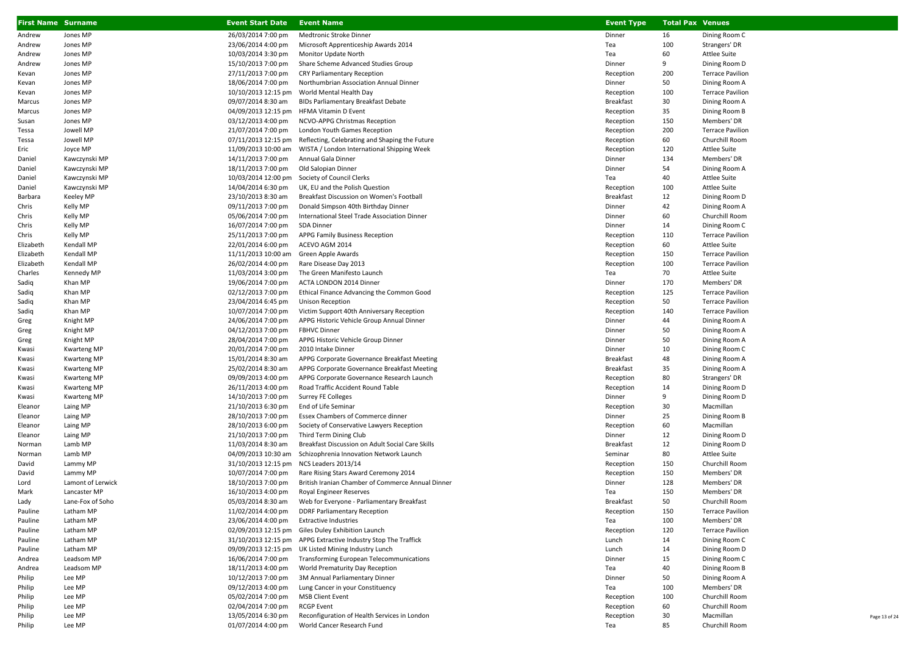| <b>First Name Surname</b> |                               | <b>Event Start Date</b>                  | <b>Event Name</b>                                                                 | <b>Event Type</b> | <b>Total Pax Venues</b> |                                        |
|---------------------------|-------------------------------|------------------------------------------|-----------------------------------------------------------------------------------|-------------------|-------------------------|----------------------------------------|
| Andrew                    | Jones MP                      | 26/03/2014 7:00 pm                       | Medtronic Stroke Dinner                                                           | Dinner            | 16                      | Dining Room C                          |
| Andrew                    | Jones MP                      | 23/06/2014 4:00 pm                       | Microsoft Apprenticeship Awards 2014                                              | Tea               | 100                     | Strangers' DR                          |
| Andrew                    | Jones MP                      | 10/03/2014 3:30 pm                       | Monitor Update North                                                              | Tea               | 60                      | Attlee Suite                           |
| Andrew                    | Jones MP                      | 15/10/2013 7:00 pm                       | Share Scheme Advanced Studies Group                                               | Dinner            | 9                       | Dining Room D                          |
| Kevan                     | Jones MP                      | 27/11/2013 7:00 pm                       | <b>CRY Parliamentary Reception</b>                                                | Reception         | 200                     | <b>Terrace Pavilion</b>                |
| Kevan                     | Jones MP                      | 18/06/2014 7:00 pm                       | Northumbrian Association Annual Dinner                                            | Dinner            | 50                      | Dining Room A                          |
| Kevan                     | Jones MP                      | 10/10/2013 12:15 pm                      | World Mental Health Day                                                           | Reception         | 100                     | <b>Terrace Pavilion</b>                |
| Marcus                    | Jones MP                      | 09/07/2014 8:30 am                       | <b>BIDs Parliamentary Breakfast Debate</b>                                        | <b>Breakfast</b>  | 30                      | Dining Room A                          |
| Marcus                    | Jones MP                      | 04/09/2013 12:15 pm HFMA Vitamin D Event |                                                                                   | Reception         | 35                      | Dining Room B                          |
| Susan                     | Jones MP                      | 03/12/2013 4:00 pm                       | NCVO-APPG Christmas Reception                                                     | Reception         | 150                     | Members' DR                            |
| Tessa                     | Jowell MP                     | 21/07/2014 7:00 pm                       | London Youth Games Reception                                                      | Reception         | 200                     | <b>Terrace Pavilion</b>                |
| Tessa                     | Jowell MP                     | 07/11/2013 12:15 pm                      | Reflecting, Celebrating and Shaping the Future                                    | Reception         | 60                      | Churchill Room                         |
| Eric                      | Joyce MP                      | 11/09/2013 10:00 am                      | WISTA / London International Shipping Week                                        | Reception         | 120                     | Attlee Suite                           |
| Daniel                    | Kawczynski MP                 | 14/11/2013 7:00 pm                       | Annual Gala Dinner                                                                | Dinner            | 134                     | Members' DR                            |
| Daniel                    | Kawczynski MP                 | 18/11/2013 7:00 pm                       | Old Salopian Dinner                                                               | Dinner            | 54                      | Dining Room A                          |
| Daniel                    | Kawczynski MP                 | 10/03/2014 12:00 pm                      | Society of Council Clerks                                                         | Tea               | 40                      | <b>Attlee Suite</b>                    |
| Daniel                    | Kawczynski MP                 | 14/04/2014 6:30 pm                       | UK, EU and the Polish Question                                                    | Reception         | 100                     | Attlee Suite                           |
| Barbara                   | <b>Keeley MP</b>              | 23/10/2013 8:30 am                       | Breakfast Discussion on Women's Football                                          | Breakfast         | 12                      | Dining Room D                          |
| Chris                     | Kelly MP                      | 09/11/2013 7:00 pm                       | Donald Simpson 40th Birthday Dinner                                               | Dinner            | 42                      | Dining Room A                          |
| Chris                     | Kelly MP                      | 05/06/2014 7:00 pm                       | International Steel Trade Association Dinner                                      | Dinner            | 60                      | Churchill Room                         |
| Chris                     | Kelly MP                      | 16/07/2014 7:00 pm                       | SDA Dinner                                                                        | Dinner            | 14                      | Dining Room C                          |
| Chris                     | Kelly MP                      | 25/11/2013 7:00 pm                       | APPG Family Business Reception                                                    | Reception         | 110                     | <b>Terrace Pavilion</b>                |
| Elizabeth                 | Kendall MP                    | 22/01/2014 6:00 pm                       | ACEVO AGM 2014                                                                    | Reception         | 60                      | <b>Attlee Suite</b>                    |
| Elizabeth                 | Kendall MP                    | 11/11/2013 10:00 am                      | Green Apple Awards                                                                | Reception         | 150                     | <b>Terrace Pavilion</b>                |
| Elizabeth                 | Kendall MP                    | 26/02/2014 4:00 pm                       | Rare Disease Day 2013                                                             | Reception         | 100                     | <b>Terrace Pavilion</b>                |
| Charles                   | Kennedy MP                    | 11/03/2014 3:00 pm                       | The Green Manifesto Launch                                                        | Tea               | 70                      | <b>Attlee Suite</b>                    |
| Sadiq                     | Khan MP                       | 19/06/2014 7:00 pm                       | ACTA LONDON 2014 Dinner                                                           | Dinner            | 170                     | Members' DR                            |
| Sadiq                     | Khan MP                       | 02/12/2013 7:00 pm                       | Ethical Finance Advancing the Common Good                                         | Reception         | 125                     | <b>Terrace Pavilion</b>                |
| Sadiq                     | Khan MP                       | 23/04/2014 6:45 pm                       | <b>Unison Reception</b>                                                           | Reception         | 50                      | <b>Terrace Pavilion</b>                |
| Sadiq                     | Khan MP                       | 10/07/2014 7:00 pm                       | Victim Support 40th Anniversary Reception                                         | Reception         | 140                     | <b>Terrace Pavilion</b>                |
| Greg                      | Knight MP                     | 24/06/2014 7:00 pm                       | APPG Historic Vehicle Group Annual Dinner                                         | Dinner            | 44                      | Dining Room A                          |
| Greg                      | Knight MP                     | 04/12/2013 7:00 pm                       | <b>FBHVC Dinner</b>                                                               | Dinner            | 50                      | Dining Room A                          |
| Greg                      | Knight MP                     | 28/04/2014 7:00 pm                       | APPG Historic Vehicle Group Dinner                                                | Dinner            | 50                      | Dining Room A                          |
| Kwasi                     | <b>Kwarteng MP</b>            | 20/01/2014 7:00 pm                       | 2010 Intake Dinner                                                                | Dinner            | 10                      | Dining Room C                          |
| Kwasi                     | <b>Kwarteng MP</b>            | 15/01/2014 8:30 am                       | APPG Corporate Governance Breakfast Meeting                                       | Breakfast         | 48                      | Dining Room A                          |
| Kwasi                     | <b>Kwarteng MP</b>            | 25/02/2014 8:30 am                       | APPG Corporate Governance Breakfast Meeting                                       | Breakfast         | 35                      | Dining Room A                          |
| Kwasi                     | <b>Kwarteng MP</b>            | 09/09/2013 4:00 pm                       | APPG Corporate Governance Research Launch                                         | Reception         | 80                      | Strangers' DR                          |
| Kwasi                     | <b>Kwarteng MP</b>            | 26/11/2013 4:00 pm                       | Road Traffic Accident Round Table                                                 | Reception         | 14                      | Dining Room D                          |
| Kwasi                     | <b>Kwarteng MP</b>            | 14/10/2013 7:00 pm                       | <b>Surrey FE Colleges</b>                                                         | Dinner            | 9                       | Dining Room D                          |
| Eleanor                   | Laing MP                      | 21/10/2013 6:30 pm                       | End of Life Seminar                                                               | Reception         | 30                      | Macmillan                              |
| Eleanor                   | Laing MP                      | 28/10/2013 7:00 pm                       | Essex Chambers of Commerce dinner                                                 | Dinner            | 25                      | Dining Room B                          |
| Eleanor                   | Laing MP                      | 28/10/2013 6:00 pm                       | Society of Conservative Lawyers Reception                                         | Reception         | 60                      | Macmillan                              |
| Eleanor                   | Laing MP                      | 21/10/2013 7:00 pm                       | Third Term Dining Club                                                            | Dinner            | 12                      | Dining Room D                          |
| Norman                    | Lamb MP                       | 11/03/2014 8:30 am                       | Breakfast Discussion on Adult Social Care Skills                                  | <b>Breakfast</b>  | 12                      | Dining Room D                          |
| Norman                    | Lamb MP                       | 04/09/2013 10:30 am                      | Schizophrenia Innovation Network Launch                                           | Seminar           | 80                      | <b>Attlee Suite</b>                    |
| David                     | Lammy MP                      | 31/10/2013 12:15 pm NCS Leaders 2013/14  |                                                                                   | Reception         | 150                     | Churchill Room                         |
| David                     | Lammy MP                      | 10/07/2014 7:00 pm                       | Rare Rising Stars Award Ceremony 2014                                             | Reception         | 150                     | Members' DR                            |
| Lord                      | Lamont of Lerwick             | 18/10/2013 7:00 pm                       | British Iranian Chamber of Commerce Annual Dinner                                 | Dinner            | 128<br>150              | Members' DR                            |
| Mark                      | Lancaster MP                  | 16/10/2013 4:00 pm                       | Royal Engineer Reserves                                                           | Tea               |                         | Members' DR                            |
| Lady                      | Lane-Fox of Soho<br>Latham MP | 05/03/2014 8:30 am                       | Web for Everyone - Parliamentary Breakfast<br><b>DDRF Parliamentary Reception</b> | Breakfast         | 50<br>150               | Churchill Room                         |
| Pauline                   | Latham MP                     | 11/02/2014 4:00 pm                       | <b>Extractive Industries</b>                                                      | Reception<br>Tea  | 100                     | <b>Terrace Pavilion</b><br>Members' DR |
| Pauline                   |                               | 23/06/2014 4:00 pm                       |                                                                                   |                   | 120                     |                                        |
| Pauline                   | Latham MP                     | 02/09/2013 12:15 pm                      | Giles Duley Exhibition Launch<br>APPG Extractive Industry Stop The Traffick       | Reception         |                         | <b>Terrace Pavilion</b>                |
| Pauline                   | Latham MP                     | 31/10/2013 12:15 pm                      |                                                                                   | Lunch             | 14                      | Dining Room C                          |
| Pauline                   | Latham MP<br>Leadsom MP       |                                          | 09/09/2013 12:15 pm UK Listed Mining Industry Lunch                               | Lunch<br>Dinner   | 14<br>15                | Dining Room D<br>Dining Room C         |
| Andrea                    |                               | 16/06/2014 7:00 pm<br>18/11/2013 4:00 pm | Transforming European Telecommunications                                          | Tea               | 40                      | Dining Room B                          |
| Andrea                    | Leadsom MP                    |                                          | World Prematurity Day Reception                                                   | Dinner            | 50                      |                                        |
| Philip                    | Lee MP<br>Lee MP              | 10/12/2013 7:00 pm<br>09/12/2013 4:00 pm | 3M Annual Parliamentary Dinner<br>Lung Cancer in your Constituency                | Tea               | 100                     | Dining Room A<br>Members' DR           |
| Philip<br>Philip          | Lee MP                        | 05/02/2014 7:00 pm                       | <b>MSB Client Event</b>                                                           | Reception         | 100                     | Churchill Room                         |
| Philip                    | Lee MP                        | 02/04/2014 7:00 pm                       | <b>RCGP Event</b>                                                                 | Reception         | 60                      | Churchill Room                         |
| Philip                    | Lee MP                        | 13/05/2014 6:30 pm                       | Reconfiguration of Health Services in London                                      | Reception         | 30                      | Macmillan                              |
| Philip                    | Lee MP                        | 01/07/2014 4:00 pm                       | World Cancer Research Fund                                                        | Tea               | 85                      | Churchill Room                         |
|                           |                               |                                          |                                                                                   |                   |                         |                                        |

Page 13 of 24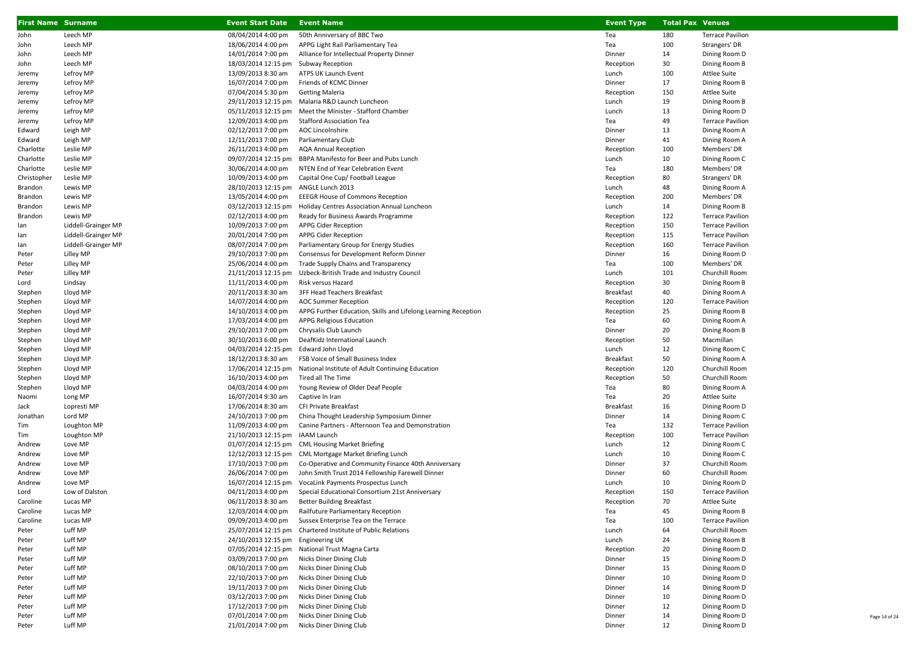| First Name Surname |                     | <b>Event Start Date</b>            | <b>Event Name</b>                                              | <b>Event Type</b> | <b>Total Pax Venues</b> |                         |
|--------------------|---------------------|------------------------------------|----------------------------------------------------------------|-------------------|-------------------------|-------------------------|
| John               | Leech MP            | 08/04/2014 4:00 pm                 | 50th Anniversary of BBC Two                                    | Tea               | 180                     | <b>Terrace Pavilion</b> |
| John               | Leech MP            | 18/06/2014 4:00 pm                 | APPG Light Rail Parliamentary Tea                              | Tea               | 100                     | Strangers' DR           |
| John               | Leech MP            | 14/01/2014 7:00 pm                 | Alliance for Intellectual Property Dinner                      | Dinner            | 14                      | Dining Room D           |
| John               | Leech MP            | 18/03/2014 12:15 pm                | Subway Reception                                               | Reception         | 30                      | Dining Room B           |
| Jeremy             | Lefroy MP           | 13/09/2013 8:30 am                 | ATPS UK Launch Event                                           | Lunch             | 100                     | <b>Attlee Suite</b>     |
| Jeremy             | Lefroy MP           | 16/07/2014 7:00 pm                 | Friends of KCMC Dinner                                         | Dinner            | 17                      | Dining Room B           |
| Jeremy             | Lefroy MP           | 07/04/2014 5:30 pm                 | <b>Getting Maleria</b>                                         | Reception         | 150                     | <b>Attlee Suite</b>     |
| Jeremy             | Lefroy MP           |                                    | 29/11/2013 12:15 pm Malaria R&D Launch Luncheon                | Lunch             | 19                      | Dining Room B           |
| Jeremy             | Lefroy MP           |                                    | 05/11/2013 12:15 pm Meet the Minister - Stafford Chamber       | Lunch             | 13                      | Dining Room D           |
| Jeremy             | Lefroy MP           | 12/09/2013 4:00 pm                 | <b>Stafford Association Tea</b>                                | Tea               | 49                      | <b>Terrace Pavilion</b> |
| Edward             | Leigh MP            | 02/12/2013 7:00 pm                 | AOC Lincolnshire                                               | Dinner            | 13                      | Dining Room A           |
| Edward             | Leigh MP            | 12/11/2013 7:00 pm                 | Parliamentary Club                                             | Dinner            | 41                      | Dining Room A           |
| Charlotte          | Leslie MP           | 26/11/2013 4:00 pm                 | <b>AQA Annual Reception</b>                                    | Reception         | 100                     | Members' DR             |
| Charlotte          | Leslie MP           | 09/07/2014 12:15 pm                | BBPA Manifesto for Beer and Pubs Lunch                         | Lunch             | 10                      | Dining Room C           |
| Charlotte          | Leslie MP           | 30/06/2014 4:00 pm                 | NTEN End of Year Celebration Event                             | Tea               | 180                     | Members' DR             |
| Christopher        | Leslie MP           | 10/09/2013 4:00 pm                 | Capital One Cup/ Football League                               | Reception         | 80                      | Strangers' DR           |
| Brandon            | Lewis MP            | 28/10/2013 12:15 pm                | ANGLE Lunch 2013                                               | Lunch             | 48                      | Dining Room A           |
| Brandon            | Lewis MP            | 13/05/2014 4:00 pm                 | <b>EEEGR House of Commons Reception</b>                        | Reception         | 200                     | Members' DR             |
| Brandon            | Lewis MP            | 03/12/2013 12:15 pm                | Holiday Centres Association Annual Luncheon                    | Lunch             | 14                      | Dining Room B           |
| Brandon            | Lewis MP            | 02/12/2013 4:00 pm                 | Ready for Business Awards Programme                            | Reception         | 122                     | <b>Terrace Pavilion</b> |
| lan                | Liddell-Grainger MP | 10/09/2013 7:00 pm                 | APPG Cider Reception                                           | Reception         | 150                     | <b>Terrace Pavilion</b> |
| lan                | Liddell-Grainger MP | 20/01/2014 7:00 pm                 | APPG Cider Reception                                           | Reception         | 115                     | <b>Terrace Pavilion</b> |
| lan                | Liddell-Grainger MP | 08/07/2014 7:00 pm                 | Parliamentary Group for Energy Studies                         | Reception         | 160                     | <b>Terrace Pavilion</b> |
| Peter              | Lilley MP           | 29/10/2013 7:00 pm                 | Consensus for Development Reform Dinner                        | Dinner            | 16                      | Dining Room D           |
| Peter              | Lilley MP           | 25/06/2014 4:00 pm                 | Trade Supply Chains and Transparency                           | Tea               | 100                     | Members' DR             |
| Peter              | Lilley MP           | 21/11/2013 12:15 pm                | Uzbeck-British Trade and Industry Council                      | Lunch             | 101                     | Churchill Room          |
| Lord               | Lindsay             | 11/11/2013 4:00 pm                 | Risk versus Hazard                                             | Reception         | 30                      | Dining Room B           |
| Stephen            | Lloyd MP            | 20/11/2013 8:30 am                 | 3FF Head Teachers Breakfast                                    | Breakfast         | 40                      | Dining Room A           |
| Stephen            | Lloyd MP            | 14/07/2014 4:00 pm                 | <b>AOC Summer Reception</b>                                    | Reception         | 120                     | <b>Terrace Pavilion</b> |
| Stephen            | Lloyd MP            | 14/10/2013 4:00 pm                 | APPG Further Education, Skills and Lifelong Learning Reception | Reception         | 25                      | Dining Room B           |
| Stephen            | Lloyd MP            | 17/03/2014 4:00 pm                 | <b>APPG Religious Education</b>                                | Tea               | 60                      | Dining Room A           |
| Stephen            | Lloyd MP            | 29/10/2013 7:00 pm                 | Chrysalis Club Launch                                          | Dinner            | 20                      | Dining Room B           |
| Stephen            | Lloyd MP            | 30/10/2013 6:00 pm                 | DeafKidz International Launch                                  | Reception         | 50                      | Macmillan               |
| Stephen            | Lloyd MP            | 04/03/2014 12:15 pm                | Edward John Lloyd                                              | Lunch             | 12                      | Dining Room C           |
| Stephen            | Lloyd MP            | 18/12/2013 8:30 am                 | FSB Voice of Small Business Index                              | <b>Breakfast</b>  | 50                      | Dining Room A           |
| Stephen            | Lloyd MP            | 17/06/2014 12:15 pm                | National Institute of Adult Continuing Education               | Reception         | 120                     | Churchill Room          |
| Stephen            | Lloyd MP            | 16/10/2013 4:00 pm                 | Tired all The Time                                             | Reception         | 50                      | Churchill Room          |
| Stephen            | Lloyd MP            | 04/03/2014 4:00 pm                 | Young Review of Older Deaf People                              | Tea               | 80                      | Dining Room A           |
| Naomi              | Long MP             | 16/07/2014 9:30 am                 | Captive In Iran                                                | Tea               | 20                      | Attlee Suite            |
| Jack               | Lopresti MP         | 17/06/2014 8:30 am                 | CFI Private Breakfast                                          | <b>Breakfast</b>  | 16                      | Dining Room D           |
| Jonathan           | Lord MP             | 24/10/2013 7:00 pm                 | China Thought Leadership Symposium Dinner                      | Dinner            | 14                      | Dining Room C           |
| Tim                | Loughton MP         | 11/09/2013 4:00 pm                 | Canine Partners - Afternoon Tea and Demonstration              | Tea               | 132                     | <b>Terrace Pavilion</b> |
| Tim                | Loughton MP         | 21/10/2013 12:15 pm IAAM Launch    |                                                                | Reception         | 100                     | <b>Terrace Pavilion</b> |
| Andrew             | Love MP             |                                    | 01/07/2014 12:15 pm CML Housing Market Briefing                | Lunch             | 12                      | Dining Room C           |
| Andrew             | Love MP             |                                    | 12/12/2013 12:15 pm CML Mortgage Market Briefing Lunch         | Lunch             | 10                      | Dining Room C           |
| Andrew             | Love MP             | 17/10/2013 7:00 pm                 | Co-Operative and Community Finance 40th Anniversary            | Dinner            | 37                      | Churchill Room          |
| Andrew             | Love MP             | 26/06/2014 7:00 pm                 | John Smith Trust 2014 Fellowship Farewell Dinner               | Dinner            | 60                      | Churchill Room          |
| Andrew             | Love MP             | 16/07/2014 12:15 pm                | VocaLink Payments Prospectus Lunch                             | Lunch             | 10                      | Dining Room D           |
| Lord               | Low of Dalston      | 04/11/2013 4:00 pm                 | Special Educational Consortium 21st Anniversary                | Reception         | 150                     | <b>Terrace Pavilion</b> |
| Caroline           | Lucas MP            | 06/11/2013 8:30 am                 | <b>Better Building Breakfast</b>                               | Reception         | 70                      | Attlee Suite            |
| Caroline           | Lucas MP            | 12/03/2014 4:00 pm                 | Railfuture Parliamentary Reception                             | Tea               | 45                      | Dining Room B           |
| Caroline           | Lucas MP            | 09/09/2013 4:00 pm                 | Sussex Enterprise Tea on the Terrace                           | Tea               | 100                     | <b>Terrace Pavilion</b> |
| Peter              | Luff MP             | 25/07/2014 12:15 pm                | Chartered Institute of Public Relations                        | Lunch             | 64                      | Churchill Room          |
| Peter              | Luff MP             | 24/10/2013 12:15 pm Engineering UK |                                                                | Lunch             | 24                      | Dining Room B           |
| Peter              | Luff MP             | 07/05/2014 12:15 pm                | National Trust Magna Carta                                     | Reception         | 20                      | Dining Room D           |
| Peter              | Luff MP             | 03/09/2013 7:00 pm                 | Nicks Diner Dining Club                                        | Dinner            | 15                      | Dining Room D           |
| Peter              | Luff MP             | 08/10/2013 7:00 pm                 | Nicks Diner Dining Club                                        | Dinner            | 15                      | Dining Room D           |
| Peter              | Luff MP             | 22/10/2013 7:00 pm                 | Nicks Diner Dining Club                                        | Dinner            | 10                      | Dining Room D           |
| Peter              | Luff MP             | 19/11/2013 7:00 pm                 | Nicks Diner Dining Club                                        | Dinner            | 14                      | Dining Room D           |
| Peter              | Luff MP             | 03/12/2013 7:00 pm                 | Nicks Diner Dining Club                                        | Dinner            | 10                      | Dining Room D           |
| Peter              | Luff MP             | 17/12/2013 7:00 pm                 | Nicks Diner Dining Club                                        | Dinner            | 12                      | Dining Room D           |
| Peter              | Luff MP             | 07/01/2014 7:00 pm                 | Nicks Diner Dining Club                                        | Dinner            | 14                      | Dining Room D           |
| Peter              | Luff MP             | 21/01/2014 7:00 pm                 | Nicks Diner Dining Club                                        | Dinner            | 12                      | Dining Room D           |

Page 14 of 24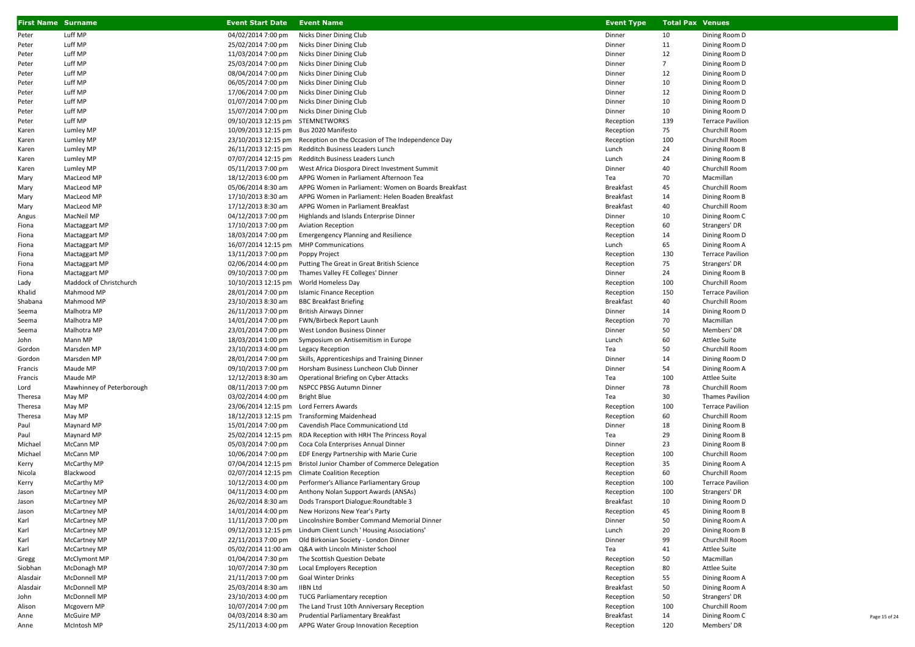| <b>First Name Surname</b> |                           | <b>Event Start Date</b>                   | <b>Event Name</b>                                                 | <b>Event Type</b> | <b>Total Pax Venues</b> |                                                   |
|---------------------------|---------------------------|-------------------------------------------|-------------------------------------------------------------------|-------------------|-------------------------|---------------------------------------------------|
| Peter                     | Luff MP                   | 04/02/2014 7:00 pm                        | Nicks Diner Dining Club                                           | Dinner            | 10                      | Dining Room D                                     |
| Peter                     | Luff MP                   | 25/02/2014 7:00 pm                        | Nicks Diner Dining Club                                           | Dinner            | 11                      | Dining Room D                                     |
| Peter                     | Luff MP                   | 11/03/2014 7:00 pm                        | Nicks Diner Dining Club                                           | Dinner            | 12                      | Dining Room D                                     |
| Peter                     | Luff MP                   | 25/03/2014 7:00 pm                        | Nicks Diner Dining Club                                           | Dinner            | $\overline{7}$          | Dining Room D                                     |
| Peter                     | Luff MP                   | 08/04/2014 7:00 pm                        | Nicks Diner Dining Club                                           | Dinner            | 12                      | Dining Room D                                     |
| Peter                     | Luff MP                   | 06/05/2014 7:00 pm                        | Nicks Diner Dining Club                                           | Dinner            | 10                      | Dining Room D                                     |
| Peter                     | Luff MP                   | 17/06/2014 7:00 pm                        | Nicks Diner Dining Club                                           | Dinner            | 12                      | Dining Room D                                     |
| Peter                     | Luff MP                   | 01/07/2014 7:00 pm                        | Nicks Diner Dining Club                                           | Dinner            | 10                      | Dining Room D                                     |
| Peter                     | Luff MP                   | 15/07/2014 7:00 pm                        | Nicks Diner Dining Club                                           | Dinner            | 10                      | Dining Room D                                     |
| Peter                     | Luff MP                   | 09/10/2013 12:15 pm STEMNETWORKS          |                                                                   | Reception         | 139                     | <b>Terrace Pavilion</b>                           |
| Karen                     | Lumley MP                 | 10/09/2013 12:15 pm Bus 2020 Manifesto    |                                                                   | Reception         | 75                      | Churchill Room                                    |
| Karen                     | Lumley MP                 | 23/10/2013 12:15 pm                       | Reception on the Occasion of The Independence Day                 | Reception         | 100                     | Churchill Room                                    |
| Karen                     | Lumley MP                 | 26/11/2013 12:15 pm                       | Redditch Business Leaders Lunch                                   | Lunch             | 24                      | Dining Room B                                     |
| Karen                     | Lumley MP                 | 07/07/2014 12:15 pm                       | Redditch Business Leaders Lunch                                   | Lunch             | 24                      | Dining Room B                                     |
| Karen                     | Lumley MP                 | 05/11/2013 7:00 pm                        | West Africa Diospora Direct Investment Summit                     | Dinner            | 40                      | Churchill Room                                    |
| Mary                      | MacLeod MP                | 18/12/2013 6:00 pm                        | APPG Women in Parliament Afternoon Tea                            | Tea               | 70                      | Macmillan                                         |
| Mary                      | MacLeod MP                | 05/06/2014 8:30 am                        | APPG Women in Parliament: Women on Boards Breakfast               | Breakfast         | 45                      | Churchill Room                                    |
| Mary                      | MacLeod MP                | 17/10/2013 8:30 am                        | APPG Women in Parliament: Helen Boaden Breakfast                  | Breakfast         | 14                      | Dining Room B                                     |
| Mary                      | MacLeod MP                | 17/12/2013 8:30 am                        | APPG Women in Parliament Breakfast                                | <b>Breakfast</b>  | 40                      | Churchill Room                                    |
| Angus                     | MacNeil MP                | 04/12/2013 7:00 pm                        | Highlands and Islands Enterprise Dinner                           | Dinner            | 10                      | Dining Room C                                     |
| Fiona                     | Mactaggart MP             | 17/10/2013 7:00 pm                        | <b>Aviation Reception</b>                                         | Reception         | 60                      | Strangers' DR                                     |
| Fiona                     | Mactaggart MP             | 18/03/2014 7:00 pm                        | <b>Emergengency Planning and Resilience</b>                       | Reception         | 14                      | Dining Room D                                     |
| Fiona                     | Mactaggart MP             | 16/07/2014 12:15 pm                       | <b>MHP Communications</b>                                         | Lunch             | 65                      | Dining Room A                                     |
| Fiona                     | Mactaggart MP             | 13/11/2013 7:00 pm                        | Poppy Project                                                     | Reception         | 130                     | <b>Terrace Pavilion</b>                           |
| Fiona                     | Mactaggart MP             | 02/06/2014 4:00 pm                        | Putting The Great in Great British Science                        | Reception         | 75                      | Strangers' DR                                     |
| Fiona                     | Mactaggart MP             | 09/10/2013 7:00 pm                        | Thames Valley FE Colleges' Dinner                                 | Dinner            | 24                      | Dining Room B                                     |
| Lady                      | Maddock of Christchurch   | 10/10/2013 12:15 pm                       | World Homeless Day                                                | Reception         | 100                     | Churchill Room                                    |
| Khalid                    | Mahmood MP                | 28/01/2014 7:00 pm                        | <b>Islamic Finance Reception</b>                                  | Reception         | 150                     | <b>Terrace Pavilion</b>                           |
| Shabana                   | Mahmood MP                | 23/10/2013 8:30 am                        | <b>BBC Breakfast Briefing</b>                                     | <b>Breakfast</b>  | 40                      | Churchill Room                                    |
| Seema                     | Malhotra MP               | 26/11/2013 7:00 pm                        | <b>British Airways Dinner</b>                                     | Dinner            | 14                      | Dining Room D                                     |
| Seema                     | Malhotra MP               | 14/01/2014 7:00 pm                        | FWN/Birbeck Report Launh                                          | Reception         | 70                      | Macmillan                                         |
| Seema                     | Malhotra MP               | 23/01/2014 7:00 pm                        | West London Business Dinner                                       | Dinner            | 50                      | Members' DR                                       |
| John                      | Mann MP                   | 18/03/2014 1:00 pm                        | Symposium on Antisemitism in Europe                               | Lunch             | 60                      | Attlee Suite                                      |
| Gordon                    | Marsden MP                | 23/10/2013 4:00 pm                        | Legacy Reception                                                  | Tea               | 50                      | Churchill Room                                    |
| Gordon                    | Marsden MP                | 28/01/2014 7:00 pm                        | Skills, Apprenticeships and Training Dinner                       | Dinner            | 14<br>54                | Dining Room D                                     |
| Francis                   | Maude MP                  | 09/10/2013 7:00 pm                        | Horsham Business Luncheon Club Dinner                             | Dinner            |                         | Dining Room A                                     |
| Francis                   | Maude MP                  | 12/12/2013 8:30 am<br>08/11/2013 7:00 pm  | Operational Briefing on Cyber Attacks                             | Tea               | 100<br>78               | <b>Attlee Suite</b><br>Churchill Room             |
| Lord                      | Mawhinney of Peterborough |                                           | NSPCC PBSG Autumn Dinner                                          | Dinner            | 30                      |                                                   |
| Theresa                   | May MP<br>May MP          | 03/02/2014 4:00 pm<br>23/06/2014 12:15 pm | <b>Bright Blue</b><br>Lord Ferrers Awards                         | Tea<br>Reception  | 100                     | <b>Thames Pavilion</b><br><b>Terrace Pavilion</b> |
| Theresa<br>Theresa        | May MP                    | 18/12/2013 12:15 pm                       | <b>Transforming Maidenhead</b>                                    | Reception         | 60                      | Churchill Room                                    |
| Paul                      | Maynard MP                | 15/01/2014 7:00 pm                        | Cavendish Place Communicationd Ltd                                | Dinner            | 18                      | Dining Room B                                     |
| Paul                      | Maynard MP                |                                           | 25/02/2014 12:15 pm RDA Reception with HRH The Princess Royal     | Tea               | 29                      | Dining Room B                                     |
| Michael                   | McCann MP                 | 05/03/2014 7:00 pm                        | Coca Cola Enterprises Annual Dinner                               | Dinner            | 23                      | Dining Room B                                     |
| Michael                   | McCann MP                 | 10/06/2014 7:00 pm                        | EDF Energy Partnership with Marie Curie                           | Reception         | 100                     | Churchill Room                                    |
| Kerry                     | McCarthy MP               |                                           | 07/04/2014 12:15 pm Bristol Junior Chamber of Commerce Delegation | Reception         | 35                      | Dining Room A                                     |
| Nicola                    | Blackwood                 | 02/07/2014 12:15 pm                       | <b>Climate Coalition Reception</b>                                | Reception         | 60                      | Churchill Room                                    |
| Kerry                     | McCarthy MP               | 10/12/2013 4:00 pm                        | Performer's Alliance Parliamentary Group                          | Reception         | 100                     | <b>Terrace Pavilion</b>                           |
| Jason                     | <b>McCartney MP</b>       | 04/11/2013 4:00 pm                        | Anthony Nolan Support Awards (ANSAs)                              | Reception         | 100                     | Strangers' DR                                     |
| Jason                     | <b>McCartney MP</b>       | 26/02/2014 8:30 am                        | Dods Transport Dialogue: Roundtable 3                             | <b>Breakfast</b>  | 10                      | Dining Room D                                     |
| Jason                     | McCartney MP              | 14/01/2014 4:00 pm                        | New Horizons New Year's Party                                     | Reception         | 45                      | Dining Room B                                     |
| Karl                      | McCartney MP              | 11/11/2013 7:00 pm                        | Lincolnshire Bomber Command Memorial Dinner                       | Dinner            | 50                      | Dining Room A                                     |
| Karl                      | McCartney MP              | 09/12/2013 12:15 pm                       | Lindum Client Lunch ' Housing Associations'                       | Lunch             | 20                      | Dining Room B                                     |
| Karl                      | McCartney MP              | 22/11/2013 7:00 pm                        | Old Birkonian Society - London Dinner                             | Dinner            | 99                      | Churchill Room                                    |
| Karl                      | McCartney MP              | 05/02/2014 11:00 am                       | Q&A with Lincoln Minister School                                  | Tea               | 41                      | Attlee Suite                                      |
| Gregg                     | McClymont MP              | 01/04/2014 7:30 pm                        | The Scottish Question Debate                                      | Reception         | 50                      | Macmillan                                         |
| Siobhan                   | McDonagh MP               | 10/07/2014 7:30 pm                        | Local Employers Reception                                         | Reception         | 80                      | Attlee Suite                                      |
| Alasdair                  | McDonnell MP              | 21/11/2013 7:00 pm                        | <b>Goal Winter Drinks</b>                                         | Reception         | 55                      | Dining Room A                                     |
| Alasdair                  | McDonnell MP              | 25/03/2014 8:30 am                        | <b>IIBN Ltd</b>                                                   | Breakfast         | 50                      | Dining Room A                                     |
| John                      | McDonnell MP              | 23/10/2013 4:00 pm                        | <b>TUCG Parliamentary reception</b>                               | Reception         | 50                      | Strangers' DR                                     |
| Alison                    | Mcgovern MP               | 10/07/2014 7:00 pm                        | The Land Trust 10th Anniversary Reception                         | Reception         | 100                     | Churchill Room                                    |
| Anne                      | McGuire MP                | 04/03/2014 8:30 am                        | Prudential Parliamentary Breakfast                                | Breakfast         | 14                      | Dining Room C                                     |
| Anne                      | McIntosh MP               | 25/11/2013 4:00 pm                        | APPG Water Group Innovation Reception                             | Reception         | 120                     | Members' DR                                       |

Page 15 of 24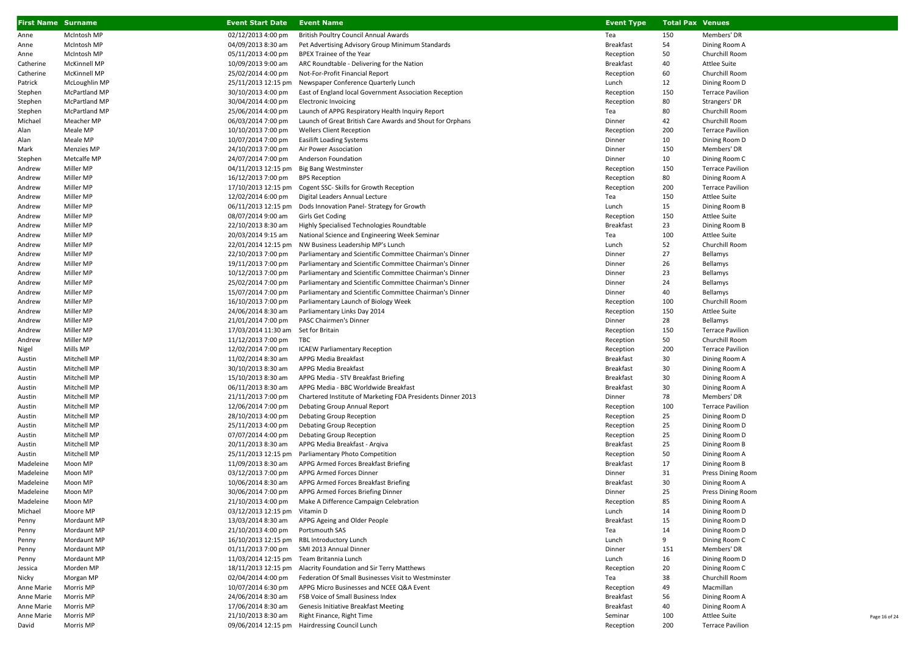| <b>First Name Surname</b> |                      | <b>Event Start Date</b>             | <b>Event Name</b>                                           | <b>Event Type</b> | <b>Total Pax Venues</b> |                         |
|---------------------------|----------------------|-------------------------------------|-------------------------------------------------------------|-------------------|-------------------------|-------------------------|
| Anne                      | McIntosh MP          | 02/12/2013 4:00 pm                  | British Poultry Council Annual Awards                       | Tea               | 150                     | Members' DR             |
| Anne                      | McIntosh MP          | 04/09/2013 8:30 am                  | Pet Advertising Advisory Group Minimum Standards            | <b>Breakfast</b>  | 54                      | Dining Room A           |
| Anne                      | McIntosh MP          | 05/11/2013 4:00 pm                  | BPEX Trainee of the Year                                    | Reception         | 50                      | Churchill Room          |
| Catherine                 | <b>McKinnell MP</b>  | 10/09/2013 9:00 am                  | ARC Roundtable - Delivering for the Nation                  | <b>Breakfast</b>  | 40                      | Attlee Suite            |
| Catherine                 | <b>McKinnell MP</b>  | 25/02/2014 4:00 pm                  | Not-For-Profit Financial Report                             | Reception         | 60                      | Churchill Room          |
| Patrick                   | McLoughlin MP        | 25/11/2013 12:15 pm                 | Newspaper Conference Quarterly Lunch                        | Lunch             | 12                      | Dining Room D           |
| Stephen                   | McPartland MP        | 30/10/2013 4:00 pm                  | East of England local Government Association Reception      | Reception         | 150                     | <b>Terrace Pavilion</b> |
| Stephen                   | <b>McPartland MP</b> | 30/04/2014 4:00 pm                  | <b>Electronic Invoicing</b>                                 | Reception         | 80                      | Strangers' DR           |
| Stephen                   | McPartland MP        | 25/06/2014 4:00 pm                  | Launch of APPG Respiratory Health Inquiry Report            | Tea               | 80                      | Churchill Room          |
| Michael                   | Meacher MP           | 06/03/2014 7:00 pm                  | Launch of Great British Care Awards and Shout for Orphans   | Dinner            | 42                      | Churchill Room          |
| Alan                      | Meale MP             | 10/10/2013 7:00 pm                  | <b>Wellers Client Reception</b>                             | Reception         | 200                     | <b>Terrace Pavilion</b> |
| Alan                      | Meale MP             | 10/07/2014 7:00 pm                  | <b>Easilift Loading Systems</b>                             | Dinner            | 10                      | Dining Room D           |
| Mark                      | Menzies MP           | 24/10/2013 7:00 pm                  | Air Power Association                                       | Dinner            | 150                     | Members' DR             |
| Stephen                   | Metcalfe MP          | 24/07/2014 7:00 pm                  | Anderson Foundation                                         | Dinner            | 10                      | Dining Room C           |
| Andrew                    | Miller MP            | 04/11/2013 12:15 pm                 | <b>Big Bang Westminster</b>                                 | Reception         | 150                     | <b>Terrace Pavilion</b> |
| Andrew                    | Miller MP            | 16/12/2013 7:00 pm                  | <b>BPS Reception</b>                                        | Reception         | 80                      | Dining Room A           |
| Andrew                    | Miller MP            | 17/10/2013 12:15 pm                 | Cogent SSC- Skills for Growth Reception                     | Reception         | 200                     | <b>Terrace Pavilion</b> |
| Andrew                    | Miller MP            | 12/02/2014 6:00 pm                  | Digital Leaders Annual Lecture                              | Tea               | 150                     | Attlee Suite            |
| Andrew                    | Miller MP            | 06/11/2013 12:15 pm                 | Dods Innovation Panel- Strategy for Growth                  | Lunch             | 15                      | Dining Room B           |
| Andrew                    | Miller MP            | 08/07/2014 9:00 am                  | Girls Get Coding                                            | Reception         | 150                     | <b>Attlee Suite</b>     |
| Andrew                    | Miller MP            | 22/10/2013 8:30 am                  | Highly Specialised Technologies Roundtable                  | <b>Breakfast</b>  | 23                      | Dining Room B           |
| Andrew                    | Miller MP            | 20/03/2014 9:15 am                  | National Science and Engineering Week Seminar               | Tea               | 100                     | <b>Attlee Suite</b>     |
| Andrew                    | Miller MP            | 22/01/2014 12:15 pm                 | NW Business Leadership MP's Lunch                           | Lunch             | 52                      | Churchill Room          |
| Andrew                    | Miller MP            | 22/10/2013 7:00 pm                  | Parliamentary and Scientific Committee Chairman's Dinner    | Dinner            | 27                      | Bellamys                |
| Andrew                    | Miller MP            | 19/11/2013 7:00 pm                  | Parliamentary and Scientific Committee Chairman's Dinner    | Dinner            | 26                      | Bellamys                |
| Andrew                    | Miller MP            | 10/12/2013 7:00 pm                  | Parliamentary and Scientific Committee Chairman's Dinner    | Dinner            | 23                      | Bellamys                |
| Andrew                    | Miller MP            | 25/02/2014 7:00 pm                  | Parliamentary and Scientific Committee Chairman's Dinner    | Dinner            | 24                      | Bellamys                |
| Andrew                    | Miller MP            | 15/07/2014 7:00 pm                  | Parliamentary and Scientific Committee Chairman's Dinner    | Dinner            | 40                      | Bellamys                |
| Andrew                    | Miller MP            | 16/10/2013 7:00 pm                  | Parliamentary Launch of Biology Week                        | Reception         | 100                     | Churchill Room          |
| Andrew                    | Miller MP            | 24/06/2014 8:30 am                  | Parliamentary Links Day 2014                                | Reception         | 150                     | <b>Attlee Suite</b>     |
| Andrew                    | Miller MP            | 21/01/2014 7:00 pm                  | PASC Chairmen's Dinner                                      | Dinner            | 28                      | Bellamys                |
| Andrew                    | Miller MP            | 17/03/2014 11:30 am Set for Britain |                                                             | Reception         | 150                     | <b>Terrace Pavilion</b> |
| Andrew                    | Miller MP            | 11/12/2013 7:00 pm                  | TBC                                                         | Reception         | 50                      | Churchill Room          |
| Nigel                     | Mills MP             | 12/02/2014 7:00 pm                  | <b>ICAEW Parliamentary Reception</b>                        | Reception         | 200                     | <b>Terrace Pavilion</b> |
| Austin                    | Mitchell MP          | 11/02/2014 8:30 am                  | APPG Media Breakfast                                        | <b>Breakfast</b>  | 30                      | Dining Room A           |
| Austin                    | Mitchell MP          | 30/10/2013 8:30 am                  | APPG Media Breakfast                                        | <b>Breakfast</b>  | 30                      | Dining Room A           |
| Austin                    | Mitchell MP          | 15/10/2013 8:30 am                  | APPG Media - STV Breakfast Briefing                         | <b>Breakfast</b>  | 30                      | Dining Room A           |
| Austin                    | Mitchell MP          | 06/11/2013 8:30 am                  | APPG Media - BBC Worldwide Breakfast                        | <b>Breakfast</b>  | 30                      | Dining Room A           |
| Austin                    | Mitchell MP          | 21/11/2013 7:00 pm                  | Chartered Institute of Marketing FDA Presidents Dinner 2013 | Dinner            | 78                      | Members' DR             |
| Austin                    | Mitchell MP          | 12/06/2014 7:00 pm                  | Debating Group Annual Report                                | Reception         | 100                     | <b>Terrace Pavilion</b> |
| Austin                    | Mitchell MP          | 28/10/2013 4:00 pm                  | Debating Group Reception                                    | Reception         | 25                      | Dining Room D           |
| Austin                    | Mitchell MP          | 25/11/2013 4:00 pm                  | Debating Group Reception                                    | Reception         | 25                      | Dining Room D           |
| Austin                    | Mitchell MP          | 07/07/2014 4:00 pm                  | Debating Group Reception                                    | Reception         | 25                      | Dining Room D           |
| Austin                    | Mitchell MP          | 20/11/2013 8:30 am                  | APPG Media Breakfast - Argiva                               | <b>Breakfast</b>  | 25                      | Dining Room B           |
| Austin                    | Mitchell MP          | 25/11/2013 12:15 pm                 | Parliamentary Photo Competition                             | Reception         | 50                      | Dining Room A           |
| Madeleine                 | Moon MP              | 11/09/2013 8:30 am                  | APPG Armed Forces Breakfast Briefing                        | <b>Breakfast</b>  | 17                      | Dining Room B           |
| Madeleine                 | Moon MP              | 03/12/2013 7:00 pm                  | APPG Armed Forces Dinner                                    | Dinner            | 31                      | Press Dining Room       |
| Madeleine                 | Moon MP              | 10/06/2014 8:30 am                  | APPG Armed Forces Breakfast Briefing                        | <b>Breakfast</b>  | 30                      | Dining Room A           |
| Madeleine                 | Moon MP              | 30/06/2014 7:00 pm                  | APPG Armed Forces Briefing Dinner                           | Dinner            | 25                      | Press Dining Room       |
| Madeleine                 | Moon MP              | 21/10/2013 4:00 pm                  | Make A Difference Campaign Celebration                      | Reception         | 85                      | Dining Room A           |
| Michael                   | Moore MP             | 03/12/2013 12:15 pm Vitamin D       |                                                             | Lunch             | 14                      | Dining Room D           |
| Penny                     | Mordaunt MP          | 13/03/2014 8:30 am                  | APPG Ageing and Older People                                | <b>Breakfast</b>  | 15                      | Dining Room D           |
| Penny                     | Mordaunt MP          | 21/10/2013 4:00 pm                  | Portsmouth SAS                                              | Tea               | 14                      | Dining Room D           |
| Penny                     | Mordaunt MP          |                                     | 16/10/2013 12:15 pm RBL Introductory Lunch                  | Lunch             | 9                       | Dining Room C           |
| Penny                     | Mordaunt MP          | 01/11/2013 7:00 pm                  | SMI 2013 Annual Dinner                                      | Dinner            | 151                     | Members' DR             |
| Penny                     | Mordaunt MP          | 11/03/2014 12:15 pm                 | Team Britannia Lunch                                        | Lunch             | 16                      | Dining Room D           |
| Jessica                   | Morden MP            | 18/11/2013 12:15 pm                 | Alacrity Foundation and Sir Terry Matthews                  | Reception         | 20                      | Dining Room C           |
| Nicky                     | Morgan MP            | 02/04/2014 4:00 pm                  | Federation Of Small Businesses Visit to Westminster         | Tea               | 38                      | Churchill Room          |
| Anne Marie                | Morris MP            | 10/07/2014 6:30 pm                  | APPG Micro Businesses and NCEE Q&A Event                    | Reception         | 49                      | Macmillan               |
| Anne Marie                | Morris MP            | 24/06/2014 8:30 am                  | FSB Voice of Small Business Index                           | <b>Breakfast</b>  | 56                      | Dining Room A           |
| Anne Marie                | Morris MP            | 17/06/2014 8:30 am                  | Genesis Initiative Breakfast Meeting                        | <b>Breakfast</b>  | 40                      | Dining Room A           |
| Anne Marie                | Morris MP            | 21/10/2013 8:30 am                  | Right Finance, Right Time                                   | Seminar           | 100                     | <b>Attlee Suite</b>     |
| David                     | Morris MP            |                                     | 09/06/2014 12:15 pm Hairdressing Council Lunch              | Reception         | 200                     | <b>Terrace Pavilion</b> |

Page 16 of 24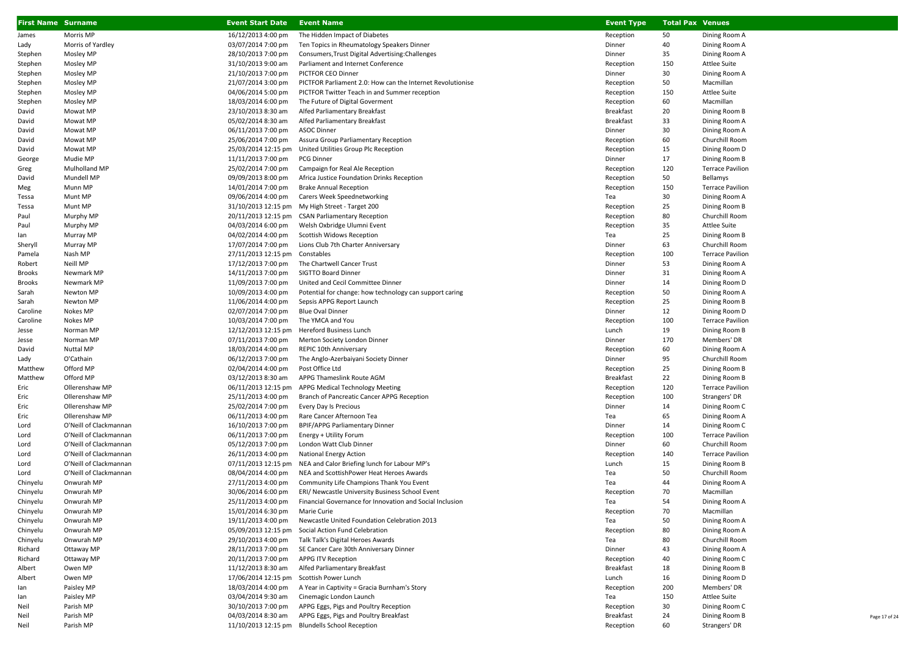| <b>First Name Surname</b> |                          | <b>Event Start Date</b>                              | <b>Event Name</b>                                                                                           | <b>Event Type</b> | <b>Total Pax Venues</b> |                                           |
|---------------------------|--------------------------|------------------------------------------------------|-------------------------------------------------------------------------------------------------------------|-------------------|-------------------------|-------------------------------------------|
| James                     | Morris MP                | 16/12/2013 4:00 pm                                   | The Hidden Impact of Diabetes                                                                               | Reception         | 50                      | Dining Room A                             |
| Lady                      | Morris of Yardley        | 03/07/2014 7:00 pm                                   | Ten Topics in Rheumatology Speakers Dinner                                                                  | Dinner            | 40                      | Dining Room A                             |
| Stephen                   | Mosley MP                | 28/10/2013 7:00 pm                                   | Consumers, Trust Digital Advertising: Challenges                                                            | Dinner            | 35                      | Dining Room A                             |
| Stephen                   | Mosley MP                | 31/10/2013 9:00 am                                   | Parliament and Internet Conference                                                                          | Reception         | 150                     | Attlee Suite                              |
| Stephen                   | Mosley MP                | 21/10/2013 7:00 pm                                   | PICTFOR CEO Dinner                                                                                          | Dinner            | 30                      | Dining Room A                             |
| Stephen                   | Mosley MP                | 21/07/2014 3:00 pm                                   | PICTFOR Parliament 2.0: How can the Internet Revolutionise                                                  | Reception         | 50                      | Macmillan                                 |
| Stephen                   | Mosley MP                | 04/06/2014 5:00 pm                                   | PICTFOR Twitter Teach in and Summer reception                                                               | Reception         | 150                     | <b>Attlee Suite</b>                       |
| Stephen                   | Mosley MP                | 18/03/2014 6:00 pm                                   | The Future of Digital Goverment                                                                             | Reception         | 60                      | Macmillan                                 |
| David                     | Mowat MP                 | 23/10/2013 8:30 am                                   | Alfed Parliamentary Breakfast                                                                               | <b>Breakfast</b>  | 20                      | Dining Room B                             |
| David                     | Mowat MP                 | 05/02/2014 8:30 am                                   | Alfed Parliamentary Breakfast                                                                               | <b>Breakfast</b>  | 33                      | Dining Room A                             |
| David                     | Mowat MP                 | 06/11/2013 7:00 pm                                   | <b>ASOC Dinner</b>                                                                                          | Dinner            | 30                      | Dining Room A                             |
| David                     | Mowat MP                 | 25/06/2014 7:00 pm                                   | Assura Group Parliamentary Reception                                                                        | Reception         | 60                      | Churchill Room                            |
| David                     | Mowat MP                 | 25/03/2014 12:15 pm                                  | United Utilities Group Plc Reception                                                                        | Reception         | 15                      | Dining Room D                             |
| George                    | Mudie MP                 | 11/11/2013 7:00 pm                                   | <b>PCG Dinner</b>                                                                                           | Dinner            | 17                      | Dining Room B                             |
| Greg                      | Mulholland MP            | 25/02/2014 7:00 pm                                   | Campaign for Real Ale Reception                                                                             | Reception         | 120                     | <b>Terrace Pavilion</b>                   |
| David                     | Mundell MP               | 09/09/2013 8:00 pm                                   | Africa Justice Foundation Drinks Reception                                                                  | Reception         | 50                      | Bellamys                                  |
| Meg                       | Munn MP                  | 14/01/2014 7:00 pm                                   | <b>Brake Annual Reception</b>                                                                               | Reception         | 150                     | <b>Terrace Pavilion</b>                   |
| Tessa                     | Munt MP                  | 09/06/2014 4:00 pm                                   | Carers Week Speednetworking                                                                                 | Tea               | 30                      | Dining Room A                             |
| Tessa                     | Munt MP                  |                                                      | 31/10/2013 12:15 pm My High Street - Target 200                                                             | Reception         | 25                      | Dining Room B                             |
| Paul                      | Murphy MP                |                                                      | 20/11/2013 12:15 pm CSAN Parliamentary Reception                                                            | Reception         | 80                      | Churchill Room                            |
| Paul                      | Murphy MP                | 04/03/2014 6:00 pm<br>04/02/2014 4:00 pm             | Welsh Oxbridge Ulumni Event<br><b>Scottish Widows Reception</b>                                             | Reception         | 35<br>25                | <b>Attlee Suite</b>                       |
| lan                       | Murray MP                |                                                      | Lions Club 7th Charter Anniversary                                                                          | Tea<br>Dinner     | 63                      | Dining Room B                             |
| Sheryll<br>Pamela         | Murray MP<br>Nash MP     | 17/07/2014 7:00 pm<br>27/11/2013 12:15 pm Constables |                                                                                                             | Reception         | 100                     | Churchill Room<br><b>Terrace Pavilion</b> |
| Robert                    | Neill MP                 | 17/12/2013 7:00 pm                                   | The Chartwell Cancer Trust                                                                                  | Dinner            | 53                      | Dining Room A                             |
| Brooks                    | Newmark MP               | 14/11/2013 7:00 pm                                   | SIGTTO Board Dinner                                                                                         | Dinner            | 31                      | Dining Room A                             |
| Brooks                    | Newmark MP               | 11/09/2013 7:00 pm                                   | United and Cecil Committee Dinner                                                                           | Dinner            | 14                      | Dining Room D                             |
| Sarah                     | Newton MP                | 10/09/2013 4:00 pm                                   | Potential for change: how technology can support caring                                                     | Reception         | 50                      | Dining Room A                             |
| Sarah                     | Newton MP                | 11/06/2014 4:00 pm                                   | Sepsis APPG Report Launch                                                                                   | Reception         | 25                      | Dining Room B                             |
| Caroline                  | Nokes MP                 | 02/07/2014 7:00 pm                                   | <b>Blue Oval Dinner</b>                                                                                     | Dinner            | 12                      | Dining Room D                             |
| Caroline                  | Nokes MP                 | 10/03/2014 7:00 pm                                   | The YMCA and You                                                                                            | Reception         | 100                     | <b>Terrace Pavilion</b>                   |
| Jesse                     | Norman MP                |                                                      | 12/12/2013 12:15 pm Hereford Business Lunch                                                                 | Lunch             | 19                      | Dining Room B                             |
| Jesse                     | Norman MP                | 07/11/2013 7:00 pm                                   | Merton Society London Dinner                                                                                | Dinner            | 170                     | Members' DR                               |
| David                     | <b>Nuttal MP</b>         | 18/03/2014 4:00 pm                                   | REPIC 10th Anniversary                                                                                      | Reception         | 60                      | Dining Room A                             |
| Lady                      | O'Cathain                | 06/12/2013 7:00 pm                                   | The Anglo-Azerbaiyani Society Dinner                                                                        | Dinner            | 95                      | Churchill Room                            |
| Matthew                   | Offord MP                | 02/04/2014 4:00 pm                                   | Post Office Ltd                                                                                             | Reception         | 25                      | Dining Room B                             |
| Matthew                   | Offord MP                | 03/12/2013 8:30 am                                   | APPG Thameslink Route AGM                                                                                   | <b>Breakfast</b>  | 22                      | Dining Room B                             |
| Eric                      | Ollerenshaw MP           | 06/11/2013 12:15 pm                                  | APPG Medical Technology Meeting                                                                             | Reception         | 120                     | <b>Terrace Pavilion</b>                   |
| Eric                      | Ollerenshaw MP           | 25/11/2013 4:00 pm                                   | Branch of Pancreatic Cancer APPG Reception                                                                  | Reception         | 100                     | Strangers' DR                             |
| Eric                      | Ollerenshaw MP           | 25/02/2014 7:00 pm                                   | Every Day Is Precious                                                                                       | Dinner            | 14                      | Dining Room C                             |
| Eric                      | Ollerenshaw MP           | 06/11/2013 4:00 pm                                   | Rare Cancer Afternoon Tea                                                                                   | Tea               | 65                      | Dining Room A                             |
| Lord                      | O'Neill of Clackmannan   | 16/10/2013 7:00 pm                                   | BPIF/APPG Parliamentary Dinner                                                                              | Dinner            | 14                      | Dining Room C                             |
| Lord                      | O'Neill of Clackmannan   | 06/11/2013 7:00 pm                                   | Energy + Utility Forum                                                                                      | Reception         | 100                     | <b>Terrace Pavilion</b>                   |
| Lord                      | O'Neill of Clackmannan   | 05/12/2013 7:00 pm                                   | London Watt Club Dinner                                                                                     | Dinner            | 60                      | Churchill Room                            |
| Lord                      | O'Neill of Clackmannan   | 26/11/2013 4:00 pm                                   | <b>National Energy Action</b>                                                                               | Reception         | 140                     | <b>Terrace Pavilion</b>                   |
| Lord                      | O'Neill of Clackmannan   |                                                      | 07/11/2013 12:15 pm NEA and Calor Briefing lunch for Labour MP's                                            | Lunch             | 15                      | Dining Room B                             |
| Lord                      | O'Neill of Clackmannan   | 08/04/2014 4:00 pm                                   | NEA and ScottishPower Heat Heroes Awards                                                                    | Tea               | 50                      | Churchill Room                            |
| Chinyelu                  | Onwurah MP               | 27/11/2013 4:00 pm                                   | Community Life Champions Thank You Event                                                                    | Tea               | 44                      | Dining Room A                             |
| Chinyelu                  | Onwurah MP<br>Onwurah MP | 30/06/2014 6:00 pm<br>25/11/2013 4:00 pm             | ERI/ Newcastle University Business School Event<br>Financial Governance for Innovation and Social Inclusion | Reception         | 70<br>54                | Macmillan<br>Dining Room A                |
| Chinyelu<br>Chinyelu      | Onwurah MP               | 15/01/2014 6:30 pm                                   | Marie Curie                                                                                                 | Tea<br>Reception  | 70                      | Macmillan                                 |
| Chinyelu                  | Onwurah MP               | 19/11/2013 4:00 pm                                   | Newcastle United Foundation Celebration 2013                                                                | Tea               | 50                      | Dining Room A                             |
| Chinyelu                  | Onwurah MP               | 05/09/2013 12:15 pm                                  | Social Action Fund Celebration                                                                              | Reception         | 80                      | Dining Room A                             |
| Chinyelu                  | Onwurah MP               | 29/10/2013 4:00 pm                                   | Talk Talk's Digital Heroes Awards                                                                           | Tea               | 80                      | Churchill Room                            |
| Richard                   | Ottaway MP               | 28/11/2013 7:00 pm                                   | SE Cancer Care 30th Anniversary Dinner                                                                      | Dinner            | 43                      | Dining Room A                             |
| Richard                   | Ottaway MP               | 20/11/2013 7:00 pm                                   | APPG ITV Reception                                                                                          | Reception         | 40                      | Dining Room C                             |
| Albert                    | Owen MP                  | 11/12/2013 8:30 am                                   | Alfed Parliamentary Breakfast                                                                               | <b>Breakfast</b>  | 18                      | Dining Room B                             |
| Albert                    | Owen MP                  | 17/06/2014 12:15 pm Scottish Power Lunch             |                                                                                                             | Lunch             | 16                      | Dining Room D                             |
| lan                       | Paisley MP               | 18/03/2014 4:00 pm                                   | A Year in Captivity = Gracia Burnham's Story                                                                | Reception         | 200                     | Members' DR                               |
| lan                       | Paisley MP               | 03/04/2014 9:30 am                                   | Cinemagic London Launch                                                                                     | Tea               | 150                     | Attlee Suite                              |
| Neil                      | Parish MP                | 30/10/2013 7:00 pm                                   | APPG Eggs, Pigs and Poultry Reception                                                                       | Reception         | 30                      | Dining Room C                             |
| Neil                      | Parish MP                | 04/03/2014 8:30 am                                   | APPG Eggs, Pigs and Poultry Breakfast                                                                       | Breakfast         | 24                      | Dining Room B                             |
| Neil                      | Parish MP                |                                                      | 11/10/2013 12:15 pm Blundells School Reception                                                              | Reception         | 60                      | Strangers' DR                             |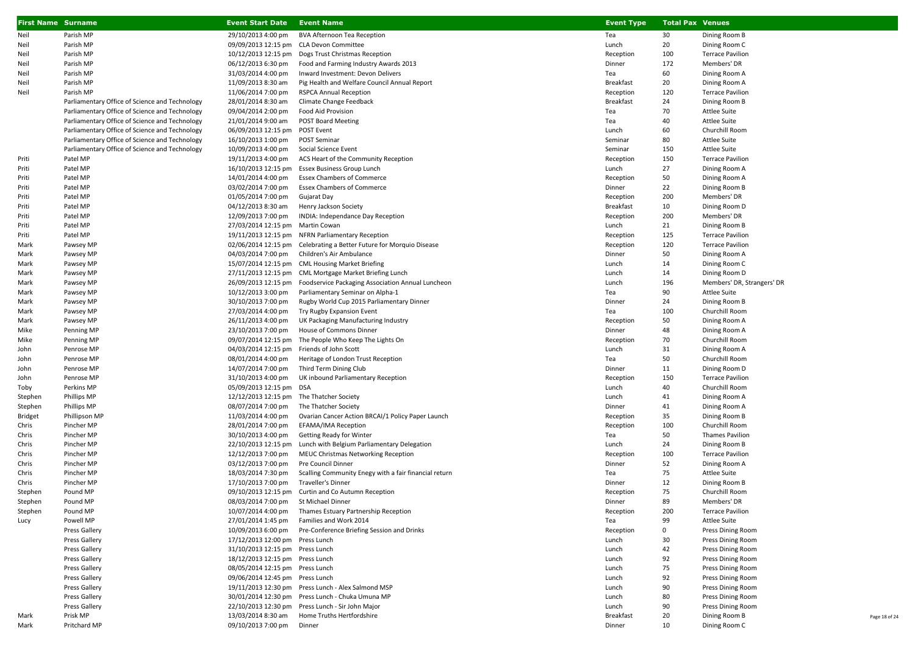| <b>First Name Surname</b> |                                                | <b>Event Start Date Event Name</b>        |                                                                               | <b>Event Type</b> | <b>Total Pax Venues</b> |                                            |               |
|---------------------------|------------------------------------------------|-------------------------------------------|-------------------------------------------------------------------------------|-------------------|-------------------------|--------------------------------------------|---------------|
| Neil                      | Parish MP                                      | 29/10/2013 4:00 pm                        | <b>BVA Afternoon Tea Reception</b>                                            | Tea               | 30                      | Dining Room B                              |               |
| Neil                      | Parish MP                                      | 09/09/2013 12:15 pm CLA Devon Committee   |                                                                               | Lunch             | 20                      | Dining Room C                              |               |
| Neil                      | Parish MP                                      |                                           | 10/12/2013 12:15 pm Dogs Trust Christmas Reception                            | Reception         | 100                     | <b>Terrace Pavilion</b>                    |               |
| Neil                      | Parish MP                                      | 06/12/2013 6:30 pm                        | Food and Farming Industry Awards 2013                                         | Dinner            | 172                     | Members' DR                                |               |
| Neil                      | Parish MP                                      | 31/03/2014 4:00 pm                        | Inward Investment: Devon Delivers                                             | Tea               | 60                      | Dining Room A                              |               |
| Neil                      | Parish MP                                      | 11/09/2013 8:30 am                        | Pig Health and Welfare Council Annual Report                                  | <b>Breakfast</b>  | 20                      | Dining Room A                              |               |
| Neil                      | Parish MP                                      | 11/06/2014 7:00 pm                        | <b>RSPCA Annual Reception</b>                                                 | Reception         | 120                     | <b>Terrace Pavilion</b>                    |               |
|                           | Parliamentary Office of Science and Technology | 28/01/2014 8:30 am                        | Climate Change Feedback                                                       | Breakfast         | 24                      | Dining Room B                              |               |
|                           | Parliamentary Office of Science and Technology | 09/04/2014 2:00 pm                        | Food Aid Provision                                                            | Tea               | 70                      | Attlee Suite                               |               |
|                           | Parliamentary Office of Science and Technology | 21/01/2014 9:00 am                        | <b>POST Board Meeting</b>                                                     | Tea               | 40                      | Attlee Suite                               |               |
|                           | Parliamentary Office of Science and Technology | 06/09/2013 12:15 pm POST Event            |                                                                               | Lunch             | 60                      | Churchill Room                             |               |
|                           | Parliamentary Office of Science and Technology | 16/10/2013 1:00 pm                        | POST Seminar                                                                  | Seminar           | 80                      | <b>Attlee Suite</b>                        |               |
|                           | Parliamentary Office of Science and Technology | 10/09/2013 4:00 pm                        | Social Science Event                                                          | Seminar           | 150                     | <b>Attlee Suite</b>                        |               |
| Priti                     | Patel MP                                       | 19/11/2013 4:00 pm                        | ACS Heart of the Community Reception                                          | Reception         | 150                     | <b>Terrace Pavilion</b>                    |               |
| Priti                     | Patel MP                                       |                                           | 16/10/2013 12:15 pm Essex Business Group Lunch                                | Lunch             | 27                      | Dining Room A                              |               |
| Priti                     | Patel MP                                       | 14/01/2014 4:00 pm                        | <b>Essex Chambers of Commerce</b>                                             | Reception         | 50                      | Dining Room A                              |               |
| Priti                     | Patel MP                                       | 03/02/2014 7:00 pm                        | <b>Essex Chambers of Commerce</b>                                             | Dinner            | 22                      | Dining Room B                              |               |
| Priti                     | Patel MP                                       | 01/05/2014 7:00 pm                        | Gujarat Day                                                                   | Reception         | 200                     | Members' DR                                |               |
| Priti                     | Patel MP                                       | 04/12/2013 8:30 am                        | Henry Jackson Society                                                         | Breakfast         | 10                      | Dining Room D                              |               |
| Priti                     | Patel MP                                       | 12/09/2013 7:00 pm                        | INDIA: Independance Day Reception                                             | Reception         | 200                     | Members' DR                                |               |
| Priti                     | Patel MP                                       | 27/03/2014 12:15 pm Martin Cowan          |                                                                               | Lunch             | 21                      | Dining Room B                              |               |
| Priti                     | Patel MP                                       |                                           | 19/11/2013 12:15 pm NFRN Parliamentary Reception                              | Reception         | 125                     | <b>Terrace Pavilion</b>                    |               |
| Mark                      | Pawsey MP                                      |                                           | 02/06/2014 12:15 pm Celebrating a Better Future for Morquio Disease           | Reception         | 120                     | <b>Terrace Pavilion</b>                    |               |
| Mark                      | Pawsey MP                                      | 04/03/2014 7:00 pm                        | Children's Air Ambulance                                                      | Dinner            | 50                      | Dining Room A                              |               |
| Mark                      | Pawsey MP                                      |                                           | 15/07/2014 12:15 pm CML Housing Market Briefing                               | Lunch             | 14                      | Dining Room C                              |               |
| Mark                      | Pawsey MP                                      |                                           | 27/11/2013 12:15 pm CML Mortgage Market Briefing Lunch                        | Lunch             | 14                      | Dining Room D                              |               |
| Mark                      | Pawsey MP<br>Pawsey MP                         | 10/12/2013 3:00 pm                        | 26/09/2013 12:15 pm Foodservice Packaging Association Annual Luncheon         | Lunch<br>Tea      | 196<br>90               | Members' DR, Strangers' DR<br>Attlee Suite |               |
| Mark                      | Pawsey MP                                      | 30/10/2013 7:00 pm                        | Parliamentary Seminar on Alpha-1<br>Rugby World Cup 2015 Parliamentary Dinner | Dinner            | 24                      | Dining Room B                              |               |
| Mark<br>Mark              | Pawsey MP                                      | 27/03/2014 4:00 pm                        | Try Rugby Expansion Event                                                     | Tea               | 100                     | Churchill Room                             |               |
| Mark                      | Pawsey MP                                      | 26/11/2013 4:00 pm                        | UK Packaging Manufacturing Industry                                           | Reception         | 50                      | Dining Room A                              |               |
| Mike                      | Penning MP                                     | 23/10/2013 7:00 pm                        | House of Commons Dinner                                                       | Dinner            | 48                      | Dining Room A                              |               |
| Mike                      | Penning MP                                     |                                           | 09/07/2014 12:15 pm The People Who Keep The Lights On                         | Reception         | 70                      | Churchill Room                             |               |
| John                      | Penrose MP                                     | 04/03/2014 12:15 pm Friends of John Scott |                                                                               | Lunch             | 31                      | Dining Room A                              |               |
| John                      | Penrose MP                                     | 08/01/2014 4:00 pm                        | Heritage of London Trust Reception                                            | Tea               | 50                      | Churchill Room                             |               |
| John                      | Penrose MP                                     | 14/07/2014 7:00 pm                        | Third Term Dining Club                                                        | Dinner            | 11                      | Dining Room D                              |               |
| John                      | Penrose MP                                     | 31/10/2013 4:00 pm                        | UK inbound Parliamentary Reception                                            | Reception         | 150                     | <b>Terrace Pavilion</b>                    |               |
| Toby                      | Perkins MP                                     | 05/09/2013 12:15 pm DSA                   |                                                                               | Lunch             | 40                      | Churchill Room                             |               |
| Stephen                   | Phillips MP                                    | 12/12/2013 12:15 pm The Thatcher Society  |                                                                               | Lunch             | 41                      | Dining Room A                              |               |
| Stephen                   | Phillips MP                                    | 08/07/2014 7:00 pm                        | The Thatcher Society                                                          | Dinner            | 41                      | Dining Room A                              |               |
| <b>Bridget</b>            | Phillipson MP                                  | 11/03/2014 4:00 pm                        | Ovarian Cancer Action BRCAI/1 Policy Paper Launch                             | Reception         | 35                      | Dining Room B                              |               |
| Chris                     | Pincher MP                                     | 28/01/2014 7:00 pm                        | EFAMA/IMA Reception                                                           | Reception         | 100                     | Churchill Room                             |               |
| Chris                     | Pincher MP                                     | 30/10/2013 4:00 pm                        | <b>Getting Ready for Winter</b>                                               | Tea               | 50                      | <b>Thames Pavilion</b>                     |               |
| Chris                     | Pincher MP                                     |                                           | 22/10/2013 12:15 pm Lunch with Belgium Parliamentary Delegation               | Lunch             | 24                      | Dining Room B                              |               |
| Chris                     | Pincher MP                                     | 12/12/2013 7:00 pm                        | <b>MEUC Christmas Networking Reception</b>                                    | Reception         | 100                     | <b>Terrace Pavilion</b>                    |               |
| Chris                     | Pincher MP                                     | 03/12/2013 7:00 pm                        | Pre Council Dinner                                                            | Dinner            | 52                      | Dining Room A                              |               |
| Chris                     | Pincher MP                                     | 18/03/2014 7:30 pm                        | Scalling Community Enegy with a fair financial return                         | Tea               | 75                      | Attlee Suite                               |               |
| Chris                     | Pincher MP                                     | 17/10/2013 7:00 pm                        | Traveller's Dinner                                                            | Dinner            | 12                      | Dining Room B                              |               |
| Stephen                   | Pound MP                                       |                                           | 09/10/2013 12:15 pm Curtin and Co Autumn Reception                            | Reception         | 75                      | Churchill Room                             |               |
| Stephen                   | Pound MP                                       | 08/03/2014 7:00 pm St Michael Dinner      |                                                                               | Dinner            | 89                      | Members' DR                                |               |
| Stephen                   | Pound MP                                       | 10/07/2014 4:00 pm                        | Thames Estuary Partnership Reception                                          | Reception         | 200                     | <b>Terrace Pavilion</b>                    |               |
| Lucy                      | Powell MP                                      | 27/01/2014 1:45 pm                        | Families and Work 2014                                                        | Tea               | 99                      | Attlee Suite                               |               |
|                           | <b>Press Gallery</b>                           | 10/09/2013 6:00 pm                        | Pre-Conference Briefing Session and Drinks                                    | Reception         | 0                       | Press Dining Room                          |               |
|                           | Press Gallery                                  | 17/12/2013 12:00 pm Press Lunch           |                                                                               | Lunch             | 30                      | Press Dining Room                          |               |
|                           | Press Gallery                                  | 31/10/2013 12:15 pm Press Lunch           |                                                                               | Lunch             | 42                      | Press Dining Room                          |               |
|                           | <b>Press Gallery</b>                           | 18/12/2013 12:15 pm Press Lunch           |                                                                               | Lunch             | 92                      | Press Dining Room                          |               |
|                           | Press Gallery                                  | 08/05/2014 12:15 pm Press Lunch           |                                                                               | Lunch             | 75                      | Press Dining Room                          |               |
|                           | Press Gallery                                  | 09/06/2014 12:45 pm Press Lunch           |                                                                               | Lunch             | 92                      | Press Dining Room                          |               |
|                           | <b>Press Gallery</b>                           |                                           | 19/11/2013 12:30 pm Press Lunch - Alex Salmond MSP                            | Lunch             | 90                      | Press Dining Room                          |               |
|                           | Press Gallery                                  |                                           | 30/01/2014 12:30 pm Press Lunch - Chuka Umuna MP                              | Lunch             | 80                      | Press Dining Room                          |               |
|                           | Press Gallery                                  |                                           | 22/10/2013 12:30 pm Press Lunch - Sir John Major                              | Lunch             | 90                      | Press Dining Room                          |               |
| Mark                      | Prisk MP                                       | 13/03/2014 8:30 am                        | Home Truths Hertfordshire                                                     | <b>Breakfast</b>  | 20                      | Dining Room B                              | Page 18 of 24 |
| Mark                      | Pritchard MP                                   | 09/10/2013 7:00 pm                        | Dinner                                                                        | Dinner            | 10                      | Dining Room C                              |               |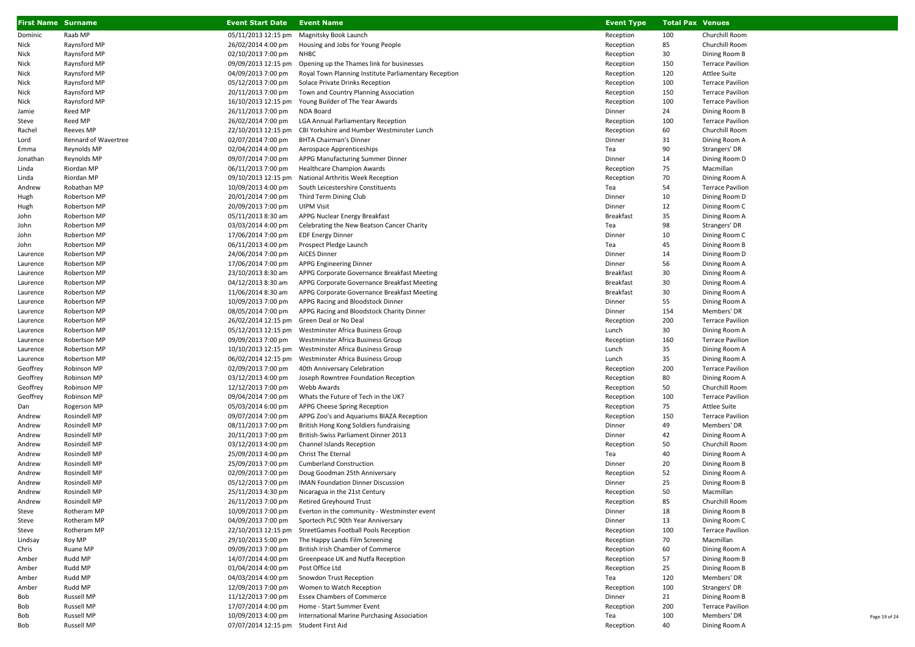| <b>First Name Surname</b> |                      | <b>Event Start Date</b>                   | <b>Event Name</b>                                        | <b>Event Type</b> | <b>Total Pax Venues</b> |                         |
|---------------------------|----------------------|-------------------------------------------|----------------------------------------------------------|-------------------|-------------------------|-------------------------|
| Dominic                   | Raab MP              | 05/11/2013 12:15 pm                       | Magnitsky Book Launch                                    | Reception         | 100                     | Churchill Room          |
| Nick                      | Raynsford MP         | 26/02/2014 4:00 pm                        | Housing and Jobs for Young People                        | Reception         | 85                      | Churchill Room          |
| Nick                      | Raynsford MP         | 02/10/2013 7:00 pm                        | NHBC                                                     | Reception         | 30                      | Dining Room B           |
| Nick                      | Raynsford MP         | 09/09/2013 12:15 pm                       | Opening up the Thames link for businesses                | Reception         | 150                     | <b>Terrace Pavilion</b> |
| Nick                      | Raynsford MP         | 04/09/2013 7:00 pm                        | Royal Town Planning Institute Parliamentary Reception    | Reception         | 120                     | Attlee Suite            |
| Nick                      | Raynsford MP         | 05/12/2013 7:00 pm                        | Solace Private Drinks Reception                          | Reception         | 100                     | <b>Terrace Pavilion</b> |
| Nick                      | Raynsford MP         | 20/11/2013 7:00 pm                        | Town and Country Planning Association                    | Reception         | 150                     | <b>Terrace Pavilion</b> |
| Nick                      | Raynsford MP         | 16/10/2013 12:15 pm                       | Young Builder of The Year Awards                         | Reception         | 100                     | <b>Terrace Pavilion</b> |
| Jamie                     | Reed MP              | 26/11/2013 7:00 pm                        | NDA Board                                                | Dinner            | 24                      | Dining Room B           |
| Steve                     | Reed MP              | 26/02/2014 7:00 pm                        | <b>LGA Annual Parliamentary Reception</b>                | Reception         | 100                     | <b>Terrace Pavilion</b> |
| Rachel                    | Reeves MP            | 22/10/2013 12:15 pm                       | CBI Yorkshire and Humber Westminster Lunch               | Reception         | 60                      | Churchill Room          |
| Lord                      | Rennard of Wavertree | 02/07/2014 7:00 pm                        | <b>BHTA Chairman's Dinner</b>                            | Dinner            | 31                      | Dining Room A           |
| Emma                      | Reynolds MP          | 02/04/2014 4:00 pm                        | Aerospace Apprenticeships                                | Tea               | 90                      | Strangers' DR           |
| Jonathan                  | Reynolds MP          | 09/07/2014 7:00 pm                        | APPG Manufacturing Summer Dinner                         | Dinner            | 14                      | Dining Room D           |
| Linda                     | Riordan MP           | 06/11/2013 7:00 pm                        | <b>Healthcare Champion Awards</b>                        | Reception         | 75                      | Macmillan               |
| Linda                     | Riordan MP           |                                           | 09/10/2013 12:15 pm National Arthritis Week Reception    | Reception         | 70                      | Dining Room A           |
| Andrew                    | Robathan MP          | 10/09/2013 4:00 pm                        | South Leicestershire Constituents                        | Tea               | 54                      | <b>Terrace Pavilion</b> |
| Hugh                      | Robertson MP         | 20/01/2014 7:00 pm                        | Third Term Dining Club                                   | Dinner            | 10                      | Dining Room D           |
| Hugh                      | Robertson MP         | 20/09/2013 7:00 pm                        | <b>UIPM Visit</b>                                        | Dinner            | 12                      | Dining Room C           |
| John                      | Robertson MP         | 05/11/2013 8:30 am                        | APPG Nuclear Energy Breakfast                            | <b>Breakfast</b>  | 35                      | Dining Room A           |
| John                      | Robertson MP         | 03/03/2014 4:00 pm                        | Celebrating the New Beatson Cancer Charity               | Tea               | 98                      | Strangers' DR           |
| John                      | Robertson MP         | 17/06/2014 7:00 pm                        | <b>EDF Energy Dinner</b>                                 | Dinner            | 10                      | Dining Room C           |
| John                      | Robertson MP         | 06/11/2013 4:00 pm                        | Prospect Pledge Launch                                   | Tea               | 45                      | Dining Room B           |
| Laurence                  | Robertson MP         | 24/06/2014 7:00 pm                        | <b>AICES Dinner</b>                                      | Dinner            | 14                      | Dining Room D           |
| Laurence                  | Robertson MP         | 17/06/2014 7:00 pm                        | APPG Engineering Dinner                                  | Dinner            | 56                      | Dining Room A           |
| Laurence                  | Robertson MP         | 23/10/2013 8:30 am                        | APPG Corporate Governance Breakfast Meeting              | <b>Breakfast</b>  | 30                      | Dining Room A           |
| Laurence                  | Robertson MP         | 04/12/2013 8:30 am                        | APPG Corporate Governance Breakfast Meeting              | <b>Breakfast</b>  | 30                      | Dining Room A           |
| Laurence                  | Robertson MP         | 11/06/2014 8:30 am                        | APPG Corporate Governance Breakfast Meeting              | <b>Breakfast</b>  | 30                      | Dining Room A           |
| Laurence                  | Robertson MP         | 10/09/2013 7:00 pm                        | APPG Racing and Bloodstock Dinner                        | Dinner            | 55                      | Dining Room A           |
| Laurence                  | Robertson MP         | 08/05/2014 7:00 pm                        | APPG Racing and Bloodstock Charity Dinner                | Dinner            | 154                     | Members' DR             |
| Laurence                  | Robertson MP         | 26/02/2014 12:15 pm Green Deal or No Deal |                                                          | Reception         | 200                     | <b>Terrace Pavilion</b> |
| Laurence                  | Robertson MP         |                                           | 05/12/2013 12:15 pm Westminster Africa Business Group    | Lunch             | 30                      | Dining Room A           |
| Laurence                  | Robertson MP         | 09/09/2013 7:00 pm                        | Westminster Africa Business Group                        | Reception         | 160                     | <b>Terrace Pavilion</b> |
| Laurence                  | Robertson MP         | 10/10/2013 12:15 pm                       | Westminster Africa Business Group                        | Lunch             | 35                      | Dining Room A           |
| Laurence                  | Robertson MP         | 06/02/2014 12:15 pm                       | Westminster Africa Business Group                        | Lunch             | 35                      | Dining Room A           |
| Geoffrey                  | Robinson MP          | 02/09/2013 7:00 pm                        | 40th Anniversary Celebration                             | Reception         | 200                     | <b>Terrace Pavilion</b> |
| Geoffrey                  | Robinson MP          | 03/12/2013 4:00 pm                        | Joseph Rowntree Foundation Reception                     | Reception         | 80                      | Dining Room A           |
| Geoffrey                  | Robinson MP          | 12/12/2013 7:00 pm                        | Webb Awards                                              | Reception         | 50                      | Churchill Room          |
| Geoffrey                  | Robinson MP          | 09/04/2014 7:00 pm                        | Whats the Future of Tech in the UK?                      | Reception         | 100                     | <b>Terrace Pavilion</b> |
| Dan                       | Rogerson MP          | 05/03/2014 6:00 pm                        | APPG Cheese Spring Reception                             | Reception         | 75                      | <b>Attlee Suite</b>     |
| Andrew                    | Rosindell MP         | 09/07/2014 7:00 pm                        | APPG Zoo's and Aquariums BIAZA Reception                 | Reception         | 150                     | <b>Terrace Pavilion</b> |
| Andrew                    | Rosindell MP         | 08/11/2013 7:00 pm                        | British Hong Kong Soldiers fundraising                   | Dinner            | 49                      | Members' DR             |
| Andrew                    | Rosindell MP         | 20/11/2013 7:00 pm                        | British-Swiss Parliament Dinner 2013                     | Dinner            | 42                      | Dining Room A           |
| Andrew                    | Rosindell MP         | 03/12/2013 4:00 pm                        | Channel Islands Reception                                | Reception         | 50                      | Churchill Room          |
| Andrew                    | Rosindell MP         | 25/09/2013 4:00 pm                        | Christ The Eternal                                       | Tea               | 40                      | Dining Room A           |
| Andrew                    | Rosindell MP         | 25/09/2013 7:00 pm                        | <b>Cumberland Construction</b>                           | Dinner            | 20                      | Dining Room B           |
| Andrew                    | Rosindell MP         | 02/09/2013 7:00 pm                        | Doug Goodman 25th Anniversary                            | Reception         | 52                      | Dining Room A           |
| Andrew                    | Rosindell MP         | 05/12/2013 7:00 pm                        | <b>IMAN Foundation Dinner Discussion</b>                 | Dinner            | 25                      | Dining Room B           |
| Andrew                    | Rosindell MP         | 25/11/2013 4:30 pm                        | Nicaragua in the 21st Century                            | Reception         | 50                      | Macmillan               |
| Andrew                    | Rosindell MP         | 26/11/2013 7:00 pm                        | <b>Retired Greyhound Trust</b>                           | Reception         | 85                      | Churchill Room          |
| Steve                     | Rotheram MP          | 10/09/2013 7:00 pm                        | Everton in the community - Westminster event             | Dinner            | 18                      | Dining Room B           |
| Steve                     | Rotheram MP          | 04/09/2013 7:00 pm                        | Sportech PLC 90th Year Anniversary                       | Dinner            | 13                      | Dining Room C           |
| Steve                     | Rotheram MP          |                                           | 22/10/2013 12:15 pm StreetGames Football Pools Reception | Reception         | 100                     | <b>Terrace Pavilion</b> |
| Lindsay                   | Roy MP               | 29/10/2013 5:00 pm                        | The Happy Lands Film Screening                           | Reception         | 70                      | Macmillan               |
| Chris                     | Ruane MP             | 09/09/2013 7:00 pm                        | British Irish Chamber of Commerce                        | Reception         | 60                      | Dining Room A           |
| Amber                     | Rudd MP              | 14/07/2014 4:00 pm                        | Greenpeace UK and Nutfa Reception                        | Reception         | 57                      | Dining Room B           |
| Amber                     | Rudd MP              | 01/04/2014 4:00 pm                        | Post Office Ltd                                          | Reception         | 25                      | Dining Room B           |
| Amber                     | Rudd MP              | 04/03/2014 4:00 pm                        | Snowdon Trust Reception                                  | Tea               | 120                     | Members' DR             |
| Amber                     | Rudd MP              | 12/09/2013 7:00 pm                        | Women to Watch Reception                                 | Reception         | 100                     | Strangers' DR           |
| Bob                       | <b>Russell MP</b>    | 11/12/2013 7:00 pm                        | <b>Essex Chambers of Commerce</b>                        | Dinner            | 21                      | Dining Room B           |
| Bob                       | <b>Russell MP</b>    | 17/07/2014 4:00 pm                        | Home - Start Summer Event                                | Reception         | 200                     | <b>Terrace Pavilion</b> |
| Bob                       | <b>Russell MP</b>    | 10/09/2013 4:00 pm                        | International Marine Purchasing Association              | Tea               | 100                     | Members' DR             |
| Bob                       | <b>Russell MP</b>    | 07/07/2014 12:15 pm Student First Aid     |                                                          | Reception         | 40                      | Dining Room A           |

Page 19 of 24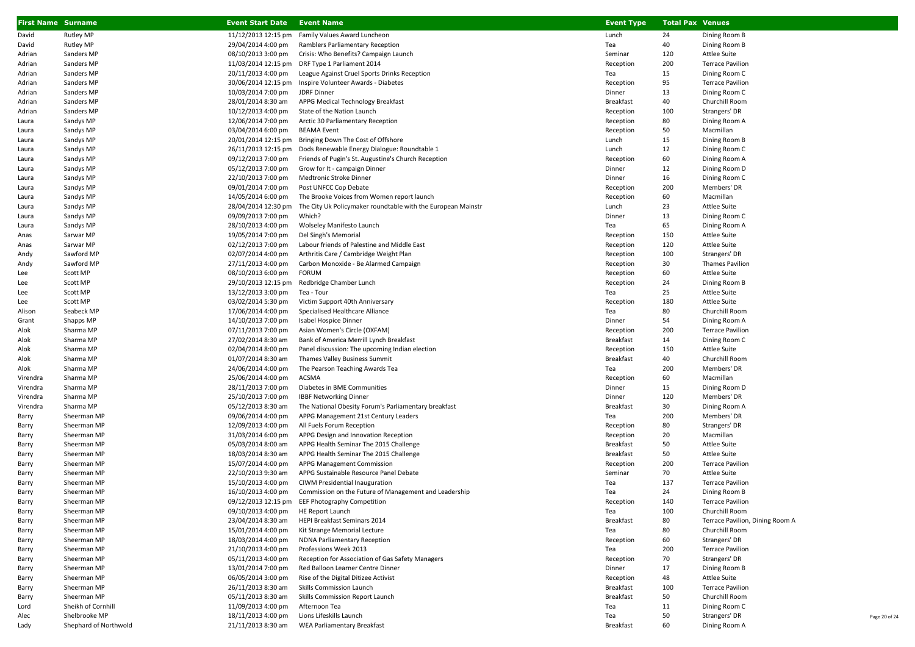| <b>First Name Surname</b> |                            | <b>Event Start Date Event Name</b>       |                                                                                 | <b>Event Type</b>      | <b>Total Pax Venues</b> |                                           |
|---------------------------|----------------------------|------------------------------------------|---------------------------------------------------------------------------------|------------------------|-------------------------|-------------------------------------------|
| David                     | Rutley MP                  | 11/12/2013 12:15 pm                      | Family Values Award Luncheon                                                    | Lunch                  | 24                      | Dining Room B                             |
| David                     | <b>Rutley MP</b>           | 29/04/2014 4:00 pm                       | Ramblers Parliamentary Reception                                                | Tea                    | 40                      | Dining Room B                             |
| Adrian                    | Sanders MP                 | 08/10/2013 3:00 pm                       | Crisis: Who Benefits? Campaign Launch                                           | Seminar                | 120                     | Attlee Suite                              |
| Adrian                    | Sanders MP                 |                                          | 11/03/2014 12:15 pm DRF Type 1 Parliament 2014                                  | Reception              | 200                     | <b>Terrace Pavilion</b>                   |
| Adrian                    | Sanders MP                 | 20/11/2013 4:00 pm                       | League Against Cruel Sports Drinks Reception                                    | Tea                    | 15                      | Dining Room C                             |
| Adrian                    | Sanders MP                 | 30/06/2014 12:15 pm                      | Inspire Volunteer Awards - Diabetes                                             | Reception              | 95                      | <b>Terrace Pavilion</b>                   |
| Adrian                    | Sanders MP                 | 10/03/2014 7:00 pm                       | JDRF Dinner                                                                     | Dinner                 | 13                      | Dining Room C                             |
| Adrian                    | Sanders MP                 | 28/01/2014 8:30 am                       | APPG Medical Technology Breakfast                                               | <b>Breakfast</b>       | 40                      | Churchill Room                            |
| Adrian                    | Sanders MP                 | 10/12/2013 4:00 pm                       | State of the Nation Launch                                                      | Reception              | 100                     | Strangers' DR                             |
| Laura                     | Sandys MP                  | 12/06/2014 7:00 pm                       | Arctic 30 Parliamentary Reception                                               | Reception              | 80                      | Dining Room A                             |
| Laura                     | Sandys MP                  | 03/04/2014 6:00 pm                       | <b>BEAMA Event</b>                                                              | Reception              | 50                      | Macmillan                                 |
| Laura                     | Sandys MP                  | 20/01/2014 12:15 pm                      | Bringing Down The Cost of Offshore                                              | Lunch                  | 15                      | Dining Room B                             |
| Laura                     | Sandys MP                  | 26/11/2013 12:15 pm                      | Dods Renewable Energy Dialogue: Roundtable 1                                    | Lunch                  | 12                      | Dining Room C                             |
| Laura                     | Sandys MP                  | 09/12/2013 7:00 pm                       | Friends of Pugin's St. Augustine's Church Reception                             | Reception              | 60                      | Dining Room A                             |
| Laura                     | Sandys MP                  | 05/12/2013 7:00 pm                       | Grow for It - campaign Dinner                                                   | Dinner                 | 12                      | Dining Room D                             |
| Laura                     | Sandys MP                  | 22/10/2013 7:00 pm                       | Medtronic Stroke Dinner                                                         | Dinner                 | 16                      | Dining Room C                             |
| Laura                     | Sandys MP                  | 09/01/2014 7:00 pm                       | Post UNFCC Cop Debate                                                           | Reception              | 200                     | Members' DR                               |
| Laura                     | Sandys MP                  | 14/05/2014 6:00 pm                       | The Brooke Voices from Women report launch                                      | Reception              | 60                      | Macmillan                                 |
| Laura                     | Sandys MP                  | 28/04/2014 12:30 pm                      | The City Uk Policymaker roundtable with the European Mainstr                    | Lunch                  | 23                      | Attlee Suite                              |
| Laura                     | Sandys MP                  | 09/09/2013 7:00 pm                       | Which?                                                                          | Dinner                 | 13                      | Dining Room C                             |
| Laura                     | Sandys MP                  | 28/10/2013 4:00 pm                       | Wolseley Manifesto Launch                                                       | Tea                    | 65                      | Dining Room A                             |
| Anas                      | Sarwar MP                  | 19/05/2014 7:00 pm                       | Del Singh's Memorial                                                            | Reception              | 150                     | Attlee Suite                              |
| Anas                      | Sarwar MP                  | 02/12/2013 7:00 pm                       | Labour friends of Palestine and Middle East                                     | Reception              | 120                     | Attlee Suite                              |
| Andy                      | Sawford MP<br>Sawford MP   | 02/07/2014 4:00 pm<br>27/11/2013 4:00 pm | Arthritis Care / Cambridge Weight Plan<br>Carbon Monoxide - Be Alarmed Campaign | Reception              | 100<br>30               | Strangers' DR<br><b>Thames Pavilion</b>   |
| Andy                      | Scott MP                   | 08/10/2013 6:00 pm                       | <b>FORUM</b>                                                                    | Reception<br>Reception | 60                      | <b>Attlee Suite</b>                       |
| Lee<br>Lee                | Scott MP                   | 29/10/2013 12:15 pm                      | Redbridge Chamber Lunch                                                         | Reception              | 24                      | Dining Room B                             |
| Lee                       | Scott MP                   | 13/12/2013 3:00 pm                       | Tea - Tour                                                                      | Tea                    | 25                      | Attlee Suite                              |
| Lee                       | Scott MP                   | 03/02/2014 5:30 pm                       | Victim Support 40th Anniversary                                                 | Reception              | 180                     | Attlee Suite                              |
| Alison                    | Seabeck MP                 | 17/06/2014 4:00 pm                       | Specialised Healthcare Alliance                                                 | Tea                    | 80                      | Churchill Room                            |
| Grant                     | Shapps MP                  | 14/10/2013 7:00 pm                       | Isabel Hospice Dinner                                                           | Dinner                 | 54                      | Dining Room A                             |
| Alok                      | Sharma MP                  | 07/11/2013 7:00 pm                       | Asian Women's Circle (OXFAM)                                                    | Reception              | 200                     | <b>Terrace Pavilion</b>                   |
| Alok                      | Sharma MP                  | 27/02/2014 8:30 am                       | Bank of America Merrill Lynch Breakfast                                         | <b>Breakfast</b>       | 14                      | Dining Room C                             |
| Alok                      | Sharma MP                  | 02/04/2014 8:00 pm                       | Panel discussion: The upcoming Indian election                                  | Reception              | 150                     | Attlee Suite                              |
| Alok                      | Sharma MP                  | 01/07/2014 8:30 am                       | Thames Valley Business Summit                                                   | <b>Breakfast</b>       | 40                      | Churchill Room                            |
| Alok                      | Sharma MP                  | 24/06/2014 4:00 pm                       | The Pearson Teaching Awards Tea                                                 | Tea                    | 200                     | Members' DR                               |
| Virendra                  | Sharma MP                  | 25/06/2014 4:00 pm                       | ACSMA                                                                           | Reception              | 60                      | Macmillan                                 |
| Virendra                  | Sharma MP                  | 28/11/2013 7:00 pm                       | Diabetes in BME Communities                                                     | Dinner                 | 15                      | Dining Room D                             |
| Virendra                  | Sharma MP                  | 25/10/2013 7:00 pm                       | <b>IBBF Networking Dinner</b>                                                   | Dinner                 | 120                     | Members' DR                               |
| Virendra                  | Sharma MP                  | 05/12/2013 8:30 am                       | The National Obesity Forum's Parliamentary breakfast                            | <b>Breakfast</b>       | 30                      | Dining Room A                             |
| Barry                     | Sheerman MP                | 09/06/2014 4:00 pm                       | APPG Management 21st Century Leaders                                            | Tea                    | 200                     | Members' DR                               |
| Barry                     | Sheerman MP                | 12/09/2013 4:00 pm                       | All Fuels Forum Reception                                                       | Reception              | 80                      | Strangers' DR                             |
| Barry                     | Sheerman MP                | 31/03/2014 6:00 pm                       | APPG Design and Innovation Reception                                            | Reception              | 20                      | Macmillan                                 |
| Barry                     | Sheerman MP                | 05/03/2014 8:00 am                       | APPG Health Seminar The 2015 Challenge                                          | <b>Breakfast</b>       | 50                      | <b>Attlee Suite</b>                       |
| Barry                     | Sheerman MP                | 18/03/2014 8:30 am                       | APPG Health Seminar The 2015 Challenge                                          | <b>Breakfast</b>       | 50                      | <b>Attlee Suite</b>                       |
| Barry                     | Sheerman MP                | 15/07/2014 4:00 pm                       | APPG Management Commission                                                      | Reception              | 200                     | <b>Terrace Pavilion</b>                   |
| Barry                     | Sheerman MP                | 22/10/2013 9:30 am                       | APPG Sustainable Resource Panel Debate                                          | Seminar                | 70                      | Attlee Suite                              |
| Barry                     | Sheerman MP                | 15/10/2013 4:00 pm                       | CIWM Presidential Inauguration                                                  | Tea                    | 137                     | <b>Terrace Pavilion</b>                   |
| Barry                     | Sheerman MP                | 16/10/2013 4:00 pm                       | Commission on the Future of Management and Leadership                           | Tea                    | 24                      | Dining Room B                             |
| Barry                     | Sheerman MP                | 09/10/2013 4:00 pm                       | 09/12/2013 12:15 pm EEF Photography Competition                                 | Reception<br>Tea       | 140<br>100              | <b>Terrace Pavilion</b><br>Churchill Room |
| Barry<br>Barry            | Sheerman MP<br>Sheerman MP | 23/04/2014 8:30 am                       | <b>HE Report Launch</b><br>HEPI Breakfast Seminars 2014                         | Breakfast              | 80                      | Terrace Pavilion, Dining Room A           |
| Barry                     | Sheerman MP                | 15/01/2014 4:00 pm                       | Kit Strange Memorial Lecture                                                    | Tea                    | 80                      | Churchill Room                            |
| Barry                     | Sheerman MP                | 18/03/2014 4:00 pm                       | <b>NDNA Parliamentary Reception</b>                                             | Reception              | 60                      | Strangers' DR                             |
| Barry                     | Sheerman MP                | 21/10/2013 4:00 pm                       | Professions Week 2013                                                           | Tea                    | 200                     | <b>Terrace Pavilion</b>                   |
| Barry                     | Sheerman MP                | 05/11/2013 4:00 pm                       | Reception for Association of Gas Safety Managers                                | Reception              | 70                      | Strangers' DR                             |
| Barry                     | Sheerman MP                | 13/01/2014 7:00 pm                       | Red Balloon Learner Centre Dinner                                               | Dinner                 | 17                      | Dining Room B                             |
| Barry                     | Sheerman MP                | 06/05/2014 3:00 pm                       | Rise of the Digital Ditizee Activist                                            | Reception              | 48                      | Attlee Suite                              |
| Barry                     | Sheerman MP                | 26/11/2013 8:30 am                       | <b>Skills Commission Launch</b>                                                 | <b>Breakfast</b>       | 100                     | <b>Terrace Pavilion</b>                   |
| Barry                     | Sheerman MP                | 05/11/2013 8:30 am                       | Skills Commission Report Launch                                                 | <b>Breakfast</b>       | 50                      | Churchill Room                            |
| Lord                      | Sheikh of Cornhill         | 11/09/2013 4:00 pm                       | Afternoon Tea                                                                   | Tea                    | 11                      | Dining Room C                             |
| Alec                      | Shelbrooke MP              | 18/11/2013 4:00 pm                       | Lions Lifeskills Launch                                                         | Tea                    | 50                      | Strangers' DR                             |
| Lady                      | Shephard of Northwold      | 21/11/2013 8:30 am                       | WEA Parliamentary Breakfast                                                     | Breakfast              | 60                      | Dining Room A                             |

Page 20 of 24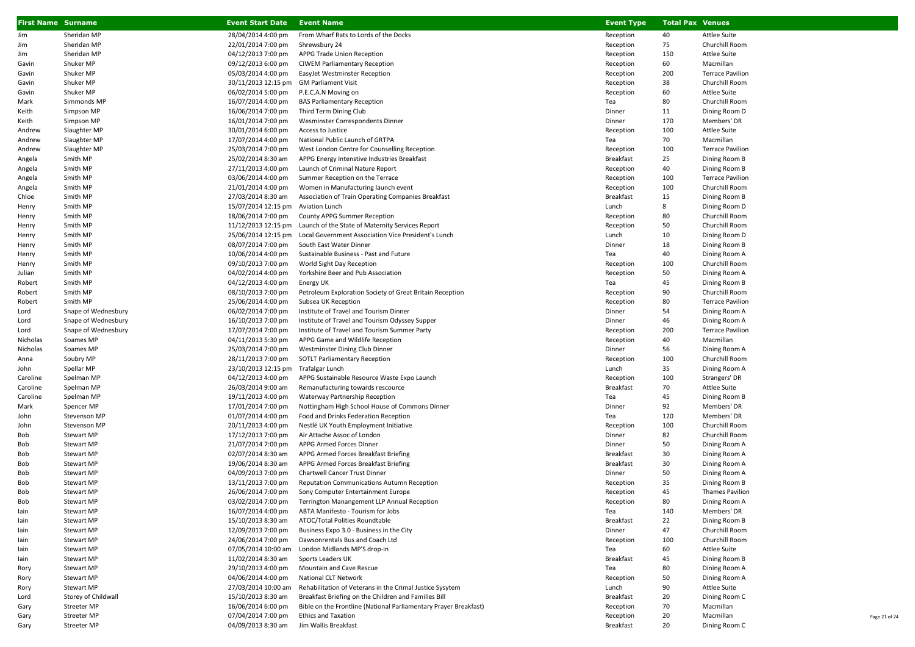| <b>First Name</b> Surname |                            | <b>Event Start Date</b>                  | <b>Event Name</b>                                                                              | <b>Event Type</b>      | <b>Total Pax Venues</b> |                                          |
|---------------------------|----------------------------|------------------------------------------|------------------------------------------------------------------------------------------------|------------------------|-------------------------|------------------------------------------|
| Jim                       | Sheridan MP                | 28/04/2014 4:00 pm                       | From Wharf Rats to Lords of the Docks                                                          | Reception              | 40                      | <b>Attlee Suite</b>                      |
| Jim                       | Sheridan MP                | 22/01/2014 7:00 pm                       | Shrewsbury 24                                                                                  | Reception              | 75                      | Churchill Room                           |
| Jim                       | Sheridan MP                | 04/12/2013 7:00 pm                       | APPG Trade Union Reception                                                                     | Reception              | 150                     | <b>Attlee Suite</b>                      |
| Gavin                     | Shuker MP                  | 09/12/2013 6:00 pm                       | <b>CIWEM Parliamentary Reception</b>                                                           | Reception              | 60                      | Macmillan                                |
| Gavin                     | Shuker MP                  | 05/03/2014 4:00 pm                       | EasyJet Westminster Reception                                                                  | Reception              | 200                     | <b>Terrace Pavilion</b>                  |
| Gavin                     | Shuker MP                  | 30/11/2013 12:15 pm                      | <b>GM Parliament Visit</b>                                                                     | Reception              | 38                      | Churchill Room                           |
| Gavin                     | Shuker MP                  | 06/02/2014 5:00 pm                       | P.E.C.A.N Moving on                                                                            | Reception              | 60                      | <b>Attlee Suite</b>                      |
| Mark                      | Simmonds MP                | 16/07/2014 4:00 pm                       | <b>BAS Parliamentary Reception</b>                                                             | Tea                    | 80                      | Churchill Room                           |
| Keith                     | Simpson MP                 | 16/06/2014 7:00 pm                       | Third Term Dining Club                                                                         | Dinner                 | 11                      | Dining Room D                            |
| Keith                     | Simpson MP                 | 16/01/2014 7:00 pm                       | Wesminster Correspondents Dinner                                                               | Dinner                 | 170                     | Members' DR                              |
| Andrew                    | Slaughter MP               | 30/01/2014 6:00 pm                       | Access to Justice                                                                              | Reception              | 100                     | <b>Attlee Suite</b>                      |
| Andrew                    | Slaughter MP               | 17/07/2014 4:00 pm                       | National Public Launch of GRTPA                                                                | Tea                    | 70                      | Macmillan                                |
| Andrew                    | Slaughter MP               | 25/03/2014 7:00 pm                       | West London Centre for Counselling Reception                                                   | Reception              | 100                     | <b>Terrace Pavilion</b>                  |
| Angela                    | Smith MP                   | 25/02/2014 8:30 am                       | APPG Energy Intenstive Industries Breakfast                                                    | <b>Breakfast</b>       | 25<br>40                | Dining Room B                            |
| Angela                    | Smith MP<br>Smith MP       | 27/11/2013 4:00 pm<br>03/06/2014 4:00 pm | Launch of Criminal Nature Report<br>Summer Reception on the Terrace                            | Reception              | 100                     | Dining Room B<br><b>Terrace Pavilion</b> |
| Angela<br>Angela          | Smith MP                   | 21/01/2014 4:00 pm                       | Women in Manufacturing launch event                                                            | Reception<br>Reception | 100                     | Churchill Room                           |
| Chloe                     | Smith MP                   | 27/03/2014 8:30 am                       | Association of Train Operating Companies Breakfast                                             | Breakfast              | 15                      | Dining Room B                            |
| Henry                     | Smith MP                   | 15/07/2014 12:15 pm                      | <b>Aviation Lunch</b>                                                                          | Lunch                  | 8                       | Dining Room D                            |
| Henry                     | Smith MP                   | 18/06/2014 7:00 pm                       | County APPG Summer Reception                                                                   | Reception              | 80                      | Churchill Room                           |
| Henry                     | Smith MP                   | 11/12/2013 12:15 pm                      | Launch of the State of Maternity Services Report                                               | Reception              | 50                      | Churchill Room                           |
| Henry                     | Smith MP                   | 25/06/2014 12:15 pm                      | Local Government Association Vice President's Lunch                                            | Lunch                  | 10                      | Dining Room D                            |
| Henry                     | Smith MP                   | 08/07/2014 7:00 pm                       | South East Water Dinner                                                                        | Dinner                 | 18                      | Dining Room B                            |
| Henry                     | Smith MP                   | 10/06/2014 4:00 pm                       | Sustainable Business - Past and Future                                                         | Tea                    | 40                      | Dining Room A                            |
| Henry                     | Smith MP                   | 09/10/2013 7:00 pm                       | World Sight Day Reception                                                                      | Reception              | 100                     | Churchill Room                           |
| Julian                    | Smith MP                   | 04/02/2014 4:00 pm                       | Yorkshire Beer and Pub Association                                                             | Reception              | 50                      | Dining Room A                            |
| Robert                    | Smith MP                   | 04/12/2013 4:00 pm                       | Energy UK                                                                                      | Tea                    | 45                      | Dining Room B                            |
| Robert                    | Smith MP                   | 08/10/2013 7:00 pm                       | Petroleum Exploration Society of Great Britain Reception                                       | Reception              | 90                      | Churchill Room                           |
| Robert                    | Smith MP                   | 25/06/2014 4:00 pm                       | Subsea UK Reception                                                                            | Reception              | 80                      | <b>Terrace Pavilion</b>                  |
| Lord                      | Snape of Wednesbury        | 06/02/2014 7:00 pm                       | Institute of Travel and Tourism Dinner                                                         | Dinner                 | 54                      | Dining Room A                            |
| Lord                      | Snape of Wednesbury        | 16/10/2013 7:00 pm                       | Institute of Travel and Tourism Odyssey Supper                                                 | Dinner                 | 46                      | Dining Room A                            |
| Lord                      | Snape of Wednesbury        | 17/07/2014 7:00 pm                       | Institute of Travel and Tourism Summer Party                                                   | Reception              | 200                     | <b>Terrace Pavilion</b>                  |
| Nicholas                  | Soames MP                  | 04/11/2013 5:30 pm                       | APPG Game and Wildlife Reception                                                               | Reception              | 40                      | Macmillan                                |
| Nicholas                  | Soames MP                  | 25/03/2014 7:00 pm                       | Westminster Dining Club Dinner                                                                 | Dinner                 | 56                      | Dining Room A                            |
| Anna                      | Soubry MP                  | 28/11/2013 7:00 pm                       | <b>SOTLT Parliamentary Reception</b>                                                           | Reception              | 100                     | Churchill Room                           |
| John                      | Spellar MP                 | 23/10/2013 12:15 pm                      | Trafalgar Lunch                                                                                | Lunch                  | 35                      | Dining Room A                            |
| Caroline                  | Spelman MP                 | 04/12/2013 4:00 pm                       | APPG Sustainable Resource Waste Expo Launch                                                    | Reception              | 100                     | Strangers' DR                            |
| Caroline                  | Spelman MP                 | 26/03/2014 9:00 am                       | Remanufacturing towards rescource                                                              | <b>Breakfast</b>       | 70                      | <b>Attlee Suite</b>                      |
| Caroline                  | Spelman MP<br>Spencer MP   | 19/11/2013 4:00 pm<br>17/01/2014 7:00 pm | Waterway Partnership Reception<br>Nottingham High School House of Commons Dinner               | Tea<br>Dinner          | 45<br>92                | Dining Room B<br>Members' DR             |
| Mark<br>John              | Stevenson MP               | 01/07/2014 4:00 pm                       | Food and Drinks Federation Reception                                                           | Tea                    | 120                     | Members' DR                              |
| John                      | Stevenson MP               | 20/11/2013 4:00 pm                       | Nestlé UK Youth Employment Initiative                                                          | Reception              | 100                     | Churchill Room                           |
| Bob                       | Stewart MP                 | 17/12/2013 7:00 pm                       | Air Attache Assoc of London                                                                    | Dinner                 | 82                      | Churchill Room                           |
| Bob                       | Stewart MP                 | 21/07/2014 7:00 pm                       | APPG Armed Forces DInner                                                                       | Dinner                 | 50                      | Dining Room A                            |
| Bob                       | Stewart MP                 | 02/07/2014 8:30 am                       | APPG Armed Forces Breakfast Briefing                                                           | <b>Breakfast</b>       | 30                      | Dining Room A                            |
| Bob                       | Stewart MP                 | 19/06/2014 8:30 am                       | APPG Armed Forces Breakfast Briefing                                                           | <b>Breakfast</b>       | 30                      | Dining Room A                            |
| Bob                       | Stewart MP                 | 04/09/2013 7:00 pm                       | Chartwell Cancer Trust Dinner                                                                  | Dinner                 | 50                      | Dining Room A                            |
| Bob                       | Stewart MP                 | 13/11/2013 7:00 pm                       | Reputation Communications Autumn Reception                                                     | Reception              | 35                      | Dining Room B                            |
| Bob                       | Stewart MP                 | 26/06/2014 7:00 pm                       | Sony Computer Entertainment Europe                                                             | Reception              | 45                      | <b>Thames Pavilion</b>                   |
| Bob                       | Stewart MP                 | 03/02/2014 7:00 pm                       | Terrington Manangement LLP Annual Reception                                                    | Reception              | 80                      | Dining Room A                            |
| lain                      | Stewart MP                 | 16/07/2014 4:00 pm                       | ABTA Manifesto - Tourism for Jobs                                                              | Tea                    | 140                     | Members' DR                              |
| lain                      | Stewart MP                 | 15/10/2013 8:30 am                       | ATOC/Total Polities Roundtable                                                                 | <b>Breakfast</b>       | 22                      | Dining Room B                            |
| lain                      | Stewart MP                 | 12/09/2013 7:00 pm                       | Business Expo 3.0 - Business in the City                                                       | Dinner                 | 47                      | Churchill Room                           |
| lain                      | Stewart MP                 | 24/06/2014 7:00 pm                       | Dawsonrentals Bus and Coach Ltd                                                                | Reception              | 100                     | Churchill Room                           |
| lain                      | Stewart MP                 | 07/05/2014 10:00 am                      | London Midlands MP'S drop-in                                                                   | Tea                    | 60                      | Attlee Suite                             |
| lain                      | Stewart MP                 | 11/02/2014 8:30 am                       | Sports Leaders UK                                                                              | Breakfast              | 45                      | Dining Room B                            |
| Rory                      | Stewart MP                 | 29/10/2013 4:00 pm                       | Mountain and Cave Rescue                                                                       | Tea                    | 80                      | Dining Room A                            |
| Rory                      | Stewart MP                 | 04/06/2014 4:00 pm                       | National CLT Network                                                                           | Reception              | 50                      | Dining Room A                            |
| Rory                      | Stewart MP                 | 27/03/2014 10:00 am                      | Rehabilitation of Veterans in the Crimal Justice Sysytem                                       | Lunch                  | 90                      | <b>Attlee Suite</b>                      |
| Lord                      | Storey of Childwall        | 15/10/2013 8:30 am                       | Breakfast Briefing on the Children and Families Bill                                           | <b>Breakfast</b>       | 20                      | Dining Room C                            |
| Gary                      | Streeter MP<br>Streeter MP | 16/06/2014 6:00 pm<br>07/04/2014 7:00 pm | Bible on the Frontline (National Parliamentary Prayer Breakfast)<br><b>Ethics and Taxation</b> | Reception<br>Reception | 70<br>20                | Macmillan<br>Macmillan                   |
| Gary                      | Streeter MP                | 04/09/2013 8:30 am                       | Jim Wallis Breakfast                                                                           | <b>Breakfast</b>       | 20                      | Dining Room C                            |
| Gary                      |                            |                                          |                                                                                                |                        |                         |                                          |

Page 21 of 24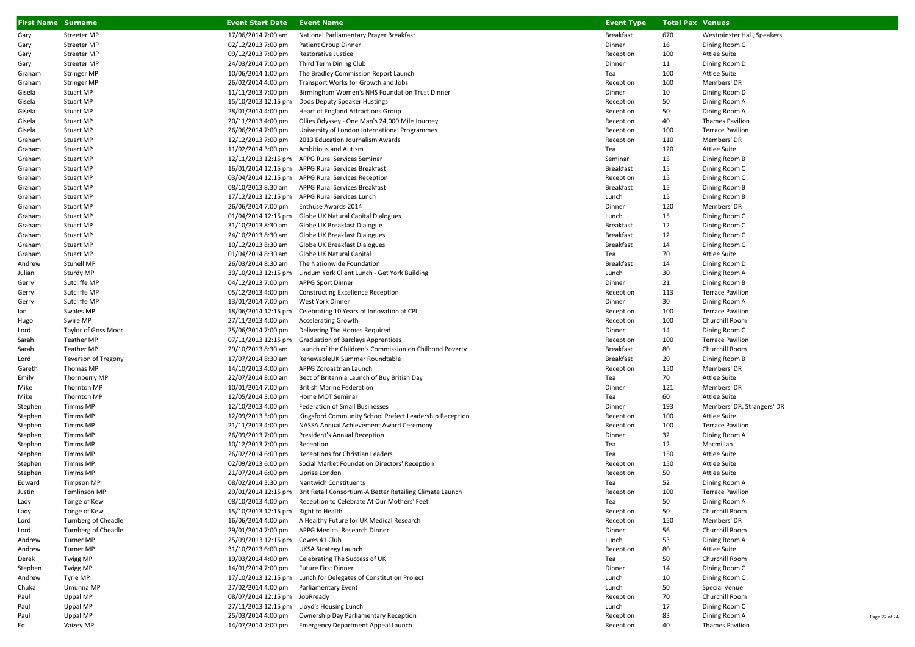| <b>First Name Surname</b> |                     | <b>Event Start Date</b>                   | <b>Event Name</b>                                                            | <b>Event Type</b> | <b>Total Pax Venues</b> |                            |
|---------------------------|---------------------|-------------------------------------------|------------------------------------------------------------------------------|-------------------|-------------------------|----------------------------|
| Gary                      | Streeter MP         | 17/06/2014 7:00 am                        | National Parliamentary Prayer Breakfast                                      | <b>Breakfast</b>  | 670                     | Westminster Hall, Speakers |
| Gary                      | Streeter MP         | 02/12/2013 7:00 pm                        | Patient Group Dinner                                                         | Dinner            | 16                      | Dining Room C              |
| Gary                      | Streeter MP         | 09/12/2013 7:00 pm                        | Restorative Justice                                                          | Reception         | 100                     | <b>Attlee Suite</b>        |
| Gary                      | Streeter MP         | 24/03/2014 7:00 pm                        | Third Term Dining Club                                                       | Dinner            | 11                      | Dining Room D              |
| Graham                    | <b>Stringer MP</b>  | 10/06/2014 1:00 pm                        | The Bradley Commission Report Launch                                         | Tea               | 100                     | <b>Attlee Suite</b>        |
| Graham                    | <b>Stringer MP</b>  | 26/02/2014 4:00 pm                        | Transport Works for Growth and Jobs                                          | Reception         | 100                     | Members' DR                |
| Gisela                    | <b>Stuart MP</b>    | 11/11/2013 7:00 pm                        | Birmingham Women's NHS Foundation Trust Dinner                               | Dinner            | 10                      | Dining Room D              |
| Gisela                    | <b>Stuart MP</b>    | 15/10/2013 12:15 pm                       | Dods Deputy Speaker Hustings                                                 | Reception         | 50                      | Dining Room A              |
| Gisela                    | <b>Stuart MP</b>    | 28/01/2014 4:00 pm                        | Heart of England Attractions Group                                           | Reception         | 50                      | Dining Room A              |
| Gisela                    | <b>Stuart MP</b>    | 20/11/2013 4:00 pm                        | Ollies Odyssey - One Man's 24,000 Mile Journey                               | Reception         | 40                      | <b>Thames Pavilion</b>     |
| Gisela                    | <b>Stuart MP</b>    | 26/06/2014 7:00 pm                        | University of London International Programmes                                | Reception         | 100                     | <b>Terrace Pavilion</b>    |
| Graham                    | Stuart MP           | 12/12/2013 7:00 pm                        | 2013 Education Journalism Awards                                             | Reception         | 110                     | Members' DR                |
| Graham                    | <b>Stuart MP</b>    | 11/02/2014 3:00 pm                        | Ambitious and Autism                                                         | Tea               | 120                     | <b>Attlee Suite</b>        |
| Graham                    | <b>Stuart MP</b>    |                                           | 12/11/2013 12:15 pm APPG Rural Services Seminar                              | Seminar           | 15                      | Dining Room B              |
| Graham                    | <b>Stuart MP</b>    |                                           | 16/01/2014 12:15 pm APPG Rural Services Breakfast                            | Breakfast         | 15                      | Dining Room C              |
| Graham                    | <b>Stuart MP</b>    |                                           | 03/04/2014 12:15 pm APPG Rural Services Reception                            | Reception         | 15                      | Dining Room C              |
| Graham                    | <b>Stuart MP</b>    | 08/10/2013 8:30 am                        | APPG Rural Services Breakfast                                                | <b>Breakfast</b>  | 15                      | Dining Room B              |
| Graham                    | <b>Stuart MP</b>    |                                           | 17/12/2013 12:15 pm APPG Rural Services Lunch                                | Lunch             | 15                      | Dining Room B              |
| Graham                    | <b>Stuart MP</b>    | 26/06/2014 7:00 pm                        | Enthuse Awards 2014                                                          | Dinner            | 120                     | Members' DR                |
| Graham                    | <b>Stuart MP</b>    | 01/04/2014 12:15 pm                       | Globe UK Natural Capital Dialogues                                           | Lunch             | 15                      | Dining Room C              |
| Graham                    | <b>Stuart MP</b>    | 31/10/2013 8:30 am                        | Globe UK Breakfast Dialogue                                                  | <b>Breakfast</b>  | 12                      | Dining Room C              |
| Graham                    | <b>Stuart MP</b>    | 24/10/2013 8:30 am                        | Globe UK Breakfast Dialogues                                                 | Breakfast         | 12                      | Dining Room C              |
| Graham                    | <b>Stuart MP</b>    | 10/12/2013 8:30 am                        | Globe UK Breakfast Dialogues                                                 | <b>Breakfast</b>  | 14                      | Dining Room C              |
| Graham                    | <b>Stuart MP</b>    | 01/04/2014 8:30 am                        | Globe UK Natural Capital                                                     | Tea               | 70                      | <b>Attlee Suite</b>        |
| Andrew                    | Stunell MP          | 26/03/2014 8:30 am                        | The Nationwide Foundation                                                    | <b>Breakfast</b>  | 14                      | Dining Room D              |
| Julian                    | Sturdy MP           | 30/10/2013 12:15 pm                       | Lindum York Client Lunch - Get York Building                                 | Lunch             | 30                      | Dining Room A              |
| Gerry                     | Sutcliffe MP        | 04/12/2013 7:00 pm                        | <b>APPG Sport Dinner</b>                                                     | Dinner            | 21                      | Dining Room B              |
| Gerry                     | Sutcliffe MP        | 05/12/2013 4:00 pm                        | Constructing Excellence Reception                                            | Reception         | 113                     | <b>Terrace Pavilion</b>    |
| Gerry                     | Sutcliffe MP        | 13/01/2014 7:00 pm                        | West York Dinner                                                             | Dinner            | 30                      | Dining Room A              |
| lan                       | Swales MP           | 18/06/2014 12:15 pm                       | Celebrating 10 Years of Innovation at CPI                                    | Reception         | 100                     | <b>Terrace Pavilion</b>    |
| Hugo                      | Swire MP            | 27/11/2013 4:00 pm                        | <b>Accelerating Growth</b>                                                   | Reception         | 100                     | Churchill Room             |
| Lord                      | Taylor of Goss Moor | 25/06/2014 7:00 pm                        | Delivering The Homes Required                                                | Dinner            | 14                      | Dining Room C              |
| Sarah                     | Teather MP          | 07/11/2013 12:15 pm                       | <b>Graduation of Barclays Apprentices</b>                                    | Reception         | 100                     | <b>Terrace Pavilion</b>    |
| Sarah                     | Teather MP          | 29/10/2013 8:30 am                        | Launch of the Children's Commission on Chilhood Poverty                      | <b>Breakfast</b>  | 80                      | Churchill Room             |
| Lord                      | Teverson of Tregony | 17/07/2014 8:30 am                        | RenewableUK Summer Roundtable                                                | Breakfast         | 20                      | Dining Room B              |
| Gareth                    | Thomas MP           | 14/10/2013 4:00 pm                        | APPG Zoroastrian Launch                                                      | Reception         | 150                     | Members' DR                |
| Emily                     | Thornberry MP       | 22/07/2014 8:00 am                        | Bect of Britannia Launch of Buy British Day                                  | Tea               | 70                      | <b>Attlee Suite</b>        |
| Mike                      | Thornton MP         | 10/01/2014 7:00 pm                        | <b>British Marine Federation</b>                                             | Dinner            | 121                     | Members' DR                |
| Mike                      | Thornton MP         | 12/05/2014 3:00 pm                        | Home MOT Seminar                                                             | Tea               | 60                      | <b>Attlee Suite</b>        |
| Stephen                   | Timms MP            | 12/10/2013 4:00 pm                        | Federation of Small Businesses                                               | Dinner            | 193                     | Members' DR, Strangers' DR |
| Stephen                   | Timms MP            | 12/09/2013 5:00 pm                        | Kingsford Community School Prefect Leadership Reception                      | Reception         | 100                     | <b>Attlee Suite</b>        |
| Stephen                   | Timms MP            | 21/11/2013 4:00 pm                        | NASSA Annual Achievement Award Ceremony                                      | Reception         | 100                     | <b>Terrace Pavilion</b>    |
| Stephen                   | Timms MP            | 26/09/2013 7:00 pm                        | President's Annual Reception                                                 | Dinner            | 32                      | Dining Room A              |
| Stephen                   | Timms MP            | 10/12/2013 7:00 pm                        | Reception                                                                    | Tea               | 12                      | Macmillan                  |
| Stephen                   | Timms MP            | 26/02/2014 6:00 pm                        | Receptions for Christian Leaders                                             | Tea               | 150                     | <b>Attlee Suite</b>        |
| Stephen                   | Timms MP            | 02/09/2013 6:00 pm                        | Social Market Foundation Directors' Reception                                | Reception         | 150                     | <b>Attlee Suite</b>        |
| Stephen                   | Timms MP            | 21/07/2014 6:00 pm                        | Uprise London                                                                | Reception         | 50                      | <b>Attlee Suite</b>        |
| Edward                    | Timpson MP          | 08/02/2014 3:30 pm                        | <b>Nantwich Constituents</b>                                                 | Tea               | 52                      | Dining Room A              |
| Justin                    | <b>Tomlinson MP</b> |                                           | 29/01/2014 12:15 pm Brit Retail Consortium-A Better Retailing Climate Launch | Reception         | 100                     | <b>Terrace Pavilion</b>    |
| Lady                      | Tonge of Kew        | 08/10/2013 4:00 pm                        | Reception to Celebrate At Our Mothers' Feet                                  | Tea               | 50                      | Dining Room A              |
| Lady                      | Tonge of Kew        | 15/10/2013 12:15 pm Right to Health       |                                                                              | Reception         | 50                      | Churchill Room             |
| Lord                      | Turnberg of Cheadle | 16/06/2014 4:00 pm                        | A Healthy Future for UK Medical Research                                     | Reception         | 150                     | Members' DR                |
| Lord                      | Turnberg of Cheadle | 29/01/2014 7:00 pm                        | APPG Medical Research Dinner                                                 | Dinner            | 56                      | Churchill Room             |
| Andrew                    | Turner MP           | 25/09/2013 12:15 pm Cowes 41 Club         |                                                                              | Lunch             | 53                      | Dining Room A              |
| Andrew                    | Turner MP           | 31/10/2013 6:00 pm                        | UKSA Strategy Launch                                                         | Reception         | 80                      | <b>Attlee Suite</b>        |
| Derek                     | Twigg MP            | 19/03/2014 4:00 pm                        | Celebrating The Success of UK                                                | Tea               | 50                      | Churchill Room             |
| Stephen                   | Twigg MP            | 14/01/2014 7:00 pm                        | Future First Dinner                                                          | Dinner            | 14                      | Dining Room C              |
| Andrew                    | Tyrie MP            |                                           | 17/10/2013 12:15 pm Lunch for Delegates of Constitution Project              | Lunch             | 10                      | Dining Room C              |
| Chuka                     | Umunna MP           | 27/02/2014 4:00 pm                        | Parliamentary Event                                                          | Lunch             | 50                      | Special Venue              |
| Paul                      | Uppal MP            | 08/07/2014 12:15 pm JobRready             |                                                                              | Reception         | 70                      | Churchill Room             |
| Paul                      | Uppal MP            | 27/11/2013 12:15 pm Lloyd's Housing Lunch |                                                                              | Lunch             | 17                      | Dining Room C              |
| Paul                      | Uppal MP            | 25/03/2014 4:00 pm                        | Ownership Day Parliamentary Reception                                        | Reception         | 83                      | Dining Room A              |
| Ed                        | Vaizey MP           | 14/07/2014 7:00 pm                        | <b>Emergency Department Appeal Launch</b>                                    | Reception         | 40                      | Thames Pavilion            |

Page 22 of 24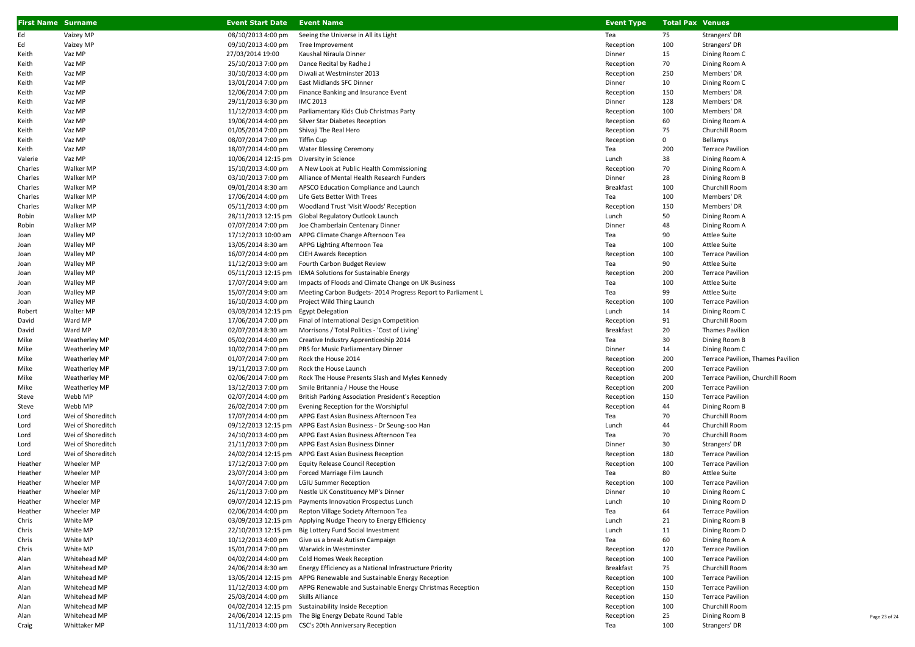| <b>First Name Surname</b> |                   | <b>Event Start Date Event Name</b> |                                                                     | <b>Event Type</b> | <b>Total Pax Venues</b> |                                   |               |
|---------------------------|-------------------|------------------------------------|---------------------------------------------------------------------|-------------------|-------------------------|-----------------------------------|---------------|
| Ed                        | Vaizey MP         | 08/10/2013 4:00 pm                 | Seeing the Universe in All its Light                                | Tea               | 75                      | Strangers' DR                     |               |
| Ed                        | Vaizey MP         | 09/10/2013 4:00 pm                 | Tree Improvement                                                    | Reception         | 100                     | Strangers' DR                     |               |
| Keith                     | Vaz MP            | 27/03/2014 19:00                   | Kaushal Niraula Dinner                                              | Dinner            | 15                      | Dining Room C                     |               |
| Keith                     | Vaz MP            | 25/10/2013 7:00 pm                 | Dance Recital by Radhe J                                            | Reception         | 70                      | Dining Room A                     |               |
| Keith                     | Vaz MP            | 30/10/2013 4:00 pm                 | Diwali at Westminster 2013                                          | Reception         | 250                     | Members' DR                       |               |
| Keith                     | Vaz MP            | 13/01/2014 7:00 pm                 | East Midlands SFC Dinner                                            | Dinner            | 10                      | Dining Room C                     |               |
| Keith                     | Vaz MP            | 12/06/2014 7:00 pm                 | Finance Banking and Insurance Event                                 | Reception         | 150                     | Members' DR                       |               |
| Keith                     | Vaz MP            | 29/11/2013 6:30 pm                 | <b>IMC 2013</b>                                                     | Dinner            | 128                     | Members' DR                       |               |
| Keith                     | Vaz MP            | 11/12/2013 4:00 pm                 | Parliamentary Kids Club Christmas Party                             | Reception         | 100                     | Members' DR                       |               |
| Keith                     | Vaz MP            | 19/06/2014 4:00 pm                 | Silver Star Diabetes Reception                                      | Reception         | 60                      | Dining Room A                     |               |
| Keith                     | Vaz MP            | 01/05/2014 7:00 pm                 | Shivaji The Real Hero                                               | Reception         | 75                      | Churchill Room                    |               |
| Keith                     | Vaz MP            | 08/07/2014 7:00 pm                 | Tiffin Cup                                                          | Reception         | $\mathbf 0$             | Bellamys                          |               |
| Keith                     | Vaz MP            | 18/07/2014 4:00 pm                 | <b>Water Blessing Ceremony</b>                                      | Tea               | 200                     | <b>Terrace Pavilion</b>           |               |
| Valerie                   | Vaz MP            | 10/06/2014 12:15 pm                | Diversity in Science                                                | Lunch             | 38                      | Dining Room A                     |               |
| Charles                   | Walker MP         | 15/10/2013 4:00 pm                 | A New Look at Public Health Commissioning                           | Reception         | 70                      | Dining Room A                     |               |
| Charles                   | Walker MP         | 03/10/2013 7:00 pm                 | Alliance of Mental Health Research Funders                          | Dinner            | 28                      | Dining Room B                     |               |
| Charles                   | Walker MP         | 09/01/2014 8:30 am                 | APSCO Education Compliance and Launch                               | <b>Breakfast</b>  | 100                     | Churchill Room                    |               |
| Charles                   | Walker MP         | 17/06/2014 4:00 pm                 | Life Gets Better With Trees                                         | Tea               | 100                     | Members' DR                       |               |
| Charles                   | Walker MP         | 05/11/2013 4:00 pm                 | Woodland Trust 'Visit Woods' Reception                              | Reception         | 150                     | Members' DR                       |               |
| Robin                     | Walker MP         | 28/11/2013 12:15 pm                | Global Regulatory Outlook Launch                                    | Lunch             | 50                      | Dining Room A                     |               |
| Robin                     | Walker MP         | 07/07/2014 7:00 pm                 | Joe Chamberlain Centenary Dinner                                    | Dinner            | 48                      | Dining Room A                     |               |
| Joan                      | <b>Walley MP</b>  | 17/12/2013 10:00 am                | APPG Climate Change Afternoon Tea                                   | Tea               | 90                      | Attlee Suite                      |               |
| Joan                      | <b>Walley MP</b>  | 13/05/2014 8:30 am                 | APPG Lighting Afternoon Tea                                         | Tea               | 100                     | Attlee Suite                      |               |
| Joan                      | <b>Walley MP</b>  | 16/07/2014 4:00 pm                 | <b>CIEH Awards Reception</b>                                        | Reception         | 100                     | <b>Terrace Pavilion</b>           |               |
| Joan                      | <b>Walley MP</b>  | 11/12/2013 9:00 am                 | Fourth Carbon Budget Review                                         | Tea               | 90                      | Attlee Suite                      |               |
| Joan                      | <b>Walley MP</b>  | 05/11/2013 12:15 pm                | IEMA Solutions for Sustainable Energy                               | Reception         | 200                     | <b>Terrace Pavilion</b>           |               |
| Joan                      | <b>Walley MP</b>  | 17/07/2014 9:00 am                 | Impacts of Floods and Climate Change on UK Business                 | Tea               | 100                     | <b>Attlee Suite</b>               |               |
| Joan                      | Walley MP         | 15/07/2014 9:00 am                 | Meeting Carbon Budgets-2014 Progress Report to Parliament L         | Tea               | 99                      | Attlee Suite                      |               |
| Joan                      | Walley MP         | 16/10/2013 4:00 pm                 | Project Wild Thing Launch                                           | Reception         | 100                     | <b>Terrace Pavilion</b>           |               |
| Robert                    | Walter MP         | 03/03/2014 12:15 pm                | <b>Egypt Delegation</b>                                             | Lunch             | 14                      | Dining Room C                     |               |
| David                     | Ward MP           | 17/06/2014 7:00 pm                 | Final of International Design Competition                           | Reception         | 91                      | Churchill Room                    |               |
| David                     | Ward MP           | 02/07/2014 8:30 am                 | Morrisons / Total Politics - 'Cost of Living'                       | <b>Breakfast</b>  | 20                      | <b>Thames Pavilion</b>            |               |
| Mike                      | Weatherley MP     | 05/02/2014 4:00 pm                 | Creative Industry Apprenticeship 2014                               | Tea               | 30                      | Dining Room B                     |               |
| Mike                      | Weatherley MP     | 10/02/2014 7:00 pm                 | PRS for Music Parliamentary Dinner                                  | Dinner            | 14                      | Dining Room C                     |               |
| Mike                      | Weatherley MP     | 01/07/2014 7:00 pm                 | Rock the House 2014                                                 | Reception         | 200                     | Terrace Pavilion, Thames Pavilion |               |
| Mike                      | Weatherley MP     | 19/11/2013 7:00 pm                 | Rock the House Launch                                               | Reception         | 200                     | <b>Terrace Pavilion</b>           |               |
| Mike                      | Weatherley MP     | 02/06/2014 7:00 pm                 | Rock The House Presents Slash and Myles Kennedy                     | Reception         | 200                     | Terrace Pavilion, Churchill Room  |               |
| Mike                      | Weatherley MP     | 13/12/2013 7:00 pm                 | Smile Britannia / House the House                                   | Reception         | 200                     | <b>Terrace Pavilion</b>           |               |
| Steve                     | Webb MP           | 02/07/2014 4:00 pm                 | British Parking Association President's Reception                   | Reception         | 150                     | <b>Terrace Pavilion</b>           |               |
| Steve                     | Webb MP           | 26/02/2014 7:00 pm                 | Evening Reception for the Worshipful                                | Reception         | 44                      | Dining Room B                     |               |
| Lord                      | Wei of Shoreditch | 17/07/2014 4:00 pm                 | APPG East Asian Business Afternoon Tea                              | Tea               | 70                      | Churchill Room                    |               |
| Lord                      | Wei of Shoreditch | 09/12/2013 12:15 pm                | APPG East Asian Business - Dr Seung-soo Han                         | Lunch             | 44                      | Churchill Room                    |               |
| Lord                      | Wei of Shoreditch | 24/10/2013 4:00 pm                 | APPG East Asian Business Afternoon Tea                              | Tea               | 70                      | Churchill Room                    |               |
| Lord                      | Wei of Shoreditch | 21/11/2013 7:00 pm                 | APPG East Asian Business Dinner                                     | Dinner            | 30                      | Strangers' DR                     |               |
| Lord                      | Wei of Shoreditch |                                    | 24/02/2014 12:15 pm APPG East Asian Business Reception              | Reception         | 180                     | <b>Terrace Pavilion</b>           |               |
| Heather                   | Wheeler MP        | 17/12/2013 7:00 pm                 | <b>Equity Release Council Reception</b>                             | Reception         | 100                     | <b>Terrace Pavilion</b>           |               |
| Heather                   | Wheeler MP        | 23/07/2014 3:00 pm                 | Forced Marriage Film Launch                                         | Tea               | 80                      | Attlee Suite                      |               |
| Heather                   | Wheeler MP        | 14/07/2014 7:00 pm                 | <b>LGIU Summer Reception</b>                                        | Reception         | 100                     | <b>Terrace Pavilion</b>           |               |
| Heather                   | Wheeler MP        | 26/11/2013 7:00 pm                 | Nestle UK Constituency MP's Dinner                                  | Dinner            | 10                      | Dining Room C                     |               |
| Heather                   | Wheeler MP        |                                    | 09/07/2014 12:15 pm Payments Innovation Prospectus Lunch            | Lunch             | 10                      | Dining Room D                     |               |
| Heather                   | Wheeler MP        | 02/06/2014 4:00 pm                 | Repton Village Society Afternoon Tea                                | Tea               | 64                      | <b>Terrace Pavilion</b>           |               |
| Chris                     | White MP          |                                    | 03/09/2013 12:15 pm Applying Nudge Theory to Energy Efficiency      | Lunch             | 21                      | Dining Room B                     |               |
| Chris                     | White MP          | 22/10/2013 12:15 pm                | Big Lottery Fund Social Investment                                  | Lunch             | 11                      | Dining Room D                     |               |
| Chris                     | White MP          | 10/12/2013 4:00 pm                 | Give us a break Autism Campaign                                     | Tea               | 60                      | Dining Room A                     |               |
| Chris                     | White MP          | 15/01/2014 7:00 pm                 | Warwick in Westminster                                              | Reception         | 120                     | <b>Terrace Pavilion</b>           |               |
| Alan                      | Whitehead MP      | 04/02/2014 4:00 pm                 | Cold Homes Week Reception                                           | Reception         | 100                     | <b>Terrace Pavilion</b>           |               |
| Alan                      | Whitehead MP      | 24/06/2014 8:30 am                 | Energy Efficiency as a National Infrastructure Priority             | <b>Breakfast</b>  | 75                      | Churchill Room                    |               |
| Alan                      | Whitehead MP      |                                    | 13/05/2014 12:15 pm APPG Renewable and Sustainable Energy Reception | Reception         | 100                     | <b>Terrace Pavilion</b>           |               |
| Alan                      | Whitehead MP      | 11/12/2013 4:00 pm                 | APPG Renewable and Sustainable Energy Christmas Reception           | Reception         | 150                     | <b>Terrace Pavilion</b>           |               |
| Alan                      | Whitehead MP      | 25/03/2014 4:00 pm                 | Skills Alliance                                                     | Reception         | 150                     | <b>Terrace Pavilion</b>           |               |
| Alan                      | Whitehead MP      |                                    | 04/02/2014 12:15 pm Sustainability Inside Reception                 | Reception         | 100                     | Churchill Room                    |               |
| Alan                      | Whitehead MP      |                                    | 24/06/2014 12:15 pm The Big Energy Debate Round Table               | Reception         | 25                      | Dining Room B                     | Page 23 of 24 |
| Craig                     | Whittaker MP      | 11/11/2013 4:00 pm                 | CSC's 20th Anniversary Reception                                    | Tea               | 100                     | Strangers' DR                     |               |